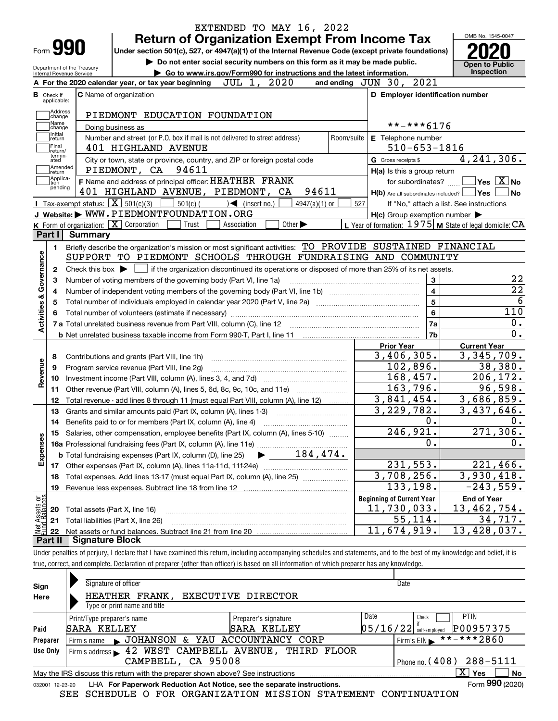| Form <b>990</b>                                        |                                                          | <b>Return of Organization Exempt From Income Tax</b>                                                                                                                              |             |                             |                 |            |                                  |                                                     | OMB No. 1545-0047                                           |
|--------------------------------------------------------|----------------------------------------------------------|-----------------------------------------------------------------------------------------------------------------------------------------------------------------------------------|-------------|-----------------------------|-----------------|------------|----------------------------------|-----------------------------------------------------|-------------------------------------------------------------|
|                                                        |                                                          | Under section 501(c), 527, or 4947(a)(1) of the Internal Revenue Code (except private foundations)<br>Do not enter social security numbers on this form as it may be made public. |             |                             |                 |            |                                  |                                                     |                                                             |
| Department of the Treasury<br>Internal Revenue Service |                                                          | Go to www.irs.gov/Form990 for instructions and the latest information.                                                                                                            |             |                             |                 |            |                                  |                                                     | <b>Open to Public</b><br><b>Inspection</b>                  |
|                                                        |                                                          | A For the 2020 calendar year, or tax year beginning                                                                                                                               | JUL 1,      | 2020                        |                 |            | and ending JUN 30, 2021          |                                                     |                                                             |
| <b>B</b> Check if                                      | <b>C</b> Name of organization                            |                                                                                                                                                                                   |             |                             |                 |            |                                  | D Employer identification number                    |                                                             |
| applicable:                                            |                                                          |                                                                                                                                                                                   |             |                             |                 |            |                                  |                                                     |                                                             |
| Address<br>change<br>Name                              |                                                          | PIEDMONT EDUCATION FOUNDATION                                                                                                                                                     |             |                             |                 |            |                                  |                                                     |                                                             |
| change<br>Initial                                      | Doing business as                                        |                                                                                                                                                                                   |             |                             |                 |            |                                  | **-***6176                                          |                                                             |
| return                                                 |                                                          | Number and street (or P.O. box if mail is not delivered to street address)                                                                                                        |             |                             |                 | Room/suite | E Telephone number               |                                                     |                                                             |
| Final<br>return/<br>termin-                            |                                                          | 401 HIGHLAND AVENUE                                                                                                                                                               |             |                             |                 |            |                                  | $510 - 653 - 1816$                                  |                                                             |
| ated<br> Amended                                       |                                                          | City or town, state or province, country, and ZIP or foreign postal code                                                                                                          |             |                             |                 |            | G Gross receipts \$              |                                                     | 4, 241, 306.                                                |
| return]<br> Applica-                                   |                                                          | PIEDMONT, CA 94611                                                                                                                                                                |             |                             |                 |            |                                  | H(a) Is this a group return                         |                                                             |
| tion<br>pending                                        |                                                          | F Name and address of principal officer: HEATHER FRANK                                                                                                                            |             |                             | 94611           |            |                                  | for subordinates?                                   | $\sqrt{}$ Yes $\sqrt{}$ X $\sqrt{}$ No                      |
|                                                        | Tax-exempt status: $\boxed{\mathbf{X}}$ 501(c)(3)        | 401 HIGHLAND AVENUE, PIEDMONT, CA<br>$501(c)$ $\left(\right)$ $\left(\right)$ (insert no.)                                                                                        |             |                             |                 |            |                                  |                                                     | $H(b)$ Are all subordinates included? $\Box$ Yes            |
|                                                        |                                                          | J Website: WWW.PIEDMONTFOUNDATION.ORG                                                                                                                                             |             |                             | $4947(a)(1)$ or | 527        |                                  |                                                     | If "No," attach a list. See instructions                    |
|                                                        | K Form of organization: $\boxed{\mathbf{X}}$ Corporation | Trust                                                                                                                                                                             | Association | Other $\blacktriangleright$ |                 |            |                                  | $H(c)$ Group exemption number $\blacktriangleright$ | L Year of formation: $1975$ M State of legal domicile: $CA$ |
|                                                        | Part I Summary                                           |                                                                                                                                                                                   |             |                             |                 |            |                                  |                                                     |                                                             |
| 1.                                                     |                                                          | Briefly describe the organization's mission or most significant activities: TO PROVIDE SUSTAINED FINANCIAL                                                                        |             |                             |                 |            |                                  |                                                     |                                                             |
|                                                        |                                                          | SUPPORT TO PIEDMONT SCHOOLS THROUGH FUNDRAISING AND COMMUNITY                                                                                                                     |             |                             |                 |            |                                  |                                                     |                                                             |
| 2                                                      |                                                          | Check this box $\blacktriangleright$ $\blacksquare$ if the organization discontinued its operations or disposed of more than 25% of its net assets.                               |             |                             |                 |            |                                  |                                                     |                                                             |
| з                                                      |                                                          | Number of voting members of the governing body (Part VI, line 1a)                                                                                                                 |             |                             |                 |            |                                  | 3                                                   |                                                             |
| 4                                                      |                                                          |                                                                                                                                                                                   |             |                             |                 |            |                                  | 4                                                   |                                                             |
| 5                                                      |                                                          |                                                                                                                                                                                   |             |                             |                 |            |                                  | 5                                                   |                                                             |
|                                                        |                                                          |                                                                                                                                                                                   |             |                             |                 |            |                                  | 6                                                   | 110                                                         |
| Activities & Governance                                |                                                          |                                                                                                                                                                                   |             |                             |                 |            |                                  | 7a                                                  |                                                             |
|                                                        |                                                          |                                                                                                                                                                                   |             |                             |                 |            |                                  | 7b                                                  |                                                             |
|                                                        |                                                          |                                                                                                                                                                                   |             |                             |                 |            | <b>Prior Year</b>                |                                                     | <b>Current Year</b>                                         |
| 8                                                      | Contributions and grants (Part VIII, line 1h)            |                                                                                                                                                                                   |             |                             |                 |            | 3,406,305.                       |                                                     | 3,345,709.                                                  |
| Revenue<br>9                                           | Program service revenue (Part VIII, line 2g)             |                                                                                                                                                                                   |             |                             |                 |            |                                  | 102,896.                                            | 38,380.                                                     |
| 10                                                     |                                                          |                                                                                                                                                                                   |             |                             |                 |            |                                  | 168,457.                                            | 206, 172.                                                   |
| 11                                                     |                                                          | Other revenue (Part VIII, column (A), lines 5, 6d, 8c, 9c, 10c, and 11e)                                                                                                          |             |                             |                 |            |                                  | 163,796.                                            | 96,598.                                                     |
| 12                                                     |                                                          | Total revenue - add lines 8 through 11 (must equal Part VIII, column (A), line 12)                                                                                                |             |                             |                 |            | 3,841,454.                       |                                                     | 3,686,859.                                                  |
| 13                                                     |                                                          | Grants and similar amounts paid (Part IX, column (A), lines 1-3)                                                                                                                  |             |                             |                 |            | 3,229,782.                       |                                                     | 3,437,646.                                                  |
| 14                                                     |                                                          |                                                                                                                                                                                   |             |                             |                 |            |                                  | 0.                                                  |                                                             |
|                                                        |                                                          | 15 Salaries, other compensation, employee benefits (Part IX, column (A), lines 5-10)                                                                                              |             |                             |                 |            |                                  | $\overline{246,921}$ .                              | 271, 306.                                                   |
| Expenses                                               |                                                          |                                                                                                                                                                                   |             |                             |                 |            |                                  | 0.                                                  |                                                             |
|                                                        |                                                          | <b>b</b> Total fundraising expenses (Part IX, column (D), line 25)                                                                                                                |             |                             | 184,474.        |            |                                  |                                                     |                                                             |
| 17                                                     |                                                          |                                                                                                                                                                                   |             |                             |                 |            |                                  | 231,553.                                            | 221,466.                                                    |
| 18                                                     |                                                          | Total expenses. Add lines 13-17 (must equal Part IX, column (A), line 25)                                                                                                         |             |                             |                 |            | 3,708,256.                       |                                                     | 3,930,418.                                                  |
| 19                                                     |                                                          |                                                                                                                                                                                   |             |                             |                 |            |                                  | 133,198.                                            | $-243, 559.$                                                |
|                                                        |                                                          |                                                                                                                                                                                   |             |                             |                 |            | <b>Beginning of Current Year</b> |                                                     | <b>End of Year</b>                                          |
| 20                                                     | Total assets (Part X, line 16)                           |                                                                                                                                                                                   |             |                             |                 |            | 11,730,033.                      |                                                     | 13,462,754.                                                 |
|                                                        | Total liabilities (Part X, line 26)                      |                                                                                                                                                                                   |             |                             |                 |            |                                  | 55, 114.                                            | 34,717.                                                     |
| t Assets or<br>d Balances<br>21                        |                                                          |                                                                                                                                                                                   |             |                             |                 |            |                                  |                                                     |                                                             |
| 鲳<br>22                                                |                                                          |                                                                                                                                                                                   |             |                             |                 |            | 11,674,919.                      |                                                     | 13,428,037.                                                 |

true, correct, and complete. Declaration of preparer (other than officer) is based on all information of which preparer has any knowledge.

| Sign     | Signature of officer                                                                                               |                           | Date                                  |  |  |  |  |  |  |  |
|----------|--------------------------------------------------------------------------------------------------------------------|---------------------------|---------------------------------------|--|--|--|--|--|--|--|
| Here     | HEATHER FRANK,                                                                                                     | <b>EXECUTIVE DIRECTOR</b> |                                       |  |  |  |  |  |  |  |
|          | Type or print name and title                                                                                       |                           |                                       |  |  |  |  |  |  |  |
|          | Print/Type preparer's name                                                                                         | Preparer's signature      | Date<br><b>PTIN</b><br>Check          |  |  |  |  |  |  |  |
| Paid     | SARA KELLEY                                                                                                        | SARA KELLEY               | P00957375<br>$05/16/22$ self-employed |  |  |  |  |  |  |  |
| Preparer | Firm's name GUIANSON & YAU ACCOUNTANCY CORP                                                                        |                           | **-***2860<br>Firm's $EIN$            |  |  |  |  |  |  |  |
| Use Only | Firm's address 12 WEST CAMPBELL AVENUE, THIRD FLOOR                                                                |                           |                                       |  |  |  |  |  |  |  |
|          | CAMPBELL, CA 95008                                                                                                 |                           | 288-5111<br>Phone no. $(408)$         |  |  |  |  |  |  |  |
|          | $\overline{X}$ Yes<br><b>No</b><br>May the IRS discuss this return with the preparer shown above? See instructions |                           |                                       |  |  |  |  |  |  |  |
|          | Form 990 (2020)<br>LHA For Paperwork Reduction Act Notice, see the separate instructions.<br>032001 12-23-20       |                           |                                       |  |  |  |  |  |  |  |

SEE SCHEDULE O FOR ORGANIZATION MISSION STATEMENT CONTINUATION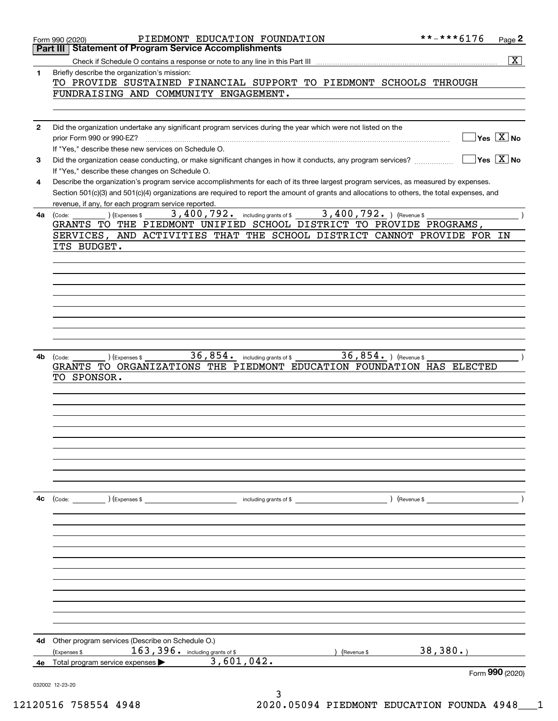|              | **-***6176<br>PIEDMONT EDUCATION FOUNDATION<br>Form 990 (2020)<br><b>Statement of Program Service Accomplishments</b><br>Part III            | $Page$ 2                                             |
|--------------|----------------------------------------------------------------------------------------------------------------------------------------------|------------------------------------------------------|
|              |                                                                                                                                              |                                                      |
|              |                                                                                                                                              | $\overline{\mathbf{x}}$                              |
| 1            | Briefly describe the organization's mission:                                                                                                 |                                                      |
|              | TO PROVIDE SUSTAINED FINANCIAL SUPPORT TO PIEDMONT SCHOOLS THROUGH<br>FUNDRAISING AND COMMUNITY ENGAGEMENT.                                  |                                                      |
|              |                                                                                                                                              |                                                      |
|              |                                                                                                                                              |                                                      |
| $\mathbf{2}$ | Did the organization undertake any significant program services during the year which were not listed on the                                 |                                                      |
|              | prior Form 990 or 990-EZ?                                                                                                                    | $\sqrt{}$ Yes $\sqrt{}$ X $\sqrt{}$ No               |
|              | If "Yes," describe these new services on Schedule O.                                                                                         |                                                      |
| 3            | Did the organization cease conducting, or make significant changes in how it conducts, any program services?                                 | $\overline{\mathsf{Yes}}$ $\overline{\mathsf{X}}$ No |
|              | If "Yes," describe these changes on Schedule O.                                                                                              |                                                      |
| 4            | Describe the organization's program service accomplishments for each of its three largest program services, as measured by expenses.         |                                                      |
|              | Section 501(c)(3) and 501(c)(4) organizations are required to report the amount of grants and allocations to others, the total expenses, and |                                                      |
|              | revenue, if any, for each program service reported                                                                                           |                                                      |
| 4a           | 3,400,792. including grants of \$ 3,400,792. ) (Revenue \$<br>$\left(\text{Code:}\right)$ $\left(\text{Expenses $}\right)$                   |                                                      |
|              | GRANTS TO THE PIEDMONT UNIFIED SCHOOL DISTRICT TO PROVIDE PROGRAMS,                                                                          |                                                      |
|              | SERVICES, AND ACTIVITIES THAT THE SCHOOL DISTRICT CANNOT PROVIDE FOR IN                                                                      |                                                      |
|              | ITS BUDGET.                                                                                                                                  |                                                      |
|              |                                                                                                                                              |                                                      |
|              |                                                                                                                                              |                                                      |
|              |                                                                                                                                              |                                                      |
|              |                                                                                                                                              |                                                      |
|              |                                                                                                                                              |                                                      |
|              |                                                                                                                                              |                                                      |
|              |                                                                                                                                              |                                                      |
|              |                                                                                                                                              |                                                      |
|              |                                                                                                                                              |                                                      |
| 4b           | (Code:<br>(Expenses \$                                                                                                                       |                                                      |
|              | GRANTS TO ORGANIZATIONS THE PIEDMONT EDUCATION FOUNDATION HAS ELECTED                                                                        |                                                      |
|              | TO SPONSOR.                                                                                                                                  |                                                      |
|              |                                                                                                                                              |                                                      |
|              |                                                                                                                                              |                                                      |
|              |                                                                                                                                              |                                                      |
|              |                                                                                                                                              |                                                      |
|              |                                                                                                                                              |                                                      |
|              |                                                                                                                                              |                                                      |
|              |                                                                                                                                              |                                                      |
|              |                                                                                                                                              |                                                      |
|              |                                                                                                                                              |                                                      |
|              |                                                                                                                                              |                                                      |
| 4с           | (Code: ) (Expenses \$                                                                                                                        |                                                      |
|              |                                                                                                                                              |                                                      |
|              |                                                                                                                                              |                                                      |
|              |                                                                                                                                              |                                                      |
|              |                                                                                                                                              |                                                      |
|              |                                                                                                                                              |                                                      |
|              |                                                                                                                                              |                                                      |
|              |                                                                                                                                              |                                                      |
|              |                                                                                                                                              |                                                      |
|              |                                                                                                                                              |                                                      |
|              |                                                                                                                                              |                                                      |
|              |                                                                                                                                              |                                                      |
|              |                                                                                                                                              |                                                      |
| 4d           | Other program services (Describe on Schedule O.)                                                                                             |                                                      |
|              | 38,380.<br>163, 396. including grants of \$<br>(Expenses \$<br>) (Revenue \$                                                                 |                                                      |
|              | 3,601,042.<br>4e Total program service expenses                                                                                              |                                                      |
|              |                                                                                                                                              | Form 990 (2020)                                      |
|              | 032002 12-23-20                                                                                                                              |                                                      |
|              | 3                                                                                                                                            |                                                      |

12120516 758554 4948 2020.05094 PIEDMONT EDUCATION FOUNDA 4948\_\_\_1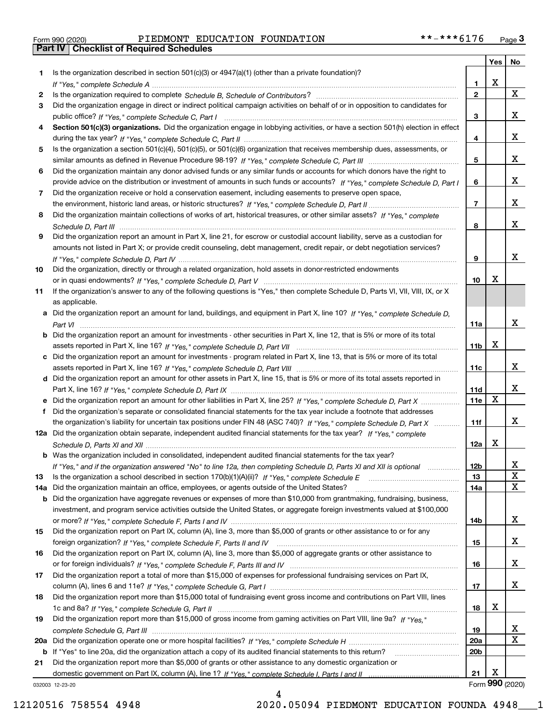|  | Form 990 (2020) |
|--|-----------------|

Form 990 (2020) PIEDMONT EDUCATION FOUNDATION \*\*-\*\*\*6176 <sub>Page</sub> 3<br>**Part IV | Checklist of Required Schedules** 

|     |                                                                                                                                       |                       | Yes             | No          |
|-----|---------------------------------------------------------------------------------------------------------------------------------------|-----------------------|-----------------|-------------|
| 1.  | Is the organization described in section $501(c)(3)$ or $4947(a)(1)$ (other than a private foundation)?                               |                       |                 |             |
|     |                                                                                                                                       | 1.                    | X               |             |
| 2   |                                                                                                                                       | $\mathbf{2}$          |                 | X           |
| 3   | Did the organization engage in direct or indirect political campaign activities on behalf of or in opposition to candidates for       |                       |                 |             |
|     |                                                                                                                                       | 3                     |                 | x           |
| 4   | Section 501(c)(3) organizations. Did the organization engage in lobbying activities, or have a section 501(h) election in effect      |                       |                 | X.          |
| 5   |                                                                                                                                       | 4                     |                 |             |
|     | Is the organization a section 501(c)(4), 501(c)(5), or 501(c)(6) organization that receives membership dues, assessments, or          | 5                     |                 | X.          |
| 6   | Did the organization maintain any donor advised funds or any similar funds or accounts for which donors have the right to             |                       |                 |             |
|     | provide advice on the distribution or investment of amounts in such funds or accounts? If "Yes," complete Schedule D, Part I          | 6                     |                 | X.          |
| 7   | Did the organization receive or hold a conservation easement, including easements to preserve open space,                             |                       |                 |             |
|     |                                                                                                                                       | $\overline{7}$        |                 | X.          |
| 8   | Did the organization maintain collections of works of art, historical treasures, or other similar assets? If "Yes," complete          |                       |                 |             |
|     |                                                                                                                                       | 8                     |                 | x           |
| 9   | Did the organization report an amount in Part X, line 21, for escrow or custodial account liability, serve as a custodian for         |                       |                 |             |
|     | amounts not listed in Part X; or provide credit counseling, debt management, credit repair, or debt negotiation services?             |                       |                 |             |
|     |                                                                                                                                       | 9                     |                 | X           |
| 10  | Did the organization, directly or through a related organization, hold assets in donor-restricted endowments                          |                       |                 |             |
|     |                                                                                                                                       | 10                    | X               |             |
| 11  | If the organization's answer to any of the following questions is "Yes," then complete Schedule D, Parts VI, VII, VIII, IX, or X      |                       |                 |             |
|     | as applicable.                                                                                                                        |                       |                 |             |
|     | a Did the organization report an amount for land, buildings, and equipment in Part X, line 10? If "Yes," complete Schedule D,         |                       |                 | x           |
|     | <b>b</b> Did the organization report an amount for investments - other securities in Part X, line 12, that is 5% or more of its total | 11a                   |                 |             |
|     |                                                                                                                                       | 11 <sub>b</sub>       | х               |             |
|     | c Did the organization report an amount for investments - program related in Part X, line 13, that is 5% or more of its total         |                       |                 |             |
|     |                                                                                                                                       | 11c                   |                 | X           |
|     | d Did the organization report an amount for other assets in Part X, line 15, that is 5% or more of its total assets reported in       |                       |                 |             |
|     |                                                                                                                                       | 11d                   |                 | x           |
|     | e Did the organization report an amount for other liabilities in Part X, line 25? If "Yes," complete Schedule D, Part X               | 11e                   | X               |             |
| f.  | Did the organization's separate or consolidated financial statements for the tax year include a footnote that addresses               |                       |                 |             |
|     | the organization's liability for uncertain tax positions under FIN 48 (ASC 740)? If "Yes," complete Schedule D, Part X                | 11f                   |                 | X           |
|     | 12a Did the organization obtain separate, independent audited financial statements for the tax year? If "Yes," complete               |                       |                 |             |
|     |                                                                                                                                       | 12a                   | Χ               |             |
|     | <b>b</b> Was the organization included in consolidated, independent audited financial statements for the tax year?                    |                       |                 |             |
| 13  | If "Yes," and if the organization answered "No" to line 12a, then completing Schedule D, Parts XI and XII is optional                 | 12 <sub>b</sub><br>13 |                 | x<br>X      |
| 14a | Did the organization maintain an office, employees, or agents outside of the United States?                                           | 14a                   |                 | $\mathbf X$ |
|     | b Did the organization have aggregate revenues or expenses of more than \$10,000 from grantmaking, fundraising, business,             |                       |                 |             |
|     | investment, and program service activities outside the United States, or aggregate foreign investments valued at \$100,000            |                       |                 |             |
|     |                                                                                                                                       | 14b                   |                 | x           |
| 15  | Did the organization report on Part IX, column (A), line 3, more than \$5,000 of grants or other assistance to or for any             |                       |                 |             |
|     |                                                                                                                                       | 15                    |                 | x           |
| 16  | Did the organization report on Part IX, column (A), line 3, more than \$5,000 of aggregate grants or other assistance to              |                       |                 |             |
|     |                                                                                                                                       | 16                    |                 | x           |
| 17  | Did the organization report a total of more than \$15,000 of expenses for professional fundraising services on Part IX,               |                       |                 |             |
|     |                                                                                                                                       | 17                    |                 | x           |
| 18  | Did the organization report more than \$15,000 total of fundraising event gross income and contributions on Part VIII, lines          |                       | х               |             |
|     | Did the organization report more than \$15,000 of gross income from gaming activities on Part VIII, line 9a? If "Yes."                | 18                    |                 |             |
| 19  |                                                                                                                                       | 19                    |                 | x           |
|     |                                                                                                                                       | <b>20a</b>            |                 | X           |
|     |                                                                                                                                       | 20b                   |                 |             |
| 21  | Did the organization report more than \$5,000 of grants or other assistance to any domestic organization or                           |                       |                 |             |
|     |                                                                                                                                       | 21                    | х               |             |
|     | 032003 12-23-20                                                                                                                       |                       | Form 990 (2020) |             |

032003 12-23-20

4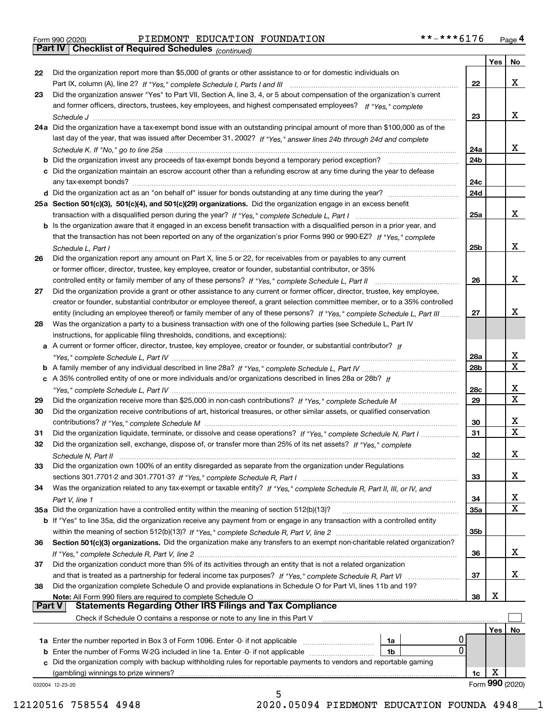|  | Form 990 (2020) |
|--|-----------------|
|  |                 |

# Form 990 (2020) PIEDMONT EDUCATION FOUNDATION \*\*-\*\*\*6176 <sub>Page</sub> 4<br>**Part IV | Checklist of Required Schedules** <sub>(continued)</sub>

*(continued)*

|               |                                                                                                                              |                        | Yes | No                           |
|---------------|------------------------------------------------------------------------------------------------------------------------------|------------------------|-----|------------------------------|
| 22            | Did the organization report more than \$5,000 of grants or other assistance to or for domestic individuals on                |                        |     |                              |
|               |                                                                                                                              | 22                     |     | x                            |
| 23            | Did the organization answer "Yes" to Part VII, Section A, line 3, 4, or 5 about compensation of the organization's current   |                        |     |                              |
|               | and former officers, directors, trustees, key employees, and highest compensated employees? If "Yes," complete               |                        |     |                              |
|               |                                                                                                                              | 23                     |     | x                            |
|               | 24a Did the organization have a tax-exempt bond issue with an outstanding principal amount of more than \$100,000 as of the  |                        |     |                              |
|               | last day of the year, that was issued after December 31, 2002? If "Yes," answer lines 24b through 24d and complete           |                        |     |                              |
|               |                                                                                                                              | 24a                    |     | x                            |
|               |                                                                                                                              | 24b                    |     |                              |
|               | c Did the organization maintain an escrow account other than a refunding escrow at any time during the year to defease       |                        |     |                              |
|               |                                                                                                                              | 24c                    |     |                              |
|               |                                                                                                                              | 24d                    |     |                              |
|               | 25a Section 501(c)(3), 501(c)(4), and 501(c)(29) organizations. Did the organization engage in an excess benefit             |                        |     |                              |
|               |                                                                                                                              | 25a                    |     | x                            |
|               | b Is the organization aware that it engaged in an excess benefit transaction with a disqualified person in a prior year, and |                        |     |                              |
|               | that the transaction has not been reported on any of the organization's prior Forms 990 or 990-EZ? If "Yes," complete        |                        |     |                              |
|               | Schedule L. Part I                                                                                                           | 25 <sub>b</sub>        |     | x                            |
| 26            | Did the organization report any amount on Part X, line 5 or 22, for receivables from or payables to any current              |                        |     |                              |
|               | or former officer, director, trustee, key employee, creator or founder, substantial contributor, or 35%                      |                        |     |                              |
|               | controlled entity or family member of any of these persons? If "Yes," complete Schedule L, Part II                           | 26                     |     | x                            |
| 27            | Did the organization provide a grant or other assistance to any current or former officer, director, trustee, key employee,  |                        |     |                              |
|               | creator or founder, substantial contributor or employee thereof, a grant selection committee member, or to a 35% controlled  |                        |     |                              |
|               | entity (including an employee thereof) or family member of any of these persons? If "Yes," complete Schedule L, Part III     | 27                     |     | x                            |
| 28            | Was the organization a party to a business transaction with one of the following parties (see Schedule L, Part IV            |                        |     |                              |
|               | instructions, for applicable filing thresholds, conditions, and exceptions):                                                 |                        |     |                              |
|               | a A current or former officer, director, trustee, key employee, creator or founder, or substantial contributor? If           |                        |     |                              |
|               |                                                                                                                              |                        |     | x                            |
|               |                                                                                                                              | 28a<br>28 <sub>b</sub> |     | $\overline{\mathbf{x}}$      |
|               |                                                                                                                              |                        |     |                              |
|               | c A 35% controlled entity of one or more individuals and/or organizations described in lines 28a or 28b? If                  |                        |     |                              |
|               |                                                                                                                              | 28c                    |     | х<br>$\mathbf X$             |
| 29            |                                                                                                                              | 29                     |     |                              |
| 30            | Did the organization receive contributions of art, historical treasures, or other similar assets, or qualified conservation  |                        |     |                              |
|               |                                                                                                                              | 30                     |     | х<br>$\overline{\mathbf{x}}$ |
| 31            | Did the organization liquidate, terminate, or dissolve and cease operations? If "Yes," complete Schedule N, Part I           | 31                     |     |                              |
| 32            | Did the organization sell, exchange, dispose of, or transfer more than 25% of its net assets? If "Yes," complete             |                        |     |                              |
|               |                                                                                                                              | 32                     |     | х                            |
| 33            | Did the organization own 100% of an entity disregarded as separate from the organization under Regulations                   |                        |     |                              |
|               |                                                                                                                              | 33                     |     | x                            |
| 34            | Was the organization related to any tax-exempt or taxable entity? If "Yes," complete Schedule R, Part II, III, or IV, and    |                        |     |                              |
|               |                                                                                                                              | 34                     |     | x                            |
|               | 35a Did the organization have a controlled entity within the meaning of section 512(b)(13)?                                  | 35a                    |     | x                            |
|               | b If "Yes" to line 35a, did the organization receive any payment from or engage in any transaction with a controlled entity  |                        |     |                              |
|               |                                                                                                                              | 35b                    |     |                              |
| 36            | Section 501(c)(3) organizations. Did the organization make any transfers to an exempt non-charitable related organization?   |                        |     |                              |
|               |                                                                                                                              | 36                     |     | x                            |
| 37            | Did the organization conduct more than 5% of its activities through an entity that is not a related organization             |                        |     |                              |
|               |                                                                                                                              | 37                     |     | x                            |
| 38            | Did the organization complete Schedule O and provide explanations in Schedule O for Part VI, lines 11b and 19?               |                        |     |                              |
|               | Note: All Form 990 filers are required to complete Schedule O                                                                | 38                     | х   |                              |
| <b>Part V</b> | <b>Statements Regarding Other IRS Filings and Tax Compliance</b>                                                             |                        |     |                              |
|               | Check if Schedule O contains a response or note to any line in this Part V                                                   |                        |     |                              |
|               |                                                                                                                              |                        | Yes | No                           |
|               | 0<br>1a                                                                                                                      |                        |     |                              |
|               | 0<br><b>b</b> Enter the number of Forms W-2G included in line 1a. Enter -0- if not applicable<br>1b                          |                        |     |                              |
| c             | Did the organization comply with backup withholding rules for reportable payments to vendors and reportable gaming           |                        |     |                              |
|               |                                                                                                                              | 1c                     | Χ   |                              |
|               | 032004 12-23-20                                                                                                              |                        |     | Form 990 (2020)              |
|               | 5                                                                                                                            |                        |     |                              |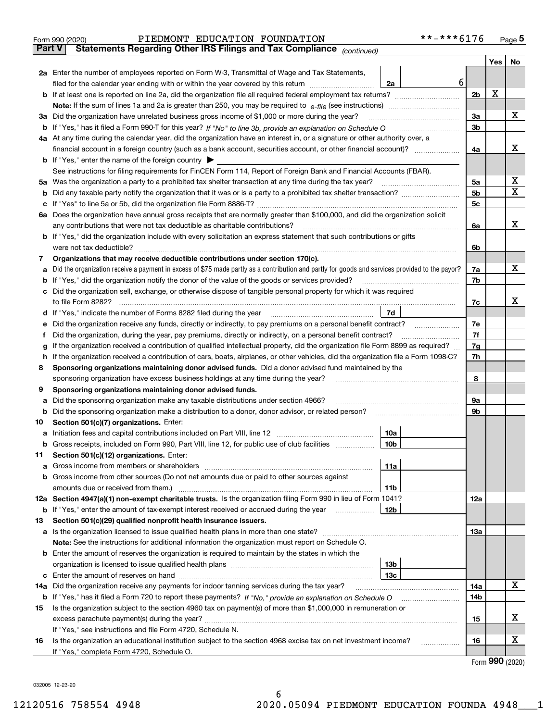|               | **-***6176<br>PIEDMONT EDUCATION FOUNDATION<br>Form 990 (2020)                                                                                                                                                                       |                |     | $_{\text{Page}}$ 5 |  |  |  |  |
|---------------|--------------------------------------------------------------------------------------------------------------------------------------------------------------------------------------------------------------------------------------|----------------|-----|--------------------|--|--|--|--|
| <b>Part V</b> | Statements Regarding Other IRS Filings and Tax Compliance (continued)                                                                                                                                                                |                |     |                    |  |  |  |  |
|               |                                                                                                                                                                                                                                      |                | Yes | No                 |  |  |  |  |
|               | 2a Enter the number of employees reported on Form W-3, Transmittal of Wage and Tax Statements,                                                                                                                                       |                |     |                    |  |  |  |  |
|               | filed for the calendar year ending with or within the year covered by this return<br>2a                                                                                                                                              | 6              |     |                    |  |  |  |  |
| b             |                                                                                                                                                                                                                                      | 2b             | х   |                    |  |  |  |  |
|               |                                                                                                                                                                                                                                      |                |     |                    |  |  |  |  |
|               | 3a Did the organization have unrelated business gross income of \$1,000 or more during the year?                                                                                                                                     | 3a             |     | х                  |  |  |  |  |
|               |                                                                                                                                                                                                                                      | 3b             |     |                    |  |  |  |  |
|               | 4a At any time during the calendar year, did the organization have an interest in, or a signature or other authority over, a                                                                                                         |                |     |                    |  |  |  |  |
|               |                                                                                                                                                                                                                                      | 4a             |     | х                  |  |  |  |  |
|               | <b>b</b> If "Yes," enter the name of the foreign country $\triangleright$                                                                                                                                                            |                |     |                    |  |  |  |  |
|               | See instructions for filing requirements for FinCEN Form 114, Report of Foreign Bank and Financial Accounts (FBAR).                                                                                                                  |                |     |                    |  |  |  |  |
| 5a            | Was the organization a party to a prohibited tax shelter transaction at any time during the tax year?                                                                                                                                | 5а             |     | х                  |  |  |  |  |
| b             |                                                                                                                                                                                                                                      | 5 <sub>b</sub> |     | х                  |  |  |  |  |
|               |                                                                                                                                                                                                                                      | 5c             |     |                    |  |  |  |  |
| c             |                                                                                                                                                                                                                                      |                |     |                    |  |  |  |  |
|               | 6a Does the organization have annual gross receipts that are normally greater than \$100,000, and did the organization solicit                                                                                                       |                |     | x                  |  |  |  |  |
|               | any contributions that were not tax deductible as charitable contributions?                                                                                                                                                          | 6a             |     |                    |  |  |  |  |
|               | <b>b</b> If "Yes," did the organization include with every solicitation an express statement that such contributions or gifts                                                                                                        |                |     |                    |  |  |  |  |
|               |                                                                                                                                                                                                                                      | 6b             |     |                    |  |  |  |  |
| 7             | Organizations that may receive deductible contributions under section 170(c).                                                                                                                                                        |                |     |                    |  |  |  |  |
| а             | Did the organization receive a payment in excess of \$75 made partly as a contribution and partly for goods and services provided to the payor?                                                                                      | 7a             |     | х                  |  |  |  |  |
| b             | If "Yes," did the organization notify the donor of the value of the goods or services provided?                                                                                                                                      | 7b             |     |                    |  |  |  |  |
| с             | Did the organization sell, exchange, or otherwise dispose of tangible personal property for which it was required                                                                                                                    |                |     |                    |  |  |  |  |
|               |                                                                                                                                                                                                                                      | 7c             |     | х                  |  |  |  |  |
|               | 7d<br>d If "Yes," indicate the number of Forms 8282 filed during the year [11] [11] No. 2010 [12] Henry Marian Marian Marian Marian Marian Marian Marian Marian Marian Marian Marian Marian Marian Marian Marian Marian Marian Maria |                |     |                    |  |  |  |  |
| е             | Did the organization receive any funds, directly or indirectly, to pay premiums on a personal benefit contract?                                                                                                                      | 7e             |     |                    |  |  |  |  |
| f             | Did the organization, during the year, pay premiums, directly or indirectly, on a personal benefit contract?                                                                                                                         | 7f             |     |                    |  |  |  |  |
| g             | If the organization received a contribution of qualified intellectual property, did the organization file Form 8899 as required?                                                                                                     | 7g             |     |                    |  |  |  |  |
| h.            | If the organization received a contribution of cars, boats, airplanes, or other vehicles, did the organization file a Form 1098-C?                                                                                                   |                |     |                    |  |  |  |  |
| 8             | Sponsoring organizations maintaining donor advised funds. Did a donor advised fund maintained by the                                                                                                                                 |                |     |                    |  |  |  |  |
|               | sponsoring organization have excess business holdings at any time during the year?                                                                                                                                                   | 8              |     |                    |  |  |  |  |
| 9             | Sponsoring organizations maintaining donor advised funds.                                                                                                                                                                            |                |     |                    |  |  |  |  |
| а             | Did the sponsoring organization make any taxable distributions under section 4966?                                                                                                                                                   | 9а             |     |                    |  |  |  |  |
| b             | Did the sponsoring organization make a distribution to a donor, donor advisor, or related person?                                                                                                                                    | 9b             |     |                    |  |  |  |  |
| 10            | Section 501(c)(7) organizations. Enter:                                                                                                                                                                                              |                |     |                    |  |  |  |  |
|               | 10a<br>a Initiation fees and capital contributions included on Part VIII, line 12 [111] [11] [11] Initiation fees and capital contributions included on Part VIII, line 12                                                           |                |     |                    |  |  |  |  |
|               | 10b <br>Gross receipts, included on Form 990, Part VIII, line 12, for public use of club facilities <i>manamerous</i>                                                                                                                |                |     |                    |  |  |  |  |
| 11            | Section 501(c)(12) organizations. Enter:                                                                                                                                                                                             |                |     |                    |  |  |  |  |
| а             | Gross income from members or shareholders<br>11a                                                                                                                                                                                     |                |     |                    |  |  |  |  |
| b             | Gross income from other sources (Do not net amounts due or paid to other sources against                                                                                                                                             |                |     |                    |  |  |  |  |
|               | 11 <sub>b</sub>                                                                                                                                                                                                                      |                |     |                    |  |  |  |  |
|               | 12a Section 4947(a)(1) non-exempt charitable trusts. Is the organization filing Form 990 in lieu of Form 1041?                                                                                                                       | 12a            |     |                    |  |  |  |  |
|               | <b>b</b> If "Yes," enter the amount of tax-exempt interest received or accrued during the year<br>12b                                                                                                                                |                |     |                    |  |  |  |  |
| 13            | Section 501(c)(29) qualified nonprofit health insurance issuers.                                                                                                                                                                     |                |     |                    |  |  |  |  |
|               | a Is the organization licensed to issue qualified health plans in more than one state?                                                                                                                                               | 13a            |     |                    |  |  |  |  |
|               | Note: See the instructions for additional information the organization must report on Schedule O.                                                                                                                                    |                |     |                    |  |  |  |  |
| b             | Enter the amount of reserves the organization is required to maintain by the states in which the                                                                                                                                     |                |     |                    |  |  |  |  |
|               | 13 <sub>b</sub>                                                                                                                                                                                                                      |                |     |                    |  |  |  |  |
| c             | 13 <sub>c</sub>                                                                                                                                                                                                                      |                |     |                    |  |  |  |  |
| 14a           | Did the organization receive any payments for indoor tanning services during the tax year?                                                                                                                                           | 14a            |     | X                  |  |  |  |  |
|               | <b>b</b> If "Yes," has it filed a Form 720 to report these payments? If "No," provide an explanation on Schedule O                                                                                                                   | 14b            |     |                    |  |  |  |  |
| 15            | Is the organization subject to the section 4960 tax on payment(s) of more than \$1,000,000 in remuneration or                                                                                                                        |                |     |                    |  |  |  |  |
|               |                                                                                                                                                                                                                                      | 15             |     | x                  |  |  |  |  |
|               | If "Yes," see instructions and file Form 4720, Schedule N.                                                                                                                                                                           |                |     |                    |  |  |  |  |
|               |                                                                                                                                                                                                                                      |                |     | х                  |  |  |  |  |
| 16            | Is the organization an educational institution subject to the section 4968 excise tax on net investment income?                                                                                                                      | 16             |     |                    |  |  |  |  |
|               | If "Yes," complete Form 4720, Schedule O.                                                                                                                                                                                            |                |     | QQQ                |  |  |  |  |

Form (2020) **990**

032005 12-23-20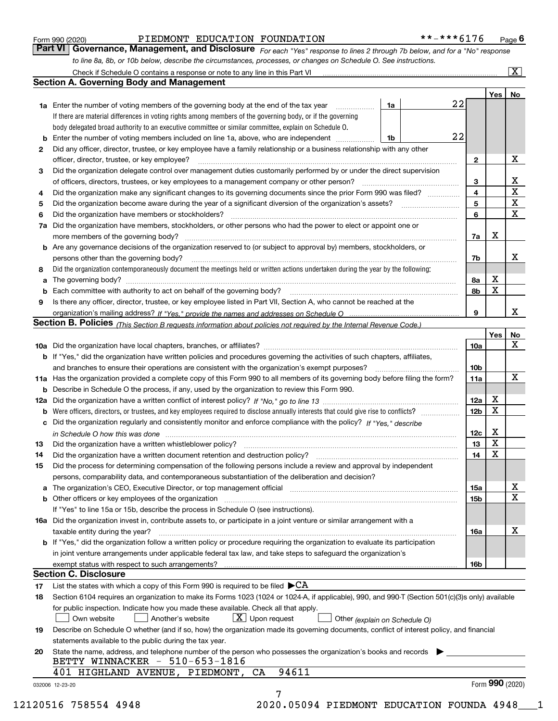|  | Form 990 (2020) |
|--|-----------------|
|  |                 |

| Form 990 (2020) |  | PIEDMONT EDUCATION FOUNDATION                                                                                                 | **-***6176 | $P_{\text{aqe}}$ 6 |
|-----------------|--|-------------------------------------------------------------------------------------------------------------------------------|------------|--------------------|
|                 |  | Part VI   Governance, Management, and Disclosure For each "Yes" response to lines 2 through 7b below, and for a "No" response |            |                    |
|                 |  | to line 8a, 8b, or 10b below, describe the circumstances, processes, or changes on Schedule O. See instructions.              |            |                    |

|     |                                                                                                                                                                                                                                |                |    |                         | Yes             | No                      |
|-----|--------------------------------------------------------------------------------------------------------------------------------------------------------------------------------------------------------------------------------|----------------|----|-------------------------|-----------------|-------------------------|
|     | <b>1a</b> Enter the number of voting members of the governing body at the end of the tax year<br>.                                                                                                                             | 1a             | 22 |                         |                 |                         |
|     | If there are material differences in voting rights among members of the governing body, or if the governing                                                                                                                    |                |    |                         |                 |                         |
|     | body delegated broad authority to an executive committee or similar committee, explain on Schedule O.                                                                                                                          |                |    |                         |                 |                         |
|     | Enter the number of voting members included on line 1a, above, who are independent                                                                                                                                             | 1 <sub>b</sub> | 22 |                         |                 |                         |
| 2   | Did any officer, director, trustee, or key employee have a family relationship or a business relationship with any other                                                                                                       |                |    |                         |                 |                         |
|     | officer, director, trustee, or key employee?                                                                                                                                                                                   |                |    | $\mathbf{2}$            |                 | х                       |
| 3   | Did the organization delegate control over management duties customarily performed by or under the direct supervision                                                                                                          |                |    |                         |                 |                         |
|     | of officers, directors, trustees, or key employees to a management company or other person?                                                                                                                                    |                |    | 3                       |                 | X                       |
| 4   | Did the organization make any significant changes to its governing documents since the prior Form 990 was filed?                                                                                                               |                |    | $\overline{\mathbf{4}}$ |                 | $\overline{\mathtt{x}}$ |
| 5   |                                                                                                                                                                                                                                |                |    | 5                       |                 | $\mathbf X$             |
| 6   | Did the organization have members or stockholders?                                                                                                                                                                             |                |    | 6                       |                 | $\mathbf X$             |
| 7a  | Did the organization have members, stockholders, or other persons who had the power to elect or appoint one or                                                                                                                 |                |    |                         |                 |                         |
|     |                                                                                                                                                                                                                                |                |    | 7a                      | х               |                         |
|     | <b>b</b> Are any governance decisions of the organization reserved to (or subject to approval by) members, stockholders, or                                                                                                    |                |    |                         |                 |                         |
|     | persons other than the governing body?                                                                                                                                                                                         |                |    | 7b                      |                 | х                       |
| 8   | Did the organization contemporaneously document the meetings held or written actions undertaken during the year by the following:                                                                                              |                |    |                         |                 |                         |
| a   |                                                                                                                                                                                                                                |                |    | 8a                      | х               |                         |
| b   | Each committee with authority to act on behalf of the governing body? [11] manufactures manufactures with authority to act on behalf of the governing body? [11] manufactures manufactures with authority of the state with an |                |    | 8b                      | X               |                         |
| 9   | Is there any officer, director, trustee, or key employee listed in Part VII, Section A, who cannot be reached at the                                                                                                           |                |    |                         |                 |                         |
|     |                                                                                                                                                                                                                                |                |    | 9                       |                 | x                       |
|     | Section B. Policies (This Section B requests information about policies not required by the Internal Revenue Code.)                                                                                                            |                |    |                         |                 |                         |
|     |                                                                                                                                                                                                                                |                |    |                         | Yes             | No                      |
|     |                                                                                                                                                                                                                                |                |    | 10a                     |                 | X                       |
|     | <b>b</b> If "Yes," did the organization have written policies and procedures governing the activities of such chapters, affiliates,                                                                                            |                |    |                         |                 |                         |
|     |                                                                                                                                                                                                                                |                |    | 10b                     |                 |                         |
|     | 11a Has the organization provided a complete copy of this Form 990 to all members of its governing body before filing the form?                                                                                                |                |    | 11a                     |                 | $\mathbf x$             |
|     | <b>b</b> Describe in Schedule O the process, if any, used by the organization to review this Form 990.                                                                                                                         |                |    |                         |                 |                         |
| 12a |                                                                                                                                                                                                                                |                |    | 12a                     | Х               |                         |
|     |                                                                                                                                                                                                                                |                |    | 12 <sub>b</sub>         | Х               |                         |
| b   | Did the organization regularly and consistently monitor and enforce compliance with the policy? If "Yes," describe                                                                                                             |                |    |                         |                 |                         |
| c   |                                                                                                                                                                                                                                |                |    |                         | Х               |                         |
|     | in Schedule O how this was done measured and contained a state of the state of the state of the state of the s                                                                                                                 |                |    | 12c<br>13               | X               |                         |
| 13  |                                                                                                                                                                                                                                |                |    |                         | X               |                         |
| 14  | Did the organization have a written document retention and destruction policy? manufactured and the organization have a written document retention and destruction policy?                                                     |                |    | 14                      |                 |                         |
| 15  | Did the process for determining compensation of the following persons include a review and approval by independent                                                                                                             |                |    |                         |                 |                         |
|     | persons, comparability data, and contemporaneous substantiation of the deliberation and decision?                                                                                                                              |                |    |                         |                 |                         |
|     |                                                                                                                                                                                                                                |                |    | 15a                     |                 | X                       |
|     | <b>b</b> Other officers or key employees of the organization                                                                                                                                                                   |                |    | 15b                     |                 | х                       |
|     | If "Yes" to line 15a or 15b, describe the process in Schedule O (see instructions).                                                                                                                                            |                |    |                         |                 |                         |
|     | 16a Did the organization invest in, contribute assets to, or participate in a joint venture or similar arrangement with a                                                                                                      |                |    |                         |                 |                         |
|     | taxable entity during the year?                                                                                                                                                                                                |                |    | 16a                     |                 | х                       |
|     | b If "Yes," did the organization follow a written policy or procedure requiring the organization to evaluate its participation                                                                                                 |                |    |                         |                 |                         |
|     | in joint venture arrangements under applicable federal tax law, and take steps to safeguard the organization's                                                                                                                 |                |    |                         |                 |                         |
|     |                                                                                                                                                                                                                                |                |    | 16b                     |                 |                         |
|     | <b>Section C. Disclosure</b>                                                                                                                                                                                                   |                |    |                         |                 |                         |
| 17  | List the states with which a copy of this Form 990 is required to be filed $\blacktriangleright$ CA                                                                                                                            |                |    |                         |                 |                         |
| 18  | Section 6104 requires an organization to make its Forms 1023 (1024 or 1024-A, if applicable), 990, and 990-T (Section 501(c)(3)s only) available                                                                               |                |    |                         |                 |                         |
|     | for public inspection. Indicate how you made these available. Check all that apply.                                                                                                                                            |                |    |                         |                 |                         |
|     | $\lfloor x \rfloor$ Upon request<br>Another's website<br>Own website<br>Other (explain on Schedule O)                                                                                                                          |                |    |                         |                 |                         |
| 19  | Describe on Schedule O whether (and if so, how) the organization made its governing documents, conflict of interest policy, and financial                                                                                      |                |    |                         |                 |                         |
|     | statements available to the public during the tax year.                                                                                                                                                                        |                |    |                         |                 |                         |
| 20  | State the name, address, and telephone number of the person who possesses the organization's books and records                                                                                                                 |                |    |                         |                 |                         |
|     | BETTY WINNACKER - 510-653-1816                                                                                                                                                                                                 |                |    |                         |                 |                         |
|     | 94611<br>401 HIGHLAND AVENUE, PIEDMONT,<br>CA                                                                                                                                                                                  |                |    |                         |                 |                         |
|     |                                                                                                                                                                                                                                |                |    |                         | Form 990 (2020) |                         |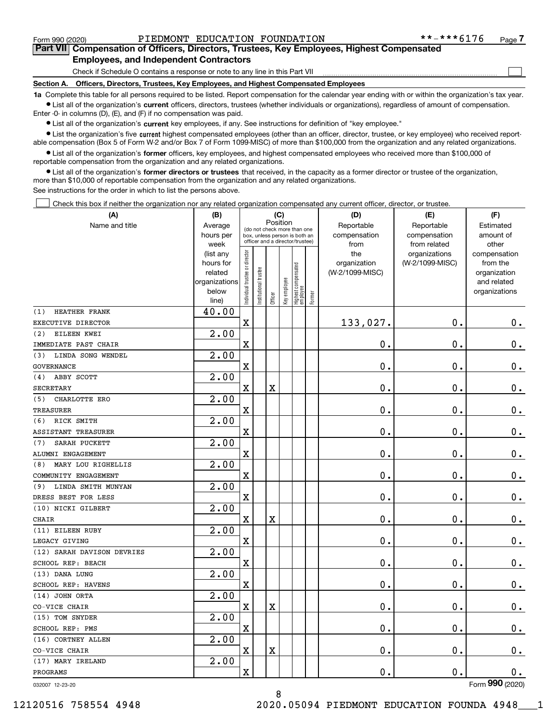$\mathcal{L}^{\text{max}}$ 

## **7Part VII Compensation of Officers, Directors, Trustees, Key Employees, Highest Compensated Employees, and Independent Contractors**

Check if Schedule O contains a response or note to any line in this Part VII

**Section A. Officers, Directors, Trustees, Key Employees, and Highest Compensated Employees**

**1a**  Complete this table for all persons required to be listed. Report compensation for the calendar year ending with or within the organization's tax year. **•** List all of the organization's current officers, directors, trustees (whether individuals or organizations), regardless of amount of compensation.

Enter -0- in columns (D), (E), and (F) if no compensation was paid.

 $\bullet$  List all of the organization's  $\,$ current key employees, if any. See instructions for definition of "key employee."

**•** List the organization's five current highest compensated employees (other than an officer, director, trustee, or key employee) who received reportable compensation (Box 5 of Form W-2 and/or Box 7 of Form 1099-MISC) of more than \$100,000 from the organization and any related organizations.

**•** List all of the organization's former officers, key employees, and highest compensated employees who received more than \$100,000 of reportable compensation from the organization and any related organizations.

**former directors or trustees**  ¥ List all of the organization's that received, in the capacity as a former director or trustee of the organization, more than \$10,000 of reportable compensation from the organization and any related organizations.

See instructions for the order in which to list the persons above.

Check this box if neither the organization nor any related organization compensated any current officer, director, or trustee.  $\mathcal{L}^{\text{max}}$ 

| (A)                        | (B)                    |                               |                                                                  |                         | (C)          |                                  |        | (D)                 | (E)                              | (F)                      |
|----------------------------|------------------------|-------------------------------|------------------------------------------------------------------|-------------------------|--------------|----------------------------------|--------|---------------------|----------------------------------|--------------------------|
| Name and title             | Average                |                               | (do not check more than one                                      | Position                |              |                                  |        | Reportable          | Reportable                       | Estimated                |
|                            | hours per              |                               | box, unless person is both an<br>officer and a director/trustee) |                         |              |                                  |        | compensation        | compensation                     | amount of                |
|                            | week                   |                               |                                                                  |                         |              |                                  |        | from                | from related                     | other                    |
|                            | (list any<br>hours for |                               |                                                                  |                         |              |                                  |        | the<br>organization | organizations<br>(W-2/1099-MISC) | compensation<br>from the |
|                            | related                |                               |                                                                  |                         |              |                                  |        | (W-2/1099-MISC)     |                                  | organization             |
|                            | organizations          |                               |                                                                  |                         |              |                                  |        |                     |                                  | and related              |
|                            | below                  | ndividual trustee or director | nstitutional trustee                                             |                         | Key employee |                                  |        |                     |                                  | organizations            |
|                            | line)                  |                               |                                                                  | Officer                 |              | Highest compensated<br> employee | Former |                     |                                  |                          |
| HEATHER FRANK<br>(1)       | 40.00                  |                               |                                                                  |                         |              |                                  |        |                     |                                  |                          |
| EXECUTIVE DIRECTOR         |                        | X                             |                                                                  |                         |              |                                  |        | 133,027.            | $\mathbf 0$ .                    | $\mathbf 0$ .            |
| EILEEN KWEI<br>(2)         | 2.00                   |                               |                                                                  |                         |              |                                  |        |                     |                                  |                          |
| IMMEDIATE PAST CHAIR       |                        | X                             |                                                                  |                         |              |                                  |        | 0.                  | 0.                               | $\mathbf 0$ .            |
| LINDA SONG WENDEL<br>(3)   | 2.00                   |                               |                                                                  |                         |              |                                  |        |                     |                                  |                          |
| <b>GOVERNANCE</b>          |                        | $\rm X$                       |                                                                  |                         |              |                                  |        | $\mathbf 0$ .       | $\mathbf 0$ .                    | $\mathbf 0$ .            |
| ABBY SCOTT<br>(4)          | 2.00                   |                               |                                                                  |                         |              |                                  |        |                     |                                  |                          |
| <b>SECRETARY</b>           |                        | X                             |                                                                  | X                       |              |                                  |        | 0.                  | 0.                               | $0_{.}$                  |
| CHARLOTTE ERO<br>(5)       | 2.00                   |                               |                                                                  |                         |              |                                  |        |                     |                                  |                          |
| TREASURER                  |                        | $\mathbf X$                   |                                                                  |                         |              |                                  |        | 0.                  | $\mathbf 0$ .                    | $\mathbf 0$ .            |
| RICK SMITH<br>(6)          | 2.00                   |                               |                                                                  |                         |              |                                  |        |                     |                                  |                          |
| <b>ASSISTANT TREASURER</b> |                        | X                             |                                                                  |                         |              |                                  |        | 0.                  | $\mathbf 0$ .                    | $\mathbf 0$ .            |
| (7)<br>SARAH PUCKETT       | 2.00                   |                               |                                                                  |                         |              |                                  |        |                     |                                  |                          |
| ALUMNI ENGAGEMENT          |                        | $\rm X$                       |                                                                  |                         |              |                                  |        | 0.                  | $\mathbf 0$ .                    | $0_{.}$                  |
| MARY LOU RIGHELLIS<br>(8)  | 2.00                   |                               |                                                                  |                         |              |                                  |        |                     |                                  |                          |
| COMMUNITY ENGAGEMENT       |                        | X                             |                                                                  |                         |              |                                  |        | 0.                  | $\mathbf 0$ .                    | $\mathbf 0$ .            |
| (9) LINDA SMITH MUNYAN     | 2.00                   |                               |                                                                  |                         |              |                                  |        |                     |                                  |                          |
| DRESS BEST FOR LESS        |                        | X                             |                                                                  |                         |              |                                  |        | 0.                  | $\mathbf 0$ .                    | $\mathbf 0$ .            |
| (10) NICKI GILBERT         | 2.00                   |                               |                                                                  |                         |              |                                  |        |                     |                                  |                          |
| <b>CHAIR</b>               |                        | X                             |                                                                  | X                       |              |                                  |        | $\mathbf 0$ .       | $\mathbf 0$ .                    | $\mathbf 0$ .            |
| (11) EILEEN RUBY           | 2.00                   |                               |                                                                  |                         |              |                                  |        |                     |                                  |                          |
| LEGACY GIVING              |                        | X                             |                                                                  |                         |              |                                  |        | $\mathbf 0$ .       | $\mathbf 0$ .                    | $\mathbf 0$ .            |
| (12) SARAH DAVISON DEVRIES | 2.00                   |                               |                                                                  |                         |              |                                  |        |                     |                                  |                          |
| SCHOOL REP: BEACH          |                        | $\overline{\textbf{X}}$       |                                                                  |                         |              |                                  |        | 0.                  | $\mathbf 0$ .                    | $0_{.}$                  |
| (13) DANA LUNG             | 2.00                   |                               |                                                                  |                         |              |                                  |        |                     |                                  |                          |
| SCHOOL REP: HAVENS         |                        | X                             |                                                                  |                         |              |                                  |        | 0.                  | 0.                               | $\mathbf 0$ .            |
| (14) JOHN ORTA             | 2.00                   |                               |                                                                  |                         |              |                                  |        |                     |                                  |                          |
| CO-VICE CHAIR              |                        | $\overline{\text{X}}$         |                                                                  | X                       |              |                                  |        | $\mathbf 0$ .       | $\mathbf 0$ .                    | $\mathbf 0$ .            |
| (15) TOM SNYDER            | 2.00                   |                               |                                                                  |                         |              |                                  |        |                     |                                  |                          |
| SCHOOL REP: PMS            |                        | $\mathbf X$                   |                                                                  |                         |              |                                  |        | 0.                  | $\mathbf 0$ .                    | 0.                       |
| (16) CORTNEY ALLEN         | 2.00                   |                               |                                                                  |                         |              |                                  |        |                     |                                  |                          |
| CO-VICE CHAIR              |                        | $\mathbf X$                   |                                                                  | $\overline{\textbf{X}}$ |              |                                  |        | 0.                  | $\mathbf 0$ .                    | 0.                       |
| (17) MARY IRELAND          | 2.00                   |                               |                                                                  |                         |              |                                  |        |                     |                                  |                          |
| PROGRAMS                   |                        | $\rm X$                       |                                                                  |                         |              |                                  |        | 0.                  | $\mathbf 0$ .                    | $0_{.}$                  |

032007 12-23-20

Form (2020) **990**

8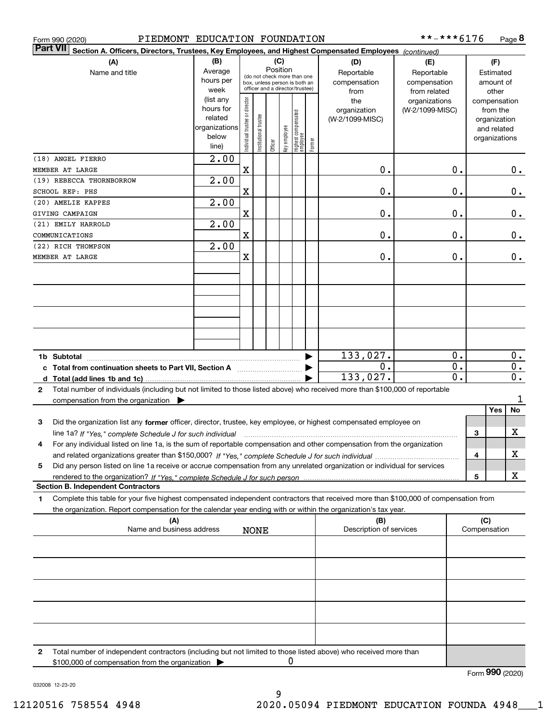|                                                                                                                           | PIEDMONT EDUCATION FOUNDATION<br>Form 990 (2020)                                                                                                                                         |                                                                                           |                                |                       |         |              |                                                                                                                                    |        |                                                                                     | **-***6176                                                                            |                  |                 |                                                                                   | Page 8           |
|---------------------------------------------------------------------------------------------------------------------------|------------------------------------------------------------------------------------------------------------------------------------------------------------------------------------------|-------------------------------------------------------------------------------------------|--------------------------------|-----------------------|---------|--------------|------------------------------------------------------------------------------------------------------------------------------------|--------|-------------------------------------------------------------------------------------|---------------------------------------------------------------------------------------|------------------|-----------------|-----------------------------------------------------------------------------------|------------------|
| <b>Part VII</b><br>Section A. Officers, Directors, Trustees, Key Employees, and Highest Compensated Employees (continued) |                                                                                                                                                                                          |                                                                                           |                                |                       |         |              |                                                                                                                                    |        |                                                                                     |                                                                                       |                  |                 |                                                                                   |                  |
|                                                                                                                           | (A)<br>Name and title                                                                                                                                                                    | (B)<br>Average<br>hours per<br>week<br>(list any<br>hours for<br>related<br>organizations | Individual trustee or director | Institutional trustee | (C)     | Position     | (do not check more than one<br>box, unless person is both an<br>officer and a director/trustee)<br>Highest compensated<br>employee |        | (D)<br>Reportable<br>compensation<br>from<br>the<br>organization<br>(W-2/1099-MISC) | (E)<br>Reportable<br>compensation<br>from related<br>organizations<br>(W-2/1099-MISC) |                  | compensation    | (F)<br>Estimated<br>amount of<br>other<br>from the<br>organization<br>and related |                  |
|                                                                                                                           |                                                                                                                                                                                          | below<br>line)                                                                            |                                |                       | Officer | Key employee |                                                                                                                                    | Former |                                                                                     |                                                                                       |                  | organizations   |                                                                                   |                  |
|                                                                                                                           | (18) ANGEL FIERRO                                                                                                                                                                        | 2.00                                                                                      |                                |                       |         |              |                                                                                                                                    |        |                                                                                     |                                                                                       |                  |                 |                                                                                   |                  |
|                                                                                                                           | MEMBER AT LARGE                                                                                                                                                                          |                                                                                           | X                              |                       |         |              |                                                                                                                                    |        | 0.                                                                                  |                                                                                       | 0.               |                 |                                                                                   | 0.               |
|                                                                                                                           | (19) REBECCA THORNBORROW                                                                                                                                                                 | 2.00                                                                                      | $\mathbf X$                    |                       |         |              |                                                                                                                                    |        | 0.                                                                                  |                                                                                       | 0.               |                 |                                                                                   | 0.               |
|                                                                                                                           | SCHOOL REP: PHS<br>(20) AMELIE KAPPES                                                                                                                                                    | 2.00                                                                                      |                                |                       |         |              |                                                                                                                                    |        |                                                                                     |                                                                                       |                  |                 |                                                                                   |                  |
|                                                                                                                           | <b>GIVING CAMPAIGN</b>                                                                                                                                                                   |                                                                                           | X                              |                       |         |              |                                                                                                                                    |        | 0.                                                                                  |                                                                                       | 0.               |                 |                                                                                   | 0.               |
|                                                                                                                           | (21) EMILY HARROLD                                                                                                                                                                       | 2.00                                                                                      |                                |                       |         |              |                                                                                                                                    |        |                                                                                     |                                                                                       |                  |                 |                                                                                   |                  |
|                                                                                                                           | COMMUNICATIONS                                                                                                                                                                           |                                                                                           | X                              |                       |         |              |                                                                                                                                    |        | 0.                                                                                  |                                                                                       | 0.               |                 |                                                                                   | 0.               |
|                                                                                                                           | (22) RICH THOMPSON                                                                                                                                                                       | 2.00                                                                                      |                                |                       |         |              |                                                                                                                                    |        |                                                                                     |                                                                                       |                  |                 |                                                                                   |                  |
|                                                                                                                           | MEMBER AT LARGE                                                                                                                                                                          |                                                                                           | X                              |                       |         |              |                                                                                                                                    |        | 0.                                                                                  |                                                                                       | 0.               |                 |                                                                                   | 0.               |
|                                                                                                                           |                                                                                                                                                                                          |                                                                                           |                                |                       |         |              |                                                                                                                                    |        |                                                                                     |                                                                                       |                  |                 |                                                                                   |                  |
|                                                                                                                           |                                                                                                                                                                                          |                                                                                           |                                |                       |         |              |                                                                                                                                    |        |                                                                                     |                                                                                       |                  |                 |                                                                                   |                  |
|                                                                                                                           |                                                                                                                                                                                          |                                                                                           |                                |                       |         |              |                                                                                                                                    |        |                                                                                     |                                                                                       |                  |                 |                                                                                   |                  |
|                                                                                                                           |                                                                                                                                                                                          |                                                                                           |                                |                       |         |              |                                                                                                                                    |        |                                                                                     |                                                                                       |                  |                 |                                                                                   |                  |
|                                                                                                                           |                                                                                                                                                                                          |                                                                                           |                                |                       |         |              |                                                                                                                                    |        |                                                                                     |                                                                                       |                  |                 |                                                                                   |                  |
|                                                                                                                           |                                                                                                                                                                                          |                                                                                           |                                |                       |         |              |                                                                                                                                    |        |                                                                                     |                                                                                       |                  |                 |                                                                                   |                  |
|                                                                                                                           |                                                                                                                                                                                          |                                                                                           |                                |                       |         |              |                                                                                                                                    |        |                                                                                     |                                                                                       |                  |                 |                                                                                   |                  |
|                                                                                                                           | 1b Subtotal                                                                                                                                                                              |                                                                                           |                                |                       |         |              |                                                                                                                                    | ▶      | 133,027.                                                                            |                                                                                       | 0.               |                 |                                                                                   | 0.               |
|                                                                                                                           | c Total from continuation sheets to Part VII, Section A manufactured contains                                                                                                            |                                                                                           |                                |                       |         |              |                                                                                                                                    |        | 0.                                                                                  |                                                                                       | 0.               |                 |                                                                                   | 0.               |
|                                                                                                                           |                                                                                                                                                                                          |                                                                                           |                                |                       |         |              |                                                                                                                                    |        | 133,027.                                                                            |                                                                                       | $\overline{0}$ . |                 |                                                                                   | $\overline{0}$ . |
| 2                                                                                                                         | Total number of individuals (including but not limited to those listed above) who received more than \$100,000 of reportable<br>compensation from the organization $\blacktriangleright$ |                                                                                           |                                |                       |         |              |                                                                                                                                    |        |                                                                                     |                                                                                       |                  |                 |                                                                                   | ı                |
|                                                                                                                           |                                                                                                                                                                                          |                                                                                           |                                |                       |         |              |                                                                                                                                    |        |                                                                                     |                                                                                       |                  |                 | Yes                                                                               | No               |
| 3                                                                                                                         | Did the organization list any former officer, director, trustee, key employee, or highest compensated employee on                                                                        |                                                                                           |                                |                       |         |              |                                                                                                                                    |        |                                                                                     |                                                                                       |                  |                 |                                                                                   |                  |
|                                                                                                                           | line 1a? If "Yes," complete Schedule J for such individual manufactured contained and the 1a? If "Yes," complete Schedule J for such individual                                          |                                                                                           |                                |                       |         |              |                                                                                                                                    |        |                                                                                     |                                                                                       |                  | 3               |                                                                                   | X                |
| 4                                                                                                                         | For any individual listed on line 1a, is the sum of reportable compensation and other compensation from the organization                                                                 |                                                                                           |                                |                       |         |              |                                                                                                                                    |        |                                                                                     |                                                                                       |                  |                 |                                                                                   |                  |
|                                                                                                                           |                                                                                                                                                                                          |                                                                                           |                                |                       |         |              |                                                                                                                                    |        |                                                                                     | 4                                                                                     |                  | х               |                                                                                   |                  |
| 5                                                                                                                         | Did any person listed on line 1a receive or accrue compensation from any unrelated organization or individual for services                                                               |                                                                                           |                                |                       |         |              |                                                                                                                                    |        |                                                                                     |                                                                                       |                  |                 |                                                                                   |                  |
|                                                                                                                           | <b>Section B. Independent Contractors</b>                                                                                                                                                |                                                                                           |                                |                       |         |              |                                                                                                                                    |        |                                                                                     |                                                                                       |                  | 5               |                                                                                   | X                |
| 1.                                                                                                                        | Complete this table for your five highest compensated independent contractors that received more than \$100,000 of compensation from                                                     |                                                                                           |                                |                       |         |              |                                                                                                                                    |        |                                                                                     |                                                                                       |                  |                 |                                                                                   |                  |
|                                                                                                                           | the organization. Report compensation for the calendar year ending with or within the organization's tax year.                                                                           |                                                                                           |                                |                       |         |              |                                                                                                                                    |        |                                                                                     |                                                                                       |                  |                 |                                                                                   |                  |
|                                                                                                                           | (A)                                                                                                                                                                                      |                                                                                           |                                |                       |         |              |                                                                                                                                    |        | (B)                                                                                 |                                                                                       |                  | (C)             |                                                                                   |                  |
|                                                                                                                           | Name and business address                                                                                                                                                                |                                                                                           |                                | <b>NONE</b>           |         |              |                                                                                                                                    |        | Description of services                                                             |                                                                                       |                  | Compensation    |                                                                                   |                  |
|                                                                                                                           |                                                                                                                                                                                          |                                                                                           |                                |                       |         |              |                                                                                                                                    |        |                                                                                     |                                                                                       |                  |                 |                                                                                   |                  |
|                                                                                                                           |                                                                                                                                                                                          |                                                                                           |                                |                       |         |              |                                                                                                                                    |        |                                                                                     |                                                                                       |                  |                 |                                                                                   |                  |
|                                                                                                                           |                                                                                                                                                                                          |                                                                                           |                                |                       |         |              |                                                                                                                                    |        |                                                                                     |                                                                                       |                  |                 |                                                                                   |                  |
|                                                                                                                           |                                                                                                                                                                                          |                                                                                           |                                |                       |         |              |                                                                                                                                    |        |                                                                                     |                                                                                       |                  |                 |                                                                                   |                  |
|                                                                                                                           |                                                                                                                                                                                          |                                                                                           |                                |                       |         |              |                                                                                                                                    |        |                                                                                     |                                                                                       |                  |                 |                                                                                   |                  |
|                                                                                                                           |                                                                                                                                                                                          |                                                                                           |                                |                       |         |              |                                                                                                                                    |        |                                                                                     |                                                                                       |                  |                 |                                                                                   |                  |
|                                                                                                                           |                                                                                                                                                                                          |                                                                                           |                                |                       |         |              |                                                                                                                                    |        |                                                                                     |                                                                                       |                  |                 |                                                                                   |                  |
|                                                                                                                           |                                                                                                                                                                                          |                                                                                           |                                |                       |         |              |                                                                                                                                    |        |                                                                                     |                                                                                       |                  |                 |                                                                                   |                  |
|                                                                                                                           |                                                                                                                                                                                          |                                                                                           |                                |                       |         |              |                                                                                                                                    |        |                                                                                     |                                                                                       |                  |                 |                                                                                   |                  |
| 2                                                                                                                         | Total number of independent contractors (including but not limited to those listed above) who received more than<br>\$100,000 of compensation from the organization                      |                                                                                           |                                |                       |         | 0            |                                                                                                                                    |        |                                                                                     |                                                                                       |                  |                 |                                                                                   |                  |
|                                                                                                                           |                                                                                                                                                                                          |                                                                                           |                                |                       |         |              |                                                                                                                                    |        |                                                                                     |                                                                                       |                  | Form 990 (2020) |                                                                                   |                  |

032008 12-23-20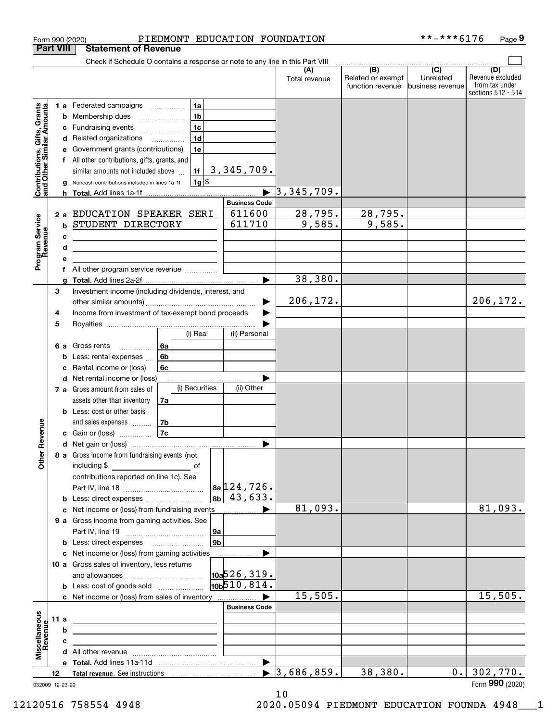|                                                           | <b>Part VIII</b> | <b>Statement of Revenue</b>                                                                                                                                                                                                                                                         |                                                                                 |                                                            |                                  |                                              |                                                 |                                                                 |
|-----------------------------------------------------------|------------------|-------------------------------------------------------------------------------------------------------------------------------------------------------------------------------------------------------------------------------------------------------------------------------------|---------------------------------------------------------------------------------|------------------------------------------------------------|----------------------------------|----------------------------------------------|-------------------------------------------------|-----------------------------------------------------------------|
|                                                           |                  | Check if Schedule O contains a response or note to any line in this Part VIII                                                                                                                                                                                                       |                                                                                 |                                                            |                                  |                                              |                                                 |                                                                 |
|                                                           |                  |                                                                                                                                                                                                                                                                                     |                                                                                 |                                                            | Total revenue                    | (B)<br>Related or exempt<br>function revenue | $\overline{C}$<br>Unrelated<br>business revenue | (D)<br>Revenue excluded<br>from tax under<br>sections 512 - 514 |
| Contributions, Gifts, Grants<br>and Other Similar Amounts |                  | 1 a Federated campaigns<br>Membership dues<br>b<br>Fundraising events<br>с<br>Related organizations<br>d<br>Government grants (contributions)<br>All other contributions, gifts, grants, and<br>similar amounts not included above<br>Noncash contributions included in lines 1a-1f | 1a<br>1 <sub>b</sub><br>1 <sub>c</sub><br>1 <sub>d</sub><br>1e<br>1f<br>$1g$ \$ | 3,345,709.                                                 |                                  |                                              |                                                 |                                                                 |
|                                                           |                  | h.                                                                                                                                                                                                                                                                                  |                                                                                 |                                                            | $\overline{3}$ , 345, 709.       |                                              |                                                 |                                                                 |
| Program Service<br>Revenue                                | 2a               | EDUCATION SPEAKER SERI<br>STUDENT DIRECTORY<br>b<br>с<br><u> 1989 - Johann Barbara, martin amerikan basar dan berasal dalam basa dalam basar dalam basar dalam basar dala</u><br>d<br>the contract of the contract of the contract of the contract of the contract of               |                                                                                 | <b>Business Code</b><br>611600<br>611710                   | 28,795.<br>9,585.                | 28,795.<br>9,585.                            |                                                 |                                                                 |
|                                                           | f                | All other program service revenue                                                                                                                                                                                                                                                   |                                                                                 |                                                            |                                  |                                              |                                                 |                                                                 |
|                                                           | 3<br>4           | Investment income (including dividends, interest, and<br>Income from investment of tax-exempt bond proceeds                                                                                                                                                                         |                                                                                 | ▶                                                          | 38,380.<br>206,172.              |                                              |                                                 | 206,172.                                                        |
|                                                           | 5<br>6а          | Gross rents<br>6а<br>.<br>6b<br>Less: rental expenses<br>b<br>6c<br>Rental income or (loss)<br>c<br>Net rental income or (loss)<br>d<br>7 a Gross amount from sales of                                                                                                              | (i) Real<br>(i) Securities                                                      | (ii) Personal<br>(ii) Other                                |                                  |                                              |                                                 |                                                                 |
| Revenue                                                   |                  | assets other than inventory<br>7a<br><b>b</b> Less: cost or other basis<br>  7b<br>and sales expenses<br> 7c <br>c Gain or (loss)                                                                                                                                                   |                                                                                 |                                                            |                                  |                                              |                                                 |                                                                 |
| <b>Other</b>                                              |                  | 8 a Gross income from fundraising events (not<br>including $$$<br>contributions reported on line 1c). See<br><b>b</b> Less: direct expenses                                                                                                                                         |                                                                                 | $ a_1 1 2 4 7 2 6.$<br>8b 43,633.                          |                                  |                                              |                                                 |                                                                 |
|                                                           |                  | 9 a Gross income from gaming activities. See                                                                                                                                                                                                                                        | 9a                                                                              |                                                            | 81,093.                          |                                              |                                                 | 81,093.                                                         |
|                                                           |                  | <b>b</b> Less: direct expenses <b>contained b</b> Less: direct expenses<br>c Net income or (loss) from gaming activities                                                                                                                                                            | 9 <sub>b</sub>                                                                  | .                                                          |                                  |                                              |                                                 |                                                                 |
|                                                           |                  | 10 a Gross sales of inventory, less returns<br><b>b</b> Less: cost of goods sold                                                                                                                                                                                                    |                                                                                 | $\vert$ 10a $\vert$ 526, 319.<br>10 <sub>b</sub> 510, 814. |                                  |                                              |                                                 |                                                                 |
|                                                           |                  |                                                                                                                                                                                                                                                                                     |                                                                                 |                                                            | 15,505.                          |                                              |                                                 | 15,505.                                                         |
| Miscellaneous<br>Revenue                                  | 11 a             | <u> 1989 - Johann Barn, mars eta biztanleria (h. 1989).</u><br>b<br><u> 1989 - Johann Stein, marwolaethau a bhann an t-Amhair an t-Amhair an t-Amhair an t-Amhair an t-Amhair an t-A</u><br>c<br>the control of the control of the control of the control of the control of         |                                                                                 | <b>Business Code</b>                                       |                                  |                                              |                                                 |                                                                 |
|                                                           |                  |                                                                                                                                                                                                                                                                                     |                                                                                 |                                                            |                                  |                                              |                                                 |                                                                 |
|                                                           | 12               |                                                                                                                                                                                                                                                                                     |                                                                                 |                                                            | $\blacktriangleright$ 3,686,859. | 38,380.                                      | 0.1                                             | 302,770.                                                        |
|                                                           | 032009 12-23-20  |                                                                                                                                                                                                                                                                                     |                                                                                 |                                                            |                                  |                                              |                                                 | Form 990 (2020)                                                 |

Form 990 (2020) PIEDMONT EDUCATION FOUNDATION \* \*-\* \* \* b I / 6 Page

PIEDMONT EDUCATION FOUNDATION \*\*-\*\*\*6176

**9**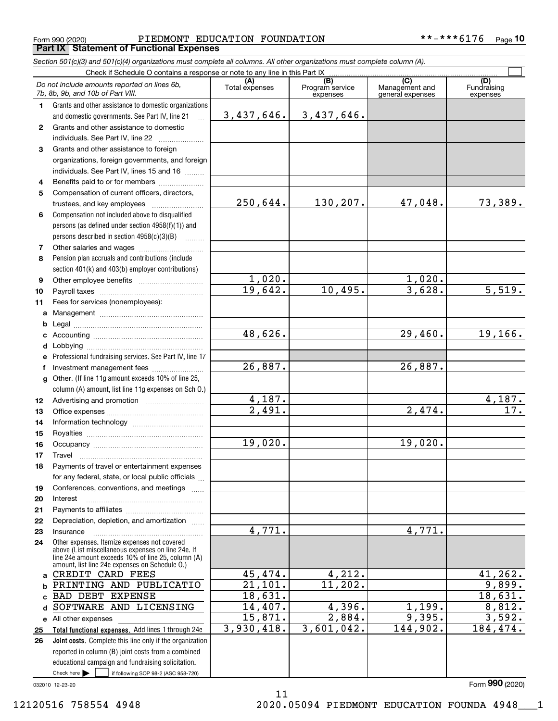Form 990 (2020) Page **Part IX Statement of Functional Expenses** PIEDMONT EDUCATION FOUNDATION \*\*-\*\*\*6176

*Section 501(c)(3) and 501(c)(4) organizations must complete all columns. All other organizations must complete column (A).*

|          | Do not include amounts reported on lines 6b.<br>7b, 8b, 9b, and 10b of Part VIII.                        | (A)<br>Total expenses          | $\overline{(B)}$<br>Program service<br>expenses | $\overline{C}$<br>Management and<br>general expenses | (D)<br>Fundraising<br>expenses |
|----------|----------------------------------------------------------------------------------------------------------|--------------------------------|-------------------------------------------------|------------------------------------------------------|--------------------------------|
| 1        | Grants and other assistance to domestic organizations                                                    |                                |                                                 |                                                      |                                |
|          | and domestic governments. See Part IV, line 21                                                           | 3, 437, 646.                   | 3,437,646.                                      |                                                      |                                |
| 2        | Grants and other assistance to domestic                                                                  |                                |                                                 |                                                      |                                |
|          | individuals. See Part IV, line 22<br>$\overline{\phantom{a}}$                                            |                                |                                                 |                                                      |                                |
| 3        | Grants and other assistance to foreign                                                                   |                                |                                                 |                                                      |                                |
|          | organizations, foreign governments, and foreign                                                          |                                |                                                 |                                                      |                                |
|          | individuals. See Part IV, lines 15 and 16                                                                |                                |                                                 |                                                      |                                |
| 4        | Benefits paid to or for members                                                                          |                                |                                                 |                                                      |                                |
| 5        | Compensation of current officers, directors,                                                             |                                |                                                 |                                                      |                                |
|          | trustees, and key employees                                                                              | 250,644.                       | 130,207.                                        | 47,048.                                              | 73,389.                        |
| 6        | Compensation not included above to disqualified                                                          |                                |                                                 |                                                      |                                |
|          | persons (as defined under section 4958(f)(1)) and                                                        |                                |                                                 |                                                      |                                |
|          | persons described in section 4958(c)(3)(B)                                                               |                                |                                                 |                                                      |                                |
| 7        |                                                                                                          |                                |                                                 |                                                      |                                |
| 8        | Pension plan accruals and contributions (include                                                         |                                |                                                 |                                                      |                                |
|          | section 401(k) and 403(b) employer contributions)                                                        |                                |                                                 |                                                      |                                |
| 9        |                                                                                                          | 1,020.                         |                                                 | 1,020.                                               |                                |
| 10       |                                                                                                          | 19,642.                        | 10,495.                                         | 3,628.                                               | $\overline{5,519.}$            |
| 11       | Fees for services (nonemployees):                                                                        |                                |                                                 |                                                      |                                |
| a        |                                                                                                          |                                |                                                 |                                                      |                                |
| b        |                                                                                                          |                                |                                                 |                                                      |                                |
| c        |                                                                                                          | 48,626.                        |                                                 | $\overline{29,460}$ .                                | 19, 166.                       |
| d        |                                                                                                          |                                |                                                 |                                                      |                                |
| е        | Professional fundraising services. See Part IV, line 17                                                  |                                |                                                 |                                                      |                                |
| f        | Investment management fees                                                                               | 26,887.                        |                                                 | 26,887.                                              |                                |
| g        | Other. (If line 11g amount exceeds 10% of line 25,                                                       |                                |                                                 |                                                      |                                |
|          | column (A) amount, list line 11g expenses on Sch 0.)                                                     |                                |                                                 |                                                      |                                |
| 12       |                                                                                                          | 4,187.<br>$\overline{2,491}$ . |                                                 | 2,474.                                               | 4,187.<br>$\overline{17}$ .    |
| 13       |                                                                                                          |                                |                                                 |                                                      |                                |
| 14       |                                                                                                          |                                |                                                 |                                                      |                                |
| 15       |                                                                                                          | 19,020.                        |                                                 | 19,020.                                              |                                |
| 16<br>17 | Travel                                                                                                   |                                |                                                 |                                                      |                                |
| 18       | Payments of travel or entertainment expenses                                                             |                                |                                                 |                                                      |                                |
|          | for any federal, state, or local public officials                                                        |                                |                                                 |                                                      |                                |
| 19       | Conferences, conventions, and meetings                                                                   |                                |                                                 |                                                      |                                |
| 20       | Interest                                                                                                 |                                |                                                 |                                                      |                                |
| 21       |                                                                                                          |                                |                                                 |                                                      |                                |
| 22       | Depreciation, depletion, and amortization                                                                |                                |                                                 |                                                      |                                |
| 23       | Insurance                                                                                                | 4,771.                         |                                                 | 4,771.                                               |                                |
| 24       | Other expenses. Itemize expenses not covered                                                             |                                |                                                 |                                                      |                                |
|          | above (List miscellaneous expenses on line 24e. If<br>line 24e amount exceeds 10% of line 25, column (A) |                                |                                                 |                                                      |                                |
|          | amount, list line 24e expenses on Schedule O.)                                                           |                                |                                                 |                                                      |                                |
| a        | CREDIT CARD FEES                                                                                         | 45,474.                        | 4,212.                                          |                                                      | 41,262.                        |
| b        | PRINTING AND PUBLICATIO                                                                                  | 21,101.                        | 11, 202.                                        |                                                      | 9,899.                         |
| C        | <b>BAD DEBT EXPENSE</b>                                                                                  | 18,631.                        |                                                 |                                                      | 18,631.                        |
| d        | SOFTWARE AND LICENSING                                                                                   | 14,407.                        | 4,396.                                          | 1,199.                                               | 8,812.                         |
|          | e All other expenses                                                                                     | 15,871.                        | 2,884.                                          | 9,395.                                               | 3,592.                         |
| 25       | Total functional expenses. Add lines 1 through 24e                                                       | 3,930,418.                     | 3,601,042.                                      | 144,902.                                             | 184,474.                       |
| 26       | <b>Joint costs.</b> Complete this line only if the organization                                          |                                |                                                 |                                                      |                                |
|          | reported in column (B) joint costs from a combined                                                       |                                |                                                 |                                                      |                                |
|          | educational campaign and fundraising solicitation.                                                       |                                |                                                 |                                                      |                                |
|          | Check here $\blacktriangleright$<br>if following SOP 98-2 (ASC 958-720)                                  |                                |                                                 |                                                      |                                |

032010 12-23-20

11 12120516 758554 4948 2020.05094 PIEDMONT EDUCATION FOUNDA 4948\_\_\_1

Form (2020) **990**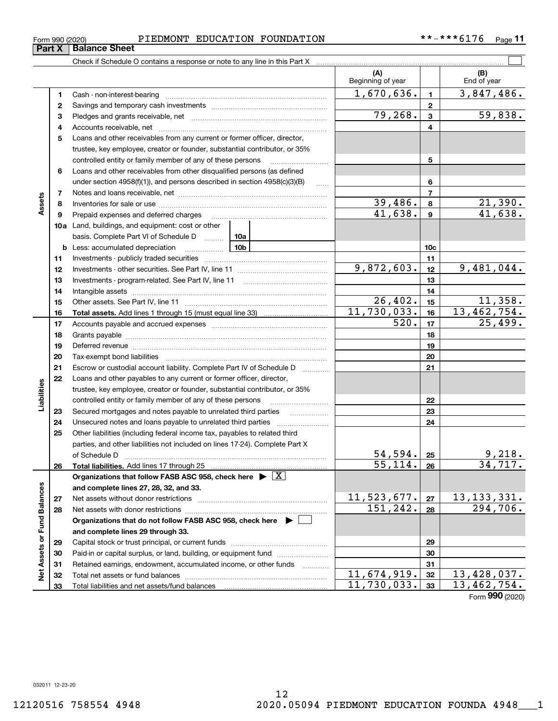#### Form 990 (2020) PIEDMONT EDUCATION FOUNDATION \*\*-\*\*\*6176 <sub>Page</sub>

**11**

|                             |    |                                                                                                                                                                                                                                |                          | (A)<br>Beginning of year          |                 | (B)<br>End of year |
|-----------------------------|----|--------------------------------------------------------------------------------------------------------------------------------------------------------------------------------------------------------------------------------|--------------------------|-----------------------------------|-----------------|--------------------|
|                             | 1. |                                                                                                                                                                                                                                |                          | 1,670,636.                        | $\mathbf{1}$    | 3,847,486.         |
|                             | 2  |                                                                                                                                                                                                                                |                          |                                   | $\mathbf{2}$    |                    |
|                             | 3  |                                                                                                                                                                                                                                |                          | 79,268.                           | 3               | 59,838.            |
|                             | 4  |                                                                                                                                                                                                                                |                          |                                   | 4               |                    |
|                             | 5  | Loans and other receivables from any current or former officer, director,                                                                                                                                                      |                          |                                   |                 |                    |
|                             |    | trustee, key employee, creator or founder, substantial contributor, or 35%                                                                                                                                                     |                          |                                   |                 |                    |
|                             |    | controlled entity or family member of any of these persons                                                                                                                                                                     |                          |                                   | 5               |                    |
|                             | 6  | Loans and other receivables from other disqualified persons (as defined                                                                                                                                                        |                          |                                   |                 |                    |
|                             |    | under section $4958(f)(1)$ , and persons described in section $4958(c)(3)(B)$                                                                                                                                                  | $\ldots$                 |                                   | 6               |                    |
|                             | 7  |                                                                                                                                                                                                                                |                          |                                   | $\overline{7}$  |                    |
| Assets                      | 8  |                                                                                                                                                                                                                                |                          | 39,486.                           | 8               | 21,390.            |
|                             | 9  |                                                                                                                                                                                                                                |                          | 41,638.                           | 9               | 41,638.            |
|                             |    | <b>10a</b> Land, buildings, and equipment: cost or other                                                                                                                                                                       |                          |                                   |                 |                    |
|                             |    | basis. Complete Part VI of Schedule D  10a                                                                                                                                                                                     |                          |                                   |                 |                    |
|                             |    | $\frac{10b}{2}$<br><b>b</b> Less: accumulated depreciation                                                                                                                                                                     |                          |                                   | 10 <sub>c</sub> |                    |
|                             | 11 |                                                                                                                                                                                                                                |                          |                                   | 11              |                    |
|                             | 12 |                                                                                                                                                                                                                                | $\overline{9,872,603}$ . | 12                                | 9,481,044.      |                    |
|                             | 13 |                                                                                                                                                                                                                                |                          | 13                                |                 |                    |
|                             | 14 |                                                                                                                                                                                                                                |                          | 14                                |                 |                    |
|                             | 15 |                                                                                                                                                                                                                                | 26,402.                  | 15                                | 11,358.         |                    |
|                             | 16 |                                                                                                                                                                                                                                |                          | 11,730,033.                       | 16              | 13,462,754.        |
|                             | 17 |                                                                                                                                                                                                                                |                          | 520.                              | 17              | 25,499.            |
|                             | 18 |                                                                                                                                                                                                                                |                          | 18                                |                 |                    |
|                             | 19 | Deferred revenue manual contracts and contracts are all the contracts and contracts are contracted and contracts are contracted and contract are contracted and contract are contracted and contract are contracted and contra |                          |                                   | 19              |                    |
|                             | 20 |                                                                                                                                                                                                                                |                          |                                   | 20              |                    |
|                             | 21 | Escrow or custodial account liability. Complete Part IV of Schedule D                                                                                                                                                          |                          |                                   | 21              |                    |
|                             | 22 | Loans and other payables to any current or former officer, director,                                                                                                                                                           |                          |                                   |                 |                    |
| Liabilities                 |    | trustee, key employee, creator or founder, substantial contributor, or 35%                                                                                                                                                     |                          |                                   |                 |                    |
|                             |    | controlled entity or family member of any of these persons                                                                                                                                                                     |                          |                                   | 22              |                    |
|                             | 23 | Secured mortgages and notes payable to unrelated third parties                                                                                                                                                                 |                          |                                   | 23              |                    |
|                             | 24 |                                                                                                                                                                                                                                |                          |                                   | 24              |                    |
|                             | 25 | Other liabilities (including federal income tax, payables to related third                                                                                                                                                     |                          |                                   |                 |                    |
|                             |    | parties, and other liabilities not included on lines 17-24). Complete Part X                                                                                                                                                   |                          |                                   |                 |                    |
|                             |    | of Schedule D <b>contract the contract of Schedule D</b>                                                                                                                                                                       |                          | 54, 594.<br>$\overline{55,114}$ . | 25              | 9,218.             |
|                             | 26 | Total liabilities. Add lines 17 through 25                                                                                                                                                                                     |                          |                                   | 26              | 34, 717.           |
|                             |    | Organizations that follow FASB ASC 958, check here $\blacktriangleright \lfloor X \rfloor$                                                                                                                                     |                          |                                   |                 |                    |
|                             |    | and complete lines 27, 28, 32, and 33.                                                                                                                                                                                         |                          |                                   |                 | 13, 133, 331.      |
|                             | 27 |                                                                                                                                                                                                                                |                          | 11,523,677.<br>151, 242.          | 27              | 294,706.           |
|                             | 28 |                                                                                                                                                                                                                                |                          |                                   | 28              |                    |
|                             |    | Organizations that do not follow FASB ASC 958, check here ▶ □                                                                                                                                                                  |                          |                                   |                 |                    |
| Net Assets or Fund Balances |    | and complete lines 29 through 33.                                                                                                                                                                                              |                          |                                   |                 |                    |
|                             | 29 |                                                                                                                                                                                                                                |                          |                                   | 29              |                    |
|                             | 30 | Paid-in or capital surplus, or land, building, or equipment fund                                                                                                                                                               |                          |                                   | 30              |                    |
|                             | 31 | Retained earnings, endowment, accumulated income, or other funds                                                                                                                                                               |                          | 11,674,919.                       | 31<br>32        | 13,428,037.        |
|                             | 32 |                                                                                                                                                                                                                                |                          | 11,730,033.                       | 33              | 13,462,754.        |
|                             | 33 |                                                                                                                                                                                                                                |                          |                                   |                 |                    |

Form (2020) **990**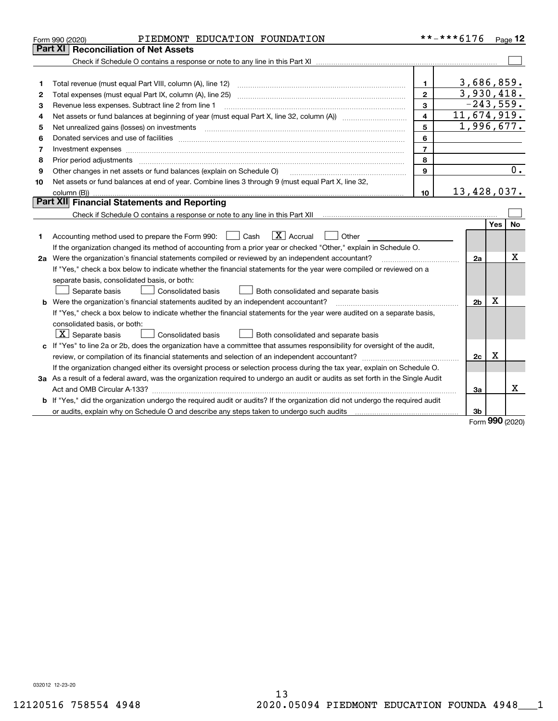|    | PIEDMONT EDUCATION FOUNDATION<br>Form 990 (2020)                                                                                                                                                                                                                                                                                                                                                                                                                             |                | **-***6176     |             | $P_{\text{aqe}}$ 12 |
|----|------------------------------------------------------------------------------------------------------------------------------------------------------------------------------------------------------------------------------------------------------------------------------------------------------------------------------------------------------------------------------------------------------------------------------------------------------------------------------|----------------|----------------|-------------|---------------------|
|    | <b>Reconciliation of Net Assets</b><br>Part XI                                                                                                                                                                                                                                                                                                                                                                                                                               |                |                |             |                     |
|    |                                                                                                                                                                                                                                                                                                                                                                                                                                                                              |                |                |             |                     |
|    |                                                                                                                                                                                                                                                                                                                                                                                                                                                                              |                |                |             |                     |
|    | Total revenue (must equal Part VIII, column (A), line 12)                                                                                                                                                                                                                                                                                                                                                                                                                    | $\mathbf{1}$   | 3,686,859.     |             |                     |
| 2  | Total expenses (must equal Part IX, column (A), line 25)                                                                                                                                                                                                                                                                                                                                                                                                                     | $\mathbf{2}$   | 3,930,418.     |             |                     |
| 3  | Revenue less expenses. Subtract line 2 from line 1                                                                                                                                                                                                                                                                                                                                                                                                                           | 3              |                | $-243,559.$ |                     |
| 4  |                                                                                                                                                                                                                                                                                                                                                                                                                                                                              | 4              | 11,674,919.    |             |                     |
| 5  | Net unrealized gains (losses) on investments                                                                                                                                                                                                                                                                                                                                                                                                                                 | 5              | 1,996,677.     |             |                     |
| 6  |                                                                                                                                                                                                                                                                                                                                                                                                                                                                              | 6              |                |             |                     |
| 7  | Investment expenses www.communication.communication.com/www.communication.com/www.communication.com                                                                                                                                                                                                                                                                                                                                                                          | $\overline{7}$ |                |             |                     |
| 8  | Prior period adjustments<br>$\begin{minipage}{0.5\textwidth} \begin{tabular}{ l l l } \hline \multicolumn{1}{ l l l } \hline \multicolumn{1}{ l l } \hline \multicolumn{1}{ l } \multicolumn{1}{ l } \hline \multicolumn{1}{ l } \multicolumn{1}{ l } \multicolumn{1}{ l } \hline \multicolumn{1}{ l } \multicolumn{1}{ l } \multicolumn{1}{ l } \hline \multicolumn{1}{ l } \multicolumn{1}{ l } \hline \multicolumn{1}{ l } \multicolumn{1}{ l } \hline \multicolumn{1}{ $ | 8              |                |             |                     |
| 9  | Other changes in net assets or fund balances (explain on Schedule O)                                                                                                                                                                                                                                                                                                                                                                                                         | 9              |                |             | 0.                  |
| 10 | Net assets or fund balances at end of year. Combine lines 3 through 9 (must equal Part X, line 32,                                                                                                                                                                                                                                                                                                                                                                           |                |                |             |                     |
|    |                                                                                                                                                                                                                                                                                                                                                                                                                                                                              | 10             | 13, 428, 037.  |             |                     |
|    | Part XII Financial Statements and Reporting                                                                                                                                                                                                                                                                                                                                                                                                                                  |                |                |             |                     |
|    |                                                                                                                                                                                                                                                                                                                                                                                                                                                                              |                |                |             |                     |
|    |                                                                                                                                                                                                                                                                                                                                                                                                                                                                              |                |                | Yes         | No                  |
| 1  | $\boxed{\mathbf{X}}$ Accrual<br>Accounting method used to prepare the Form 990: <u>II</u> Cash<br>Other                                                                                                                                                                                                                                                                                                                                                                      |                |                |             |                     |
|    | If the organization changed its method of accounting from a prior year or checked "Other," explain in Schedule O.                                                                                                                                                                                                                                                                                                                                                            |                |                |             |                     |
|    | 2a Were the organization's financial statements compiled or reviewed by an independent accountant?                                                                                                                                                                                                                                                                                                                                                                           |                | 2a             |             | Х                   |
|    | If "Yes," check a box below to indicate whether the financial statements for the year were compiled or reviewed on a                                                                                                                                                                                                                                                                                                                                                         |                |                |             |                     |
|    | separate basis, consolidated basis, or both:                                                                                                                                                                                                                                                                                                                                                                                                                                 |                |                |             |                     |
|    | Both consolidated and separate basis<br>Separate basis<br><b>Consolidated basis</b>                                                                                                                                                                                                                                                                                                                                                                                          |                |                |             |                     |
|    | <b>b</b> Were the organization's financial statements audited by an independent accountant?                                                                                                                                                                                                                                                                                                                                                                                  |                | 2 <sub>b</sub> | Χ           |                     |
|    | If "Yes," check a box below to indicate whether the financial statements for the year were audited on a separate basis,                                                                                                                                                                                                                                                                                                                                                      |                |                |             |                     |
|    | consolidated basis, or both:                                                                                                                                                                                                                                                                                                                                                                                                                                                 |                |                |             |                     |
|    | $\lfloor x \rfloor$ Separate basis<br><b>Consolidated basis</b><br>Both consolidated and separate basis                                                                                                                                                                                                                                                                                                                                                                      |                |                |             |                     |
|    | c If "Yes" to line 2a or 2b, does the organization have a committee that assumes responsibility for oversight of the audit,                                                                                                                                                                                                                                                                                                                                                  |                |                |             |                     |
|    |                                                                                                                                                                                                                                                                                                                                                                                                                                                                              |                | 2c             | x           |                     |
|    | If the organization changed either its oversight process or selection process during the tax year, explain on Schedule O.                                                                                                                                                                                                                                                                                                                                                    |                |                |             |                     |
|    | 3a As a result of a federal award, was the organization required to undergo an audit or audits as set forth in the Single Audit                                                                                                                                                                                                                                                                                                                                              |                |                |             |                     |
|    |                                                                                                                                                                                                                                                                                                                                                                                                                                                                              |                | За             |             | х                   |
|    | b If "Yes," did the organization undergo the required audit or audits? If the organization did not undergo the required audit                                                                                                                                                                                                                                                                                                                                                |                |                |             |                     |
|    | or audits, explain why on Schedule O and describe any steps taken to undergo such audits                                                                                                                                                                                                                                                                                                                                                                                     |                | 3b             | nnn.        |                     |

Form (2020) **990**

032012 12-23-20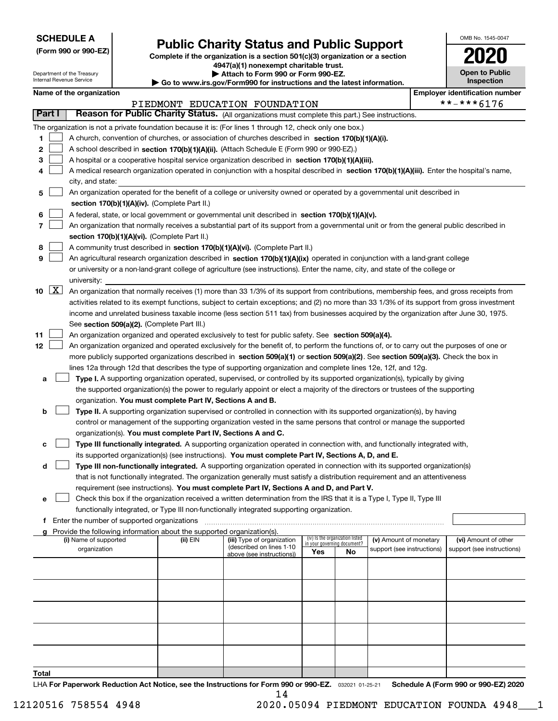| <b>SCHEDULE A</b> |
|-------------------|
|-------------------|

Department of the Treasury Internal Revenue Service

**(Form 990 or 990-EZ)**

## **Public Charity Status and Public Support**

**Complete if the organization is a section 501(c)(3) organization or a section 4947(a)(1) nonexempt charitable trust.**

| Attach to Form 990 or Form 990-EZ. |  |
|------------------------------------|--|
|------------------------------------|--|

**| Go to www.irs.gov/Form990 for instructions and the latest information.**

| OMB No 1545-0047                    |
|-------------------------------------|
|                                     |
| <b>Open to Public</b><br>Inspection |

H

| Name of the organization |  |
|--------------------------|--|
|                          |  |

|       | Name of the organization<br><b>Employer identification number</b>                                                                          |                                                                                                                                                                                                                      |          |                                                       |                                                                |    |                            |  |                            |  |  |
|-------|--------------------------------------------------------------------------------------------------------------------------------------------|----------------------------------------------------------------------------------------------------------------------------------------------------------------------------------------------------------------------|----------|-------------------------------------------------------|----------------------------------------------------------------|----|----------------------------|--|----------------------------|--|--|
|       |                                                                                                                                            |                                                                                                                                                                                                                      |          | PIEDMONT EDUCATION FOUNDATION                         |                                                                |    |                            |  | **-***6176                 |  |  |
|       | Part I                                                                                                                                     | Reason for Public Charity Status. (All organizations must complete this part.) See instructions.                                                                                                                     |          |                                                       |                                                                |    |                            |  |                            |  |  |
|       |                                                                                                                                            | The organization is not a private foundation because it is: (For lines 1 through 12, check only one box.)                                                                                                            |          |                                                       |                                                                |    |                            |  |                            |  |  |
| 1     |                                                                                                                                            | A church, convention of churches, or association of churches described in section 170(b)(1)(A)(i).                                                                                                                   |          |                                                       |                                                                |    |                            |  |                            |  |  |
| 2     |                                                                                                                                            | A school described in section 170(b)(1)(A)(ii). (Attach Schedule E (Form 990 or 990-EZ).)                                                                                                                            |          |                                                       |                                                                |    |                            |  |                            |  |  |
| 3     | A hospital or a cooperative hospital service organization described in section 170(b)(1)(A)(iii).                                          |                                                                                                                                                                                                                      |          |                                                       |                                                                |    |                            |  |                            |  |  |
| 4     | A medical research organization operated in conjunction with a hospital described in section 170(b)(1)(A)(iii). Enter the hospital's name, |                                                                                                                                                                                                                      |          |                                                       |                                                                |    |                            |  |                            |  |  |
|       | city, and state:                                                                                                                           |                                                                                                                                                                                                                      |          |                                                       |                                                                |    |                            |  |                            |  |  |
| 5     |                                                                                                                                            | An organization operated for the benefit of a college or university owned or operated by a governmental unit described in<br>section 170(b)(1)(A)(iv). (Complete Part II.)                                           |          |                                                       |                                                                |    |                            |  |                            |  |  |
|       |                                                                                                                                            |                                                                                                                                                                                                                      |          |                                                       |                                                                |    |                            |  |                            |  |  |
| 6     |                                                                                                                                            | A federal, state, or local government or governmental unit described in section 170(b)(1)(A)(v).                                                                                                                     |          |                                                       |                                                                |    |                            |  |                            |  |  |
| 7     |                                                                                                                                            | An organization that normally receives a substantial part of its support from a governmental unit or from the general public described in                                                                            |          |                                                       |                                                                |    |                            |  |                            |  |  |
| 8     |                                                                                                                                            | section 170(b)(1)(A)(vi). (Complete Part II.)<br>A community trust described in section 170(b)(1)(A)(vi). (Complete Part II.)                                                                                        |          |                                                       |                                                                |    |                            |  |                            |  |  |
| 9     |                                                                                                                                            | An agricultural research organization described in section 170(b)(1)(A)(ix) operated in conjunction with a land-grant college                                                                                        |          |                                                       |                                                                |    |                            |  |                            |  |  |
|       |                                                                                                                                            | or university or a non-land-grant college of agriculture (see instructions). Enter the name, city, and state of the college or                                                                                       |          |                                                       |                                                                |    |                            |  |                            |  |  |
|       |                                                                                                                                            | university:                                                                                                                                                                                                          |          |                                                       |                                                                |    |                            |  |                            |  |  |
| 10    | $\lfloor x \rfloor$                                                                                                                        | An organization that normally receives (1) more than 33 1/3% of its support from contributions, membership fees, and gross receipts from                                                                             |          |                                                       |                                                                |    |                            |  |                            |  |  |
|       |                                                                                                                                            | activities related to its exempt functions, subject to certain exceptions; and (2) no more than 33 1/3% of its support from gross investment                                                                         |          |                                                       |                                                                |    |                            |  |                            |  |  |
|       |                                                                                                                                            | income and unrelated business taxable income (less section 511 tax) from businesses acquired by the organization after June 30, 1975.                                                                                |          |                                                       |                                                                |    |                            |  |                            |  |  |
|       |                                                                                                                                            | See section 509(a)(2). (Complete Part III.)                                                                                                                                                                          |          |                                                       |                                                                |    |                            |  |                            |  |  |
| 11    |                                                                                                                                            | An organization organized and operated exclusively to test for public safety. See section 509(a)(4).                                                                                                                 |          |                                                       |                                                                |    |                            |  |                            |  |  |
| 12    |                                                                                                                                            | An organization organized and operated exclusively for the benefit of, to perform the functions of, or to carry out the purposes of one or                                                                           |          |                                                       |                                                                |    |                            |  |                            |  |  |
|       |                                                                                                                                            | more publicly supported organizations described in section 509(a)(1) or section 509(a)(2). See section 509(a)(3). Check the box in                                                                                   |          |                                                       |                                                                |    |                            |  |                            |  |  |
|       |                                                                                                                                            | lines 12a through 12d that describes the type of supporting organization and complete lines 12e, 12f, and 12g.                                                                                                       |          |                                                       |                                                                |    |                            |  |                            |  |  |
| a     |                                                                                                                                            | Type I. A supporting organization operated, supervised, or controlled by its supported organization(s), typically by giving                                                                                          |          |                                                       |                                                                |    |                            |  |                            |  |  |
|       |                                                                                                                                            | the supported organization(s) the power to regularly appoint or elect a majority of the directors or trustees of the supporting                                                                                      |          |                                                       |                                                                |    |                            |  |                            |  |  |
|       |                                                                                                                                            | organization. You must complete Part IV, Sections A and B.                                                                                                                                                           |          |                                                       |                                                                |    |                            |  |                            |  |  |
| b     |                                                                                                                                            | Type II. A supporting organization supervised or controlled in connection with its supported organization(s), by having                                                                                              |          |                                                       |                                                                |    |                            |  |                            |  |  |
|       |                                                                                                                                            | control or management of the supporting organization vested in the same persons that control or manage the supported                                                                                                 |          |                                                       |                                                                |    |                            |  |                            |  |  |
|       |                                                                                                                                            | organization(s). You must complete Part IV, Sections A and C.                                                                                                                                                        |          |                                                       |                                                                |    |                            |  |                            |  |  |
| c     |                                                                                                                                            | Type III functionally integrated. A supporting organization operated in connection with, and functionally integrated with,                                                                                           |          |                                                       |                                                                |    |                            |  |                            |  |  |
|       |                                                                                                                                            | its supported organization(s) (see instructions). You must complete Part IV, Sections A, D, and E.                                                                                                                   |          |                                                       |                                                                |    |                            |  |                            |  |  |
| d     |                                                                                                                                            | Type III non-functionally integrated. A supporting organization operated in connection with its supported organization(s)                                                                                            |          |                                                       |                                                                |    |                            |  |                            |  |  |
|       |                                                                                                                                            | that is not functionally integrated. The organization generally must satisfy a distribution requirement and an attentiveness                                                                                         |          |                                                       |                                                                |    |                            |  |                            |  |  |
|       |                                                                                                                                            | requirement (see instructions). You must complete Part IV, Sections A and D, and Part V.                                                                                                                             |          |                                                       |                                                                |    |                            |  |                            |  |  |
|       |                                                                                                                                            | Check this box if the organization received a written determination from the IRS that it is a Type I, Type II, Type III<br>functionally integrated, or Type III non-functionally integrated supporting organization. |          |                                                       |                                                                |    |                            |  |                            |  |  |
|       |                                                                                                                                            | f Enter the number of supported organizations                                                                                                                                                                        |          |                                                       |                                                                |    |                            |  |                            |  |  |
|       |                                                                                                                                            | Provide the following information about the supported organization(s).                                                                                                                                               |          |                                                       |                                                                |    |                            |  |                            |  |  |
|       |                                                                                                                                            | (i) Name of supported                                                                                                                                                                                                | (ii) EIN | (iii) Type of organization                            | (iv) Is the organization listed<br>in your governing document? |    | (v) Amount of monetary     |  | (vi) Amount of other       |  |  |
|       |                                                                                                                                            | organization                                                                                                                                                                                                         |          | (described on lines 1-10<br>above (see instructions)) | Yes                                                            | No | support (see instructions) |  | support (see instructions) |  |  |
|       |                                                                                                                                            |                                                                                                                                                                                                                      |          |                                                       |                                                                |    |                            |  |                            |  |  |
|       |                                                                                                                                            |                                                                                                                                                                                                                      |          |                                                       |                                                                |    |                            |  |                            |  |  |
|       |                                                                                                                                            |                                                                                                                                                                                                                      |          |                                                       |                                                                |    |                            |  |                            |  |  |
|       |                                                                                                                                            |                                                                                                                                                                                                                      |          |                                                       |                                                                |    |                            |  |                            |  |  |
|       |                                                                                                                                            |                                                                                                                                                                                                                      |          |                                                       |                                                                |    |                            |  |                            |  |  |
|       |                                                                                                                                            |                                                                                                                                                                                                                      |          |                                                       |                                                                |    |                            |  |                            |  |  |
|       |                                                                                                                                            |                                                                                                                                                                                                                      |          |                                                       |                                                                |    |                            |  |                            |  |  |
|       |                                                                                                                                            |                                                                                                                                                                                                                      |          |                                                       |                                                                |    |                            |  |                            |  |  |
|       |                                                                                                                                            |                                                                                                                                                                                                                      |          |                                                       |                                                                |    |                            |  |                            |  |  |
|       |                                                                                                                                            |                                                                                                                                                                                                                      |          |                                                       |                                                                |    |                            |  |                            |  |  |
| Total |                                                                                                                                            |                                                                                                                                                                                                                      |          |                                                       |                                                                |    |                            |  |                            |  |  |

LHA For Paperwork Reduction Act Notice, see the Instructions for Form 990 or 990-EZ. <sub>032021</sub> o1-25-21 Schedule A (Form 990 or 990-EZ) 2020 14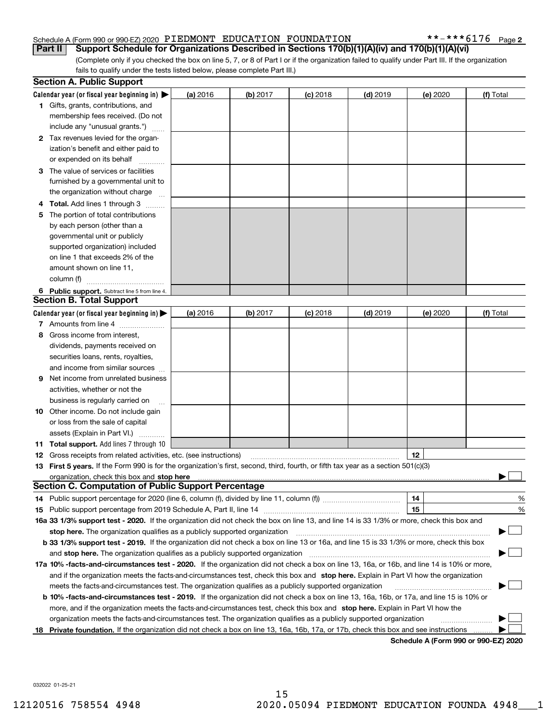#### Schedule A (Form 990 or 990-EZ) 2020 Page PIEDMONT EDUCATION FOUNDATION \*\*-\*\*\*6176

 $***$   $***$  6176 Page 2

(Complete only if you checked the box on line 5, 7, or 8 of Part I or if the organization failed to qualify under Part III. If the organization fails to qualify under the tests listed below, please complete Part III.) **Part II Support Schedule for Organizations Described in Sections 170(b)(1)(A)(iv) and 170(b)(1)(A)(vi)**

|    | <b>Section A. Public Support</b>                                                                                                               |          |                 |            |            |          |                                      |
|----|------------------------------------------------------------------------------------------------------------------------------------------------|----------|-----------------|------------|------------|----------|--------------------------------------|
|    | Calendar year (or fiscal year beginning in) $\blacktriangleright$                                                                              | (a) 2016 | <b>(b)</b> 2017 | $(c)$ 2018 | $(d)$ 2019 | (e) 2020 | (f) Total                            |
|    | <b>1</b> Gifts, grants, contributions, and                                                                                                     |          |                 |            |            |          |                                      |
|    | membership fees received. (Do not                                                                                                              |          |                 |            |            |          |                                      |
|    | include any "unusual grants.")                                                                                                                 |          |                 |            |            |          |                                      |
|    | 2 Tax revenues levied for the organ-                                                                                                           |          |                 |            |            |          |                                      |
|    | ization's benefit and either paid to                                                                                                           |          |                 |            |            |          |                                      |
|    | or expended on its behalf                                                                                                                      |          |                 |            |            |          |                                      |
|    | 3 The value of services or facilities                                                                                                          |          |                 |            |            |          |                                      |
|    | furnished by a governmental unit to                                                                                                            |          |                 |            |            |          |                                      |
|    | the organization without charge                                                                                                                |          |                 |            |            |          |                                      |
|    | 4 Total. Add lines 1 through 3                                                                                                                 |          |                 |            |            |          |                                      |
| 5  | The portion of total contributions                                                                                                             |          |                 |            |            |          |                                      |
|    | by each person (other than a                                                                                                                   |          |                 |            |            |          |                                      |
|    | governmental unit or publicly                                                                                                                  |          |                 |            |            |          |                                      |
|    | supported organization) included                                                                                                               |          |                 |            |            |          |                                      |
|    | on line 1 that exceeds 2% of the                                                                                                               |          |                 |            |            |          |                                      |
|    | amount shown on line 11,                                                                                                                       |          |                 |            |            |          |                                      |
|    | column (f)                                                                                                                                     |          |                 |            |            |          |                                      |
|    | 6 Public support. Subtract line 5 from line 4.                                                                                                 |          |                 |            |            |          |                                      |
|    | <b>Section B. Total Support</b>                                                                                                                |          |                 |            |            |          |                                      |
|    | Calendar year (or fiscal year beginning in) $\blacktriangleright$                                                                              | (a) 2016 | (b) 2017        | $(c)$ 2018 | $(d)$ 2019 | (e) 2020 | (f) Total                            |
|    | 7 Amounts from line 4                                                                                                                          |          |                 |            |            |          |                                      |
|    | 8 Gross income from interest,                                                                                                                  |          |                 |            |            |          |                                      |
|    | dividends, payments received on                                                                                                                |          |                 |            |            |          |                                      |
|    | securities loans, rents, royalties,                                                                                                            |          |                 |            |            |          |                                      |
|    | and income from similar sources                                                                                                                |          |                 |            |            |          |                                      |
| 9. | Net income from unrelated business                                                                                                             |          |                 |            |            |          |                                      |
|    | activities, whether or not the                                                                                                                 |          |                 |            |            |          |                                      |
|    | business is regularly carried on                                                                                                               |          |                 |            |            |          |                                      |
|    | <b>10</b> Other income. Do not include gain                                                                                                    |          |                 |            |            |          |                                      |
|    | or loss from the sale of capital                                                                                                               |          |                 |            |            |          |                                      |
|    | assets (Explain in Part VI.)                                                                                                                   |          |                 |            |            |          |                                      |
|    | <b>11 Total support.</b> Add lines 7 through 10                                                                                                |          |                 |            |            |          |                                      |
|    | <b>12</b> Gross receipts from related activities, etc. (see instructions)                                                                      |          |                 |            |            | 12       |                                      |
|    | 13 First 5 years. If the Form 990 is for the organization's first, second, third, fourth, or fifth tax year as a section 501(c)(3)             |          |                 |            |            |          |                                      |
|    |                                                                                                                                                |          |                 |            |            |          |                                      |
|    | <b>Section C. Computation of Public Support Percentage</b>                                                                                     |          |                 |            |            |          |                                      |
|    | 14 Public support percentage for 2020 (line 6, column (f), divided by line 11, column (f) <i>mummumumum</i>                                    |          |                 |            |            | 14       | %                                    |
|    |                                                                                                                                                |          |                 |            |            | 15       | %                                    |
|    | 16a 33 1/3% support test - 2020. If the organization did not check the box on line 13, and line 14 is 33 1/3% or more, check this box and      |          |                 |            |            |          |                                      |
|    | stop here. The organization qualifies as a publicly supported organization                                                                     |          |                 |            |            |          |                                      |
|    | b 33 1/3% support test - 2019. If the organization did not check a box on line 13 or 16a, and line 15 is 33 1/3% or more, check this box       |          |                 |            |            |          |                                      |
|    | and stop here. The organization qualifies as a publicly supported organization                                                                 |          |                 |            |            |          |                                      |
|    | 17a 10% -facts-and-circumstances test - 2020. If the organization did not check a box on line 13, 16a, or 16b, and line 14 is 10% or more,     |          |                 |            |            |          |                                      |
|    | and if the organization meets the facts-and-circumstances test, check this box and stop here. Explain in Part VI how the organization          |          |                 |            |            |          |                                      |
|    | meets the facts-and-circumstances test. The organization qualifies as a publicly supported organization                                        |          |                 |            |            |          |                                      |
|    | <b>b 10% -facts-and-circumstances test - 2019.</b> If the organization did not check a box on line 13, 16a, 16b, or 17a, and line 15 is 10% or |          |                 |            |            |          |                                      |
|    | more, and if the organization meets the facts-and-circumstances test, check this box and stop here. Explain in Part VI how the                 |          |                 |            |            |          |                                      |
|    | organization meets the facts-and-circumstances test. The organization qualifies as a publicly supported organization                           |          |                 |            |            |          |                                      |
| 18 | Private foundation. If the organization did not check a box on line 13, 16a, 16b, 17a, or 17b, check this box and see instructions             |          |                 |            |            |          |                                      |
|    |                                                                                                                                                |          |                 |            |            |          | Schedule A (Form 990 or 990-F7) 2020 |

**Schedule A (Form 990 or 990-EZ) 2020**

032022 01-25-21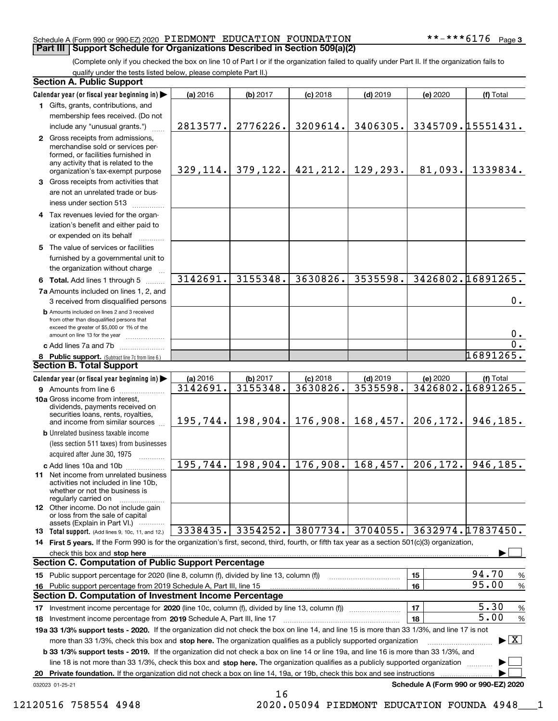#### Schedule A (Form 990 or 990-EZ) 2020 Page PIEDMONT EDUCATION FOUNDATION \*\*-\*\*\*6176 **Part III Support Schedule for Organizations Described in Section 509(a)(2)**

(Complete only if you checked the box on line 10 of Part I or if the organization failed to qualify under Part II. If the organization fails to qualify under the tests listed below, please complete Part II.)

|    | <b>Section A. Public Support</b>                                                                                                                                                                                                                                                |                        |           |            |            |                                      |                                          |
|----|---------------------------------------------------------------------------------------------------------------------------------------------------------------------------------------------------------------------------------------------------------------------------------|------------------------|-----------|------------|------------|--------------------------------------|------------------------------------------|
|    | Calendar year (or fiscal year beginning in)                                                                                                                                                                                                                                     | (a) 2016               | (b) 2017  | $(c)$ 2018 | $(d)$ 2019 | (e) 2020                             | (f) Total                                |
|    | 1 Gifts, grants, contributions, and                                                                                                                                                                                                                                             |                        |           |            |            |                                      |                                          |
|    | membership fees received. (Do not                                                                                                                                                                                                                                               |                        |           |            |            |                                      |                                          |
|    | include any "unusual grants.")                                                                                                                                                                                                                                                  | 2813577.               | 2776226.  | 3209614.   | 3406305.   |                                      | 3345709.15551431.                        |
|    | 2 Gross receipts from admissions,<br>merchandise sold or services per-<br>formed, or facilities furnished in<br>any activity that is related to the<br>organization's tax-exempt purpose                                                                                        | 329, 114.              | 379, 122. | 421, 212.  | 129,293.   | 81,093.                              | 1339834.                                 |
|    | 3 Gross receipts from activities that<br>are not an unrelated trade or bus-<br>iness under section 513                                                                                                                                                                          |                        |           |            |            |                                      |                                          |
|    | 4 Tax revenues levied for the organ-<br>ization's benefit and either paid to<br>or expended on its behalf                                                                                                                                                                       |                        |           |            |            |                                      |                                          |
|    | 5 The value of services or facilities<br>furnished by a governmental unit to<br>the organization without charge                                                                                                                                                                 |                        |           |            |            |                                      |                                          |
|    | 6 Total. Add lines 1 through 5                                                                                                                                                                                                                                                  | 3142691.               | 3155348.  | 3630826.   | 3535598.   |                                      | 3426802.16891265.                        |
|    | 7a Amounts included on lines 1, 2, and                                                                                                                                                                                                                                          |                        |           |            |            |                                      |                                          |
|    | 3 received from disqualified persons                                                                                                                                                                                                                                            |                        |           |            |            |                                      | 0.                                       |
|    | <b>b</b> Amounts included on lines 2 and 3 received<br>from other than disqualified persons that<br>exceed the greater of \$5,000 or 1% of the<br>amount on line 13 for the year                                                                                                |                        |           |            |            |                                      | 0.                                       |
|    | c Add lines 7a and 7b                                                                                                                                                                                                                                                           |                        |           |            |            |                                      | 0.                                       |
|    | 8 Public support. (Subtract line 7c from line 6.)                                                                                                                                                                                                                               |                        |           |            |            |                                      | 16891265.                                |
|    | <b>Section B. Total Support</b>                                                                                                                                                                                                                                                 |                        |           |            |            |                                      |                                          |
|    | Calendar year (or fiscal year beginning in)                                                                                                                                                                                                                                     | (a) 2016               | (b) 2017  | $(c)$ 2018 | $(d)$ 2019 | (e) 2020                             | (f) Total                                |
|    | <b>9</b> Amounts from line 6                                                                                                                                                                                                                                                    | 3142691.               | 3155348.  | 3630826.   | 3535598.   |                                      | 3426802.16891265.                        |
|    | 10a Gross income from interest,<br>dividends, payments received on<br>securities loans, rents, royalties,<br>and income from similar sources                                                                                                                                    | 195, 744.              | 198,904.  | 176,908.   | 168,457.   | 206, 172.                            | 946,185.                                 |
|    | <b>b</b> Unrelated business taxable income                                                                                                                                                                                                                                      |                        |           |            |            |                                      |                                          |
|    | (less section 511 taxes) from businesses<br>acquired after June 30, 1975                                                                                                                                                                                                        |                        |           |            |            |                                      |                                          |
|    | c Add lines 10a and 10b                                                                                                                                                                                                                                                         | $\overline{195,744}$ . | 198,904.  | 176,908.   | 168, 457.  | 206, 172.                            | $\overline{946}$ , 185.                  |
|    | 11 Net income from unrelated business<br>activities not included in line 10b,<br>whether or not the business is<br>regularly carried on                                                                                                                                         |                        |           |            |            |                                      |                                          |
|    | <b>12</b> Other income. Do not include gain<br>or loss from the sale of capital<br>assets (Explain in Part VI.)                                                                                                                                                                 |                        |           |            |            |                                      |                                          |
|    | 13 Total support. (Add lines 9, 10c, 11, and 12.)                                                                                                                                                                                                                               | 3338435.               | 3354252.  | 3807734.   | 3704055.   |                                      | 3632974.17837450.                        |
|    | 14 First 5 years. If the Form 990 is for the organization's first, second, third, fourth, or fifth tax year as a section 501(c)(3) organization,                                                                                                                                |                        |           |            |            |                                      |                                          |
|    | check this box and stop here manufactured and stream and stream and stream and stream and stream and stop here                                                                                                                                                                  |                        |           |            |            |                                      |                                          |
|    | <b>Section C. Computation of Public Support Percentage</b>                                                                                                                                                                                                                      |                        |           |            |            |                                      |                                          |
|    | 15 Public support percentage for 2020 (line 8, column (f), divided by line 13, column (f))                                                                                                                                                                                      |                        |           |            |            | 15                                   | 94.70<br>%                               |
|    | 16 Public support percentage from 2019 Schedule A, Part III, line 15                                                                                                                                                                                                            |                        |           |            |            | 16                                   | 95.00<br>%                               |
|    | <b>Section D. Computation of Investment Income Percentage</b>                                                                                                                                                                                                                   |                        |           |            |            |                                      |                                          |
|    | 17 Investment income percentage for 2020 (line 10c, column (f), divided by line 13, column (f))                                                                                                                                                                                 |                        |           |            |            | 17                                   | 5.30<br>$\%$                             |
|    | 18 Investment income percentage from 2019 Schedule A, Part III, line 17                                                                                                                                                                                                         |                        |           |            |            | 18                                   | 5.00<br>%                                |
|    | 19a 33 1/3% support tests - 2020. If the organization did not check the box on line 14, and line 15 is more than 33 1/3%, and line 17 is not                                                                                                                                    |                        |           |            |            |                                      |                                          |
|    | more than 33 1/3%, check this box and stop here. The organization qualifies as a publicly supported organization                                                                                                                                                                |                        |           |            |            |                                      | $\blacktriangleright$ $\boxed{\text{X}}$ |
|    | <b>b 33 1/3% support tests - 2019.</b> If the organization did not check a box on line 14 or line 19a, and line 16 is more than 33 1/3%, and<br>line 18 is not more than 33 1/3%, check this box and stop here. The organization qualifies as a publicly supported organization |                        |           |            |            |                                      |                                          |
| 20 | Private foundation. If the organization did not check a box on line 14, 19a, or 19b, check this box and see instructions                                                                                                                                                        |                        |           |            |            |                                      |                                          |
|    | 032023 01-25-21                                                                                                                                                                                                                                                                 |                        |           |            |            | Schedule A (Form 990 or 990-EZ) 2020 |                                          |

16 12120516 758554 4948 2020.05094 PIEDMONT EDUCATION FOUNDA 4948\_\_\_1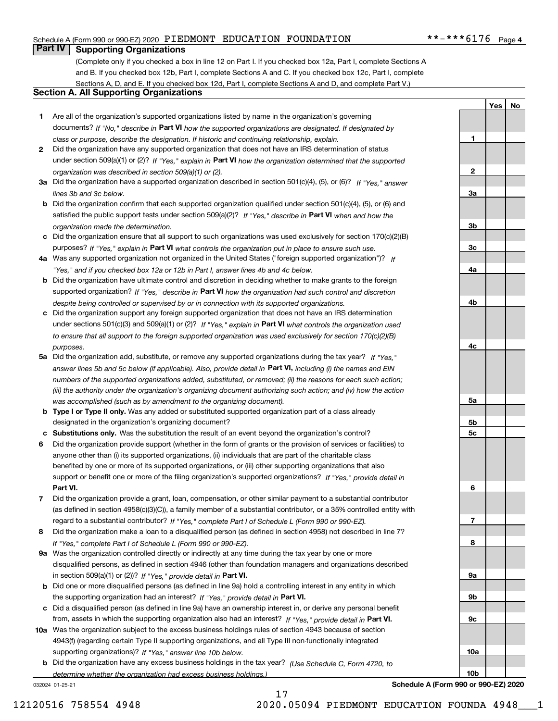#### Schedule A (Form 990 or 990-EZ) 2020 Page PIEDMONT EDUCATION FOUNDATION \*\*-\*\*\*6176

## **Part IV Supporting Organizations**

(Complete only if you checked a box in line 12 on Part I. If you checked box 12a, Part I, complete Sections A and B. If you checked box 12b, Part I, complete Sections A and C. If you checked box 12c, Part I, complete Sections A, D, and E. If you checked box 12d, Part I, complete Sections A and D, and complete Part V.)

#### **Section A. All Supporting Organizations**

- **1** Are all of the organization's supported organizations listed by name in the organization's governing documents? If "No," describe in **Part VI** how the supported organizations are designated. If designated by *class or purpose, describe the designation. If historic and continuing relationship, explain.*
- **2** Did the organization have any supported organization that does not have an IRS determination of status under section 509(a)(1) or (2)? If "Yes," explain in Part VI how the organization determined that the supported *organization was described in section 509(a)(1) or (2).*
- **3a** Did the organization have a supported organization described in section 501(c)(4), (5), or (6)? If "Yes," answer *lines 3b and 3c below.*
- **b** Did the organization confirm that each supported organization qualified under section 501(c)(4), (5), or (6) and satisfied the public support tests under section 509(a)(2)? If "Yes," describe in **Part VI** when and how the *organization made the determination.*
- **c**Did the organization ensure that all support to such organizations was used exclusively for section 170(c)(2)(B) purposes? If "Yes," explain in **Part VI** what controls the organization put in place to ensure such use.
- **4a** *If* Was any supported organization not organized in the United States ("foreign supported organization")? *"Yes," and if you checked box 12a or 12b in Part I, answer lines 4b and 4c below.*
- **b** Did the organization have ultimate control and discretion in deciding whether to make grants to the foreign supported organization? If "Yes," describe in **Part VI** how the organization had such control and discretion *despite being controlled or supervised by or in connection with its supported organizations.*
- **c** Did the organization support any foreign supported organization that does not have an IRS determination under sections 501(c)(3) and 509(a)(1) or (2)? If "Yes," explain in **Part VI** what controls the organization used *to ensure that all support to the foreign supported organization was used exclusively for section 170(c)(2)(B) purposes.*
- **5a***If "Yes,"* Did the organization add, substitute, or remove any supported organizations during the tax year? answer lines 5b and 5c below (if applicable). Also, provide detail in **Part VI,** including (i) the names and EIN *numbers of the supported organizations added, substituted, or removed; (ii) the reasons for each such action; (iii) the authority under the organization's organizing document authorizing such action; and (iv) how the action was accomplished (such as by amendment to the organizing document).*
- **b** Type I or Type II only. Was any added or substituted supported organization part of a class already designated in the organization's organizing document?
- **cSubstitutions only.**  Was the substitution the result of an event beyond the organization's control?
- **6** Did the organization provide support (whether in the form of grants or the provision of services or facilities) to **Part VI.** *If "Yes," provide detail in* support or benefit one or more of the filing organization's supported organizations? anyone other than (i) its supported organizations, (ii) individuals that are part of the charitable class benefited by one or more of its supported organizations, or (iii) other supporting organizations that also
- **7**Did the organization provide a grant, loan, compensation, or other similar payment to a substantial contributor *If "Yes," complete Part I of Schedule L (Form 990 or 990-EZ).* regard to a substantial contributor? (as defined in section 4958(c)(3)(C)), a family member of a substantial contributor, or a 35% controlled entity with
- **8** Did the organization make a loan to a disqualified person (as defined in section 4958) not described in line 7? *If "Yes," complete Part I of Schedule L (Form 990 or 990-EZ).*
- **9a** Was the organization controlled directly or indirectly at any time during the tax year by one or more in section 509(a)(1) or (2))? If "Yes," *provide detail in* <code>Part VI.</code> disqualified persons, as defined in section 4946 (other than foundation managers and organizations described
- **b**the supporting organization had an interest? If "Yes," provide detail in P**art VI**. Did one or more disqualified persons (as defined in line 9a) hold a controlling interest in any entity in which
- **c**Did a disqualified person (as defined in line 9a) have an ownership interest in, or derive any personal benefit from, assets in which the supporting organization also had an interest? If "Yes," provide detail in P**art VI.**
- **10a** Was the organization subject to the excess business holdings rules of section 4943 because of section supporting organizations)? If "Yes," answer line 10b below. 4943(f) (regarding certain Type II supporting organizations, and all Type III non-functionally integrated
- **b** Did the organization have any excess business holdings in the tax year? (Use Schedule C, Form 4720, to *determine whether the organization had excess business holdings.)*

032024 01-25-21

| 1              |  |  |
|----------------|--|--|
|                |  |  |
|                |  |  |
| $\overline{2}$ |  |  |
|                |  |  |
| $\frac{3a}{2}$ |  |  |
|                |  |  |
| $\frac{3b}{2}$ |  |  |
|                |  |  |
| $\frac{3c}{2}$ |  |  |
|                |  |  |
| <u>4a</u>      |  |  |
|                |  |  |
|                |  |  |
| <u>4b</u>      |  |  |
|                |  |  |
|                |  |  |
| $rac{4c}{2}$   |  |  |
|                |  |  |
|                |  |  |
|                |  |  |
|                |  |  |
| <u>5a</u>      |  |  |
|                |  |  |
| $\frac{5b}{5}$ |  |  |
| $\frac{5c}{2}$ |  |  |
|                |  |  |
|                |  |  |
|                |  |  |
| $\overline{6}$ |  |  |
|                |  |  |
|                |  |  |
| $\overline{1}$ |  |  |
|                |  |  |
| 8              |  |  |
|                |  |  |
| <u>9a</u>      |  |  |
|                |  |  |
| <u>9b</u>      |  |  |
|                |  |  |
| $\frac{9c}{2}$ |  |  |
|                |  |  |
| 10a            |  |  |
|                |  |  |

 $***$   $***$  6176 Page 4

**YesNo**

**Schedule A (Form 990 or 990-EZ) 2020**

**10b**

17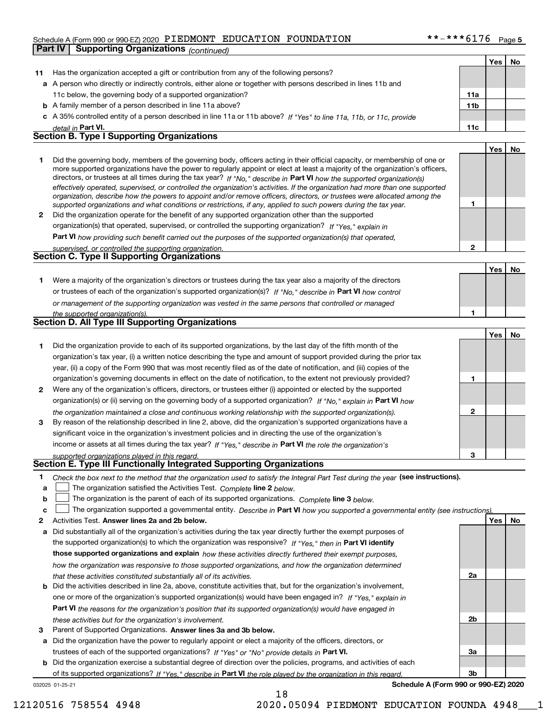#### Schedule A (Form 990 or 990-EZ) 2020 Page PIEDMONT EDUCATION FOUNDATION \*\*-\*\*\*6176

|              | <b>Supporting Organizations (continued)</b><br>Part IV                                                                                                                                                                                                      |                 |     |    |
|--------------|-------------------------------------------------------------------------------------------------------------------------------------------------------------------------------------------------------------------------------------------------------------|-----------------|-----|----|
|              |                                                                                                                                                                                                                                                             |                 | Yes | No |
| 11           | Has the organization accepted a gift or contribution from any of the following persons?                                                                                                                                                                     |                 |     |    |
|              | a A person who directly or indirectly controls, either alone or together with persons described in lines 11b and                                                                                                                                            |                 |     |    |
|              | 11c below, the governing body of a supported organization?                                                                                                                                                                                                  | 11a             |     |    |
|              | <b>b</b> A family member of a person described in line 11a above?                                                                                                                                                                                           | 11 <sub>b</sub> |     |    |
|              | c A 35% controlled entity of a person described in line 11a or 11b above? If "Yes" to line 11a, 11b, or 11c, provide                                                                                                                                        |                 |     |    |
|              | detail in Part VI.                                                                                                                                                                                                                                          | 11c             |     |    |
|              | <b>Section B. Type I Supporting Organizations</b>                                                                                                                                                                                                           |                 |     |    |
|              |                                                                                                                                                                                                                                                             |                 | Yes | No |
| 1            | Did the governing body, members of the governing body, officers acting in their official capacity, or membership of one or<br>more supported organizations have the power to regularly appoint or elect at least a majority of the organization's officers, |                 |     |    |
|              | directors, or trustees at all times during the tax year? If "No," describe in Part VI how the supported organization(s)                                                                                                                                     |                 |     |    |
|              | effectively operated, supervised, or controlled the organization's activities. If the organization had more than one supported<br>organization, describe how the powers to appoint and/or remove officers, directors, or trustees were allocated among the  |                 |     |    |
|              | supported organizations and what conditions or restrictions, if any, applied to such powers during the tax year.                                                                                                                                            | 1               |     |    |
| 2            | Did the organization operate for the benefit of any supported organization other than the supported                                                                                                                                                         |                 |     |    |
|              | organization(s) that operated, supervised, or controlled the supporting organization? If "Yes," explain in                                                                                                                                                  |                 |     |    |
|              | Part VI how providing such benefit carried out the purposes of the supported organization(s) that operated,                                                                                                                                                 |                 |     |    |
|              | supervised, or controlled the supporting organization.                                                                                                                                                                                                      | $\overline{2}$  |     |    |
|              | Section C. Type II Supporting Organizations                                                                                                                                                                                                                 |                 |     |    |
|              |                                                                                                                                                                                                                                                             |                 | Yes | No |
| 1            | Were a majority of the organization's directors or trustees during the tax year also a majority of the directors                                                                                                                                            |                 |     |    |
|              | or trustees of each of the organization's supported organization(s)? If "No," describe in Part VI how control                                                                                                                                               |                 |     |    |
|              | or management of the supporting organization was vested in the same persons that controlled or managed                                                                                                                                                      |                 |     |    |
|              | the supported organization(s).<br>Section D. All Type III Supporting Organizations                                                                                                                                                                          | 1               |     |    |
|              |                                                                                                                                                                                                                                                             |                 |     |    |
|              |                                                                                                                                                                                                                                                             |                 | Yes | No |
| 1            | Did the organization provide to each of its supported organizations, by the last day of the fifth month of the                                                                                                                                              |                 |     |    |
|              | organization's tax year, (i) a written notice describing the type and amount of support provided during the prior tax                                                                                                                                       |                 |     |    |
|              | year, (ii) a copy of the Form 990 that was most recently filed as of the date of notification, and (iii) copies of the                                                                                                                                      |                 |     |    |
|              | organization's governing documents in effect on the date of notification, to the extent not previously provided?                                                                                                                                            | 1               |     |    |
| 2            | Were any of the organization's officers, directors, or trustees either (i) appointed or elected by the supported                                                                                                                                            |                 |     |    |
|              | organization(s) or (ii) serving on the governing body of a supported organization? If "No," explain in Part VI how                                                                                                                                          |                 |     |    |
|              | the organization maintained a close and continuous working relationship with the supported organization(s).                                                                                                                                                 | $\mathbf 2$     |     |    |
| 3            | By reason of the relationship described in line 2, above, did the organization's supported organizations have a<br>significant voice in the organization's investment policies and in directing the use of the organization's                               |                 |     |    |
|              | income or assets at all times during the tax year? If "Yes," describe in Part VI the role the organization's                                                                                                                                                |                 |     |    |
|              | supported organizations played in this regard.                                                                                                                                                                                                              | 3               |     |    |
|              | Section E. Type III Functionally Integrated Supporting Organizations                                                                                                                                                                                        |                 |     |    |
| 1.           | Check the box next to the method that the organization used to satisfy the Integral Part Test during the year (see instructions).                                                                                                                           |                 |     |    |
| а            | The organization satisfied the Activities Test. Complete line 2 below.                                                                                                                                                                                      |                 |     |    |
| b            | The organization is the parent of each of its supported organizations. Complete line 3 below.                                                                                                                                                               |                 |     |    |
| с            | The organization supported a governmental entity. Describe in Part VI how you supported a governmental entity (see instructions)                                                                                                                            |                 |     |    |
| $\mathbf{2}$ | Activities Test. Answer lines 2a and 2b below.                                                                                                                                                                                                              |                 | Yes | No |
| а            | Did substantially all of the organization's activities during the tax year directly further the exempt purposes of                                                                                                                                          |                 |     |    |
|              | the supported organization(s) to which the organization was responsive? If "Yes," then in Part VI identify                                                                                                                                                  |                 |     |    |
|              | those supported organizations and explain how these activities directly furthered their exempt purposes,                                                                                                                                                    |                 |     |    |
|              | how the organization was responsive to those supported organizations, and how the organization determined                                                                                                                                                   |                 |     |    |
|              | that these activities constituted substantially all of its activities.                                                                                                                                                                                      | 2a              |     |    |
| b            | Did the activities described in line 2a, above, constitute activities that, but for the organization's involvement,                                                                                                                                         |                 |     |    |
|              |                                                                                                                                                                                                                                                             |                 |     |    |
|              | one or more of the organization's supported organization(s) would have been engaged in? If "Yes." explain in                                                                                                                                                |                 |     |    |

**Part VI**  *the reasons for the organization's position that its supported organization(s) would have engaged in these activities but for the organization's involvement.*

**3** Parent of Supported Organizations. Answer lines 3a and 3b below.

**a** Did the organization have the power to regularly appoint or elect a majority of the officers, directors, or trustees of each of the supported organizations? If "Yes" or "No" provide details in **Part VI.** 

032025 01-25-21 **b** Did the organization exercise a substantial degree of direction over the policies, programs, and activities of each of its supported organizations? If "Yes," describe in Part VI the role played by the organization in this regard.

18

**Schedule A (Form 990 or 990-EZ) 2020**

**2b**

**3a**

**3b**

12120516 758554 4948 2020.05094 PIEDMONT EDUCATION FOUNDA 4948\_\_\_1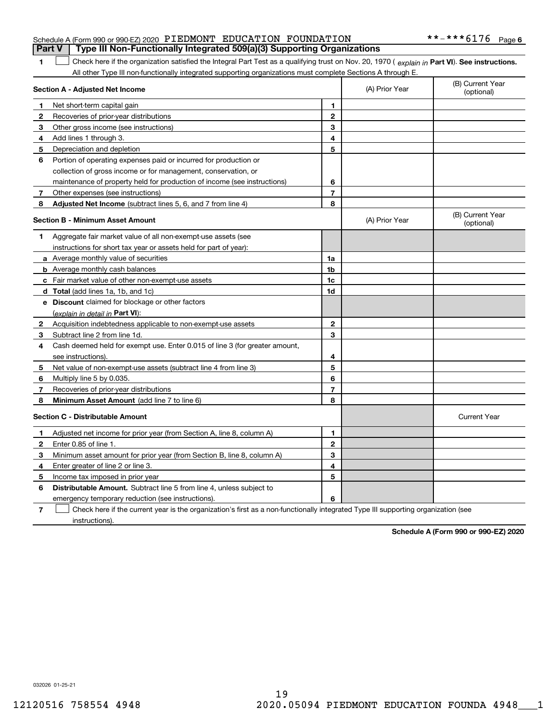|                | Schedule A (Form 990 or 990-EZ) 2020 PIEDMONT EDUCATION FOUNDATION                                                                             |                          |                | **-***6176 Page 6              |
|----------------|------------------------------------------------------------------------------------------------------------------------------------------------|--------------------------|----------------|--------------------------------|
| Part V         | Type III Non-Functionally Integrated 509(a)(3) Supporting Organizations                                                                        |                          |                |                                |
| 1              | Check here if the organization satisfied the Integral Part Test as a qualifying trust on Nov. 20, 1970 (explain in Part VI). See instructions. |                          |                |                                |
|                | All other Type III non-functionally integrated supporting organizations must complete Sections A through E.                                    |                          |                |                                |
|                | Section A - Adjusted Net Income                                                                                                                |                          | (A) Prior Year | (B) Current Year<br>(optional) |
| 1              | Net short-term capital gain                                                                                                                    | 1                        |                |                                |
| 2              | Recoveries of prior-year distributions                                                                                                         | $\overline{2}$           |                |                                |
| 3              | Other gross income (see instructions)                                                                                                          | 3                        |                |                                |
| 4              | Add lines 1 through 3.                                                                                                                         | 4                        |                |                                |
| 5              | Depreciation and depletion                                                                                                                     | 5                        |                |                                |
| 6              | Portion of operating expenses paid or incurred for production or                                                                               |                          |                |                                |
|                | collection of gross income or for management, conservation, or                                                                                 |                          |                |                                |
|                | maintenance of property held for production of income (see instructions)                                                                       | 6                        |                |                                |
| 7 <sup>7</sup> | Other expenses (see instructions)                                                                                                              | $\overline{\phantom{a}}$ |                |                                |
| 8              | Adjusted Net Income (subtract lines 5, 6, and 7 from line 4)                                                                                   | 8                        |                |                                |
|                | <b>Section B - Minimum Asset Amount</b>                                                                                                        |                          | (A) Prior Year | (B) Current Year<br>(optional) |
| 1              | Aggregate fair market value of all non-exempt-use assets (see                                                                                  |                          |                |                                |
|                | instructions for short tax year or assets held for part of year):                                                                              |                          |                |                                |
|                | a Average monthly value of securities                                                                                                          | 1a                       |                |                                |
|                | <b>b</b> Average monthly cash balances                                                                                                         | 1b                       |                |                                |
|                | <b>c</b> Fair market value of other non-exempt-use assets                                                                                      | 1c                       |                |                                |
|                | d Total (add lines 1a, 1b, and 1c)                                                                                                             | 1d                       |                |                                |
|                | e Discount claimed for blockage or other factors                                                                                               |                          |                |                                |
|                | (explain in detail in Part VI):                                                                                                                |                          |                |                                |
| 2              | Acquisition indebtedness applicable to non-exempt-use assets                                                                                   | 2                        |                |                                |
| З              | Subtract line 2 from line 1d.                                                                                                                  | 3                        |                |                                |
| 4              | Cash deemed held for exempt use. Enter 0.015 of line 3 (for greater amount,                                                                    |                          |                |                                |
|                | see instructions).                                                                                                                             | 4                        |                |                                |
| 5              | Net value of non-exempt-use assets (subtract line 4 from line 3)                                                                               | 5                        |                |                                |
| 6              | Multiply line 5 by 0.035.                                                                                                                      | 6                        |                |                                |
| 7              | Recoveries of prior-year distributions                                                                                                         | $\overline{7}$           |                |                                |
| 8              | <b>Minimum Asset Amount</b> (add line 7 to line 6)                                                                                             | 8                        |                |                                |
|                | <b>Section C - Distributable Amount</b>                                                                                                        |                          |                | <b>Current Year</b>            |
| 1              | Adjusted net income for prior year (from Section A, line 8, column A)                                                                          | 1                        |                |                                |
| $\mathbf 2$    | Enter 0.85 of line 1.                                                                                                                          | $\mathbf{2}$             |                |                                |
| 3              | Minimum asset amount for prior year (from Section B, line 8, column A)                                                                         | 3                        |                |                                |
| 4              | Enter greater of line 2 or line 3.                                                                                                             | 4                        |                |                                |
| 5              | Income tax imposed in prior year                                                                                                               | 5                        |                |                                |
|                |                                                                                                                                                |                          |                |                                |

**6** Distributable Amount. Subtract line 5 from line 4, unless subject to emergency temporary reduction (see instructions).

**7** Check here if the current year is the organization's first as a non-functionally integrated Type III supporting organization (see instructions).

**6**

**Schedule A (Form 990 or 990-EZ) 2020**

032026 01-25-21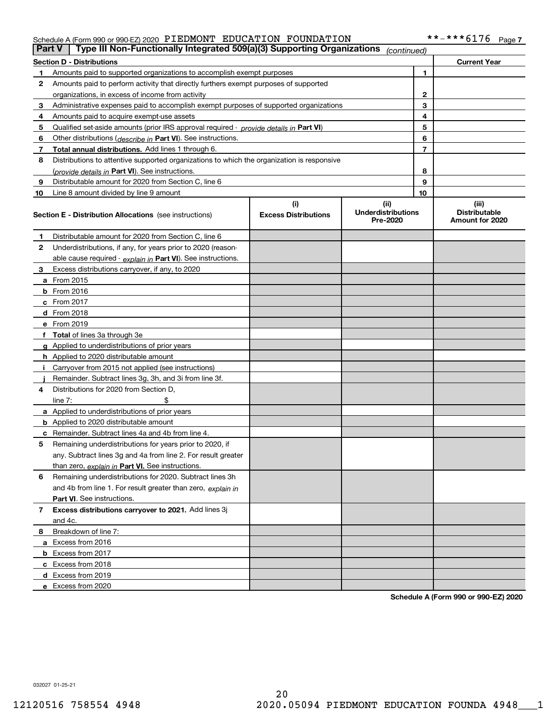#### Schedule A (Form 990 or 990-EZ) 2020 Page PIEDMONT EDUCATION FOUNDATION \*\*-\*\*\*6176

| Part V | Type III Non-Functionally Integrated 509(a)(3) Supporting Organizations                       |                             | (continued)                           |              |                                         |
|--------|-----------------------------------------------------------------------------------------------|-----------------------------|---------------------------------------|--------------|-----------------------------------------|
|        | <b>Section D - Distributions</b>                                                              |                             |                                       |              | <b>Current Year</b>                     |
|        | Amounts paid to supported organizations to accomplish exempt purposes                         |                             |                                       | 1            |                                         |
| 2      | Amounts paid to perform activity that directly furthers exempt purposes of supported          |                             |                                       |              |                                         |
|        | organizations, in excess of income from activity                                              |                             |                                       | $\mathbf{2}$ |                                         |
| 3      | Administrative expenses paid to accomplish exempt purposes of supported organizations         |                             |                                       | 3            |                                         |
| 4      | Amounts paid to acquire exempt-use assets                                                     |                             |                                       | 4            |                                         |
| 5      | Qualified set-aside amounts (prior IRS approval required - <i>provide details in</i> Part VI) |                             |                                       | 5            |                                         |
| 6      | Other distributions ( <i>describe in</i> Part VI). See instructions.                          |                             |                                       | 6            |                                         |
| 7      | Total annual distributions. Add lines 1 through 6.                                            |                             |                                       | 7            |                                         |
| 8      | Distributions to attentive supported organizations to which the organization is responsive    |                             |                                       |              |                                         |
|        | (provide details in Part VI). See instructions.                                               |                             |                                       | 8            |                                         |
| 9      | Distributable amount for 2020 from Section C, line 6                                          |                             |                                       | 9            |                                         |
| 10     | Line 8 amount divided by line 9 amount                                                        |                             |                                       | 10           |                                         |
|        |                                                                                               | (i)                         | (ii)                                  |              | (iii)                                   |
|        | <b>Section E - Distribution Allocations</b> (see instructions)                                | <b>Excess Distributions</b> | <b>Underdistributions</b><br>Pre-2020 |              | <b>Distributable</b><br>Amount for 2020 |
| 1      | Distributable amount for 2020 from Section C, line 6                                          |                             |                                       |              |                                         |
| 2      | Underdistributions, if any, for years prior to 2020 (reason-                                  |                             |                                       |              |                                         |
|        | able cause required - explain in Part VI). See instructions.                                  |                             |                                       |              |                                         |
| 3      | Excess distributions carryover, if any, to 2020                                               |                             |                                       |              |                                         |
|        | a From 2015                                                                                   |                             |                                       |              |                                         |
|        | $b$ From 2016                                                                                 |                             |                                       |              |                                         |
|        | $c$ From 2017                                                                                 |                             |                                       |              |                                         |
|        | <b>d</b> From 2018                                                                            |                             |                                       |              |                                         |
|        | e From 2019                                                                                   |                             |                                       |              |                                         |
|        | f Total of lines 3a through 3e                                                                |                             |                                       |              |                                         |
|        | g Applied to underdistributions of prior years                                                |                             |                                       |              |                                         |
|        | h Applied to 2020 distributable amount                                                        |                             |                                       |              |                                         |
|        | Carryover from 2015 not applied (see instructions)                                            |                             |                                       |              |                                         |
|        | Remainder. Subtract lines 3g, 3h, and 3i from line 3f.                                        |                             |                                       |              |                                         |
| 4      | Distributions for 2020 from Section D,                                                        |                             |                                       |              |                                         |
|        | line $7:$                                                                                     |                             |                                       |              |                                         |
|        | a Applied to underdistributions of prior years                                                |                             |                                       |              |                                         |
|        | <b>b</b> Applied to 2020 distributable amount                                                 |                             |                                       |              |                                         |
|        | c Remainder. Subtract lines 4a and 4b from line 4.                                            |                             |                                       |              |                                         |
| 5      | Remaining underdistributions for years prior to 2020, if                                      |                             |                                       |              |                                         |
|        | any. Subtract lines 3g and 4a from line 2. For result greater                                 |                             |                                       |              |                                         |
|        | than zero, explain in Part VI. See instructions.                                              |                             |                                       |              |                                         |
| 6      | Remaining underdistributions for 2020. Subtract lines 3h                                      |                             |                                       |              |                                         |
|        | and 4b from line 1. For result greater than zero, explain in                                  |                             |                                       |              |                                         |
|        | Part VI. See instructions.                                                                    |                             |                                       |              |                                         |
| 7      | Excess distributions carryover to 2021. Add lines 3j                                          |                             |                                       |              |                                         |
|        | and 4c.                                                                                       |                             |                                       |              |                                         |
| 8      | Breakdown of line 7:                                                                          |                             |                                       |              |                                         |
|        | a Excess from 2016                                                                            |                             |                                       |              |                                         |
|        | <b>b</b> Excess from 2017                                                                     |                             |                                       |              |                                         |
|        | c Excess from 2018                                                                            |                             |                                       |              |                                         |
|        | d Excess from 2019                                                                            |                             |                                       |              |                                         |
|        | e Excess from 2020                                                                            |                             |                                       |              |                                         |

**Schedule A (Form 990 or 990-EZ) 2020**

032027 01-25-21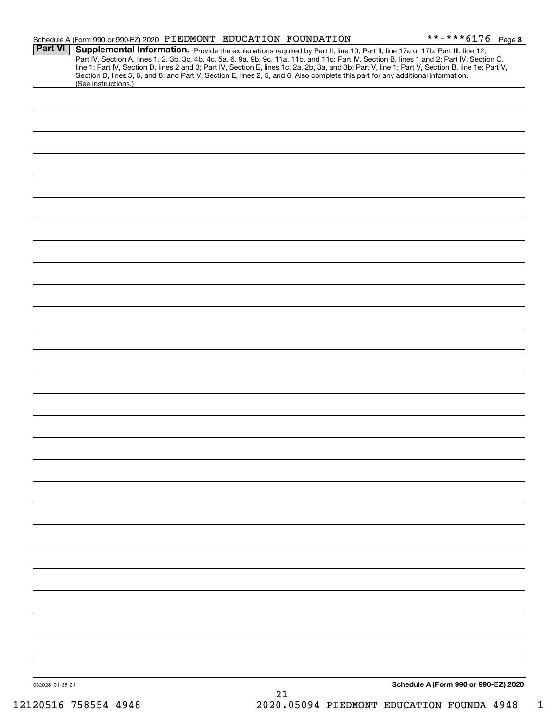|                 | Schedule A (Form 990 or 990-EZ) 2020 PIEDMONT EDUCATION FOUNDATION                                                                                                                                                                                                                                                                                                                                                                |    | **-***6176 Page 8                    |
|-----------------|-----------------------------------------------------------------------------------------------------------------------------------------------------------------------------------------------------------------------------------------------------------------------------------------------------------------------------------------------------------------------------------------------------------------------------------|----|--------------------------------------|
| <b>Part VI</b>  | Supplemental Information. Provide the explanations required by Part II, line 10; Part II, line 17a or 17b; Part III, line 12;<br>Part IV, Section A, lines 1, 2, 3b, 3c, 4b, 4c, 5a, 6, 9a, 9b, 9c, 11a, 11b, and 11c; Part IV, Section B, lines 1 and 2; Part IV, Section C,<br>line 1; Part IV, Section D, lines 2 and 3; Part IV, Section E, lines 1c, 2a, 2b, 3a, and 3b; Part V, line 1; Part V, Section B, line 1e; Part V, |    |                                      |
|                 | Section D, lines 5, 6, and 8; and Part V, Section E, lines 2, 5, and 6. Also complete this part for any additional information.<br>(See instructions.)                                                                                                                                                                                                                                                                            |    |                                      |
|                 |                                                                                                                                                                                                                                                                                                                                                                                                                                   |    |                                      |
|                 |                                                                                                                                                                                                                                                                                                                                                                                                                                   |    |                                      |
|                 |                                                                                                                                                                                                                                                                                                                                                                                                                                   |    |                                      |
|                 |                                                                                                                                                                                                                                                                                                                                                                                                                                   |    |                                      |
|                 |                                                                                                                                                                                                                                                                                                                                                                                                                                   |    |                                      |
|                 |                                                                                                                                                                                                                                                                                                                                                                                                                                   |    |                                      |
|                 |                                                                                                                                                                                                                                                                                                                                                                                                                                   |    |                                      |
|                 |                                                                                                                                                                                                                                                                                                                                                                                                                                   |    |                                      |
|                 |                                                                                                                                                                                                                                                                                                                                                                                                                                   |    |                                      |
|                 |                                                                                                                                                                                                                                                                                                                                                                                                                                   |    |                                      |
|                 |                                                                                                                                                                                                                                                                                                                                                                                                                                   |    |                                      |
|                 |                                                                                                                                                                                                                                                                                                                                                                                                                                   |    |                                      |
|                 |                                                                                                                                                                                                                                                                                                                                                                                                                                   |    |                                      |
|                 |                                                                                                                                                                                                                                                                                                                                                                                                                                   |    |                                      |
|                 |                                                                                                                                                                                                                                                                                                                                                                                                                                   |    |                                      |
|                 |                                                                                                                                                                                                                                                                                                                                                                                                                                   |    |                                      |
|                 |                                                                                                                                                                                                                                                                                                                                                                                                                                   |    |                                      |
|                 |                                                                                                                                                                                                                                                                                                                                                                                                                                   |    |                                      |
|                 |                                                                                                                                                                                                                                                                                                                                                                                                                                   |    |                                      |
|                 |                                                                                                                                                                                                                                                                                                                                                                                                                                   |    |                                      |
|                 |                                                                                                                                                                                                                                                                                                                                                                                                                                   |    |                                      |
|                 |                                                                                                                                                                                                                                                                                                                                                                                                                                   |    |                                      |
|                 |                                                                                                                                                                                                                                                                                                                                                                                                                                   |    |                                      |
|                 |                                                                                                                                                                                                                                                                                                                                                                                                                                   |    |                                      |
|                 |                                                                                                                                                                                                                                                                                                                                                                                                                                   |    |                                      |
|                 |                                                                                                                                                                                                                                                                                                                                                                                                                                   |    |                                      |
|                 |                                                                                                                                                                                                                                                                                                                                                                                                                                   |    |                                      |
|                 |                                                                                                                                                                                                                                                                                                                                                                                                                                   |    |                                      |
|                 |                                                                                                                                                                                                                                                                                                                                                                                                                                   |    |                                      |
|                 |                                                                                                                                                                                                                                                                                                                                                                                                                                   |    |                                      |
|                 |                                                                                                                                                                                                                                                                                                                                                                                                                                   |    |                                      |
|                 |                                                                                                                                                                                                                                                                                                                                                                                                                                   |    |                                      |
|                 |                                                                                                                                                                                                                                                                                                                                                                                                                                   |    |                                      |
|                 |                                                                                                                                                                                                                                                                                                                                                                                                                                   |    |                                      |
|                 |                                                                                                                                                                                                                                                                                                                                                                                                                                   |    |                                      |
|                 |                                                                                                                                                                                                                                                                                                                                                                                                                                   |    |                                      |
|                 |                                                                                                                                                                                                                                                                                                                                                                                                                                   |    |                                      |
|                 |                                                                                                                                                                                                                                                                                                                                                                                                                                   |    |                                      |
|                 |                                                                                                                                                                                                                                                                                                                                                                                                                                   |    |                                      |
| 032028 01-25-21 |                                                                                                                                                                                                                                                                                                                                                                                                                                   | 21 | Schedule A (Form 990 or 990-EZ) 2020 |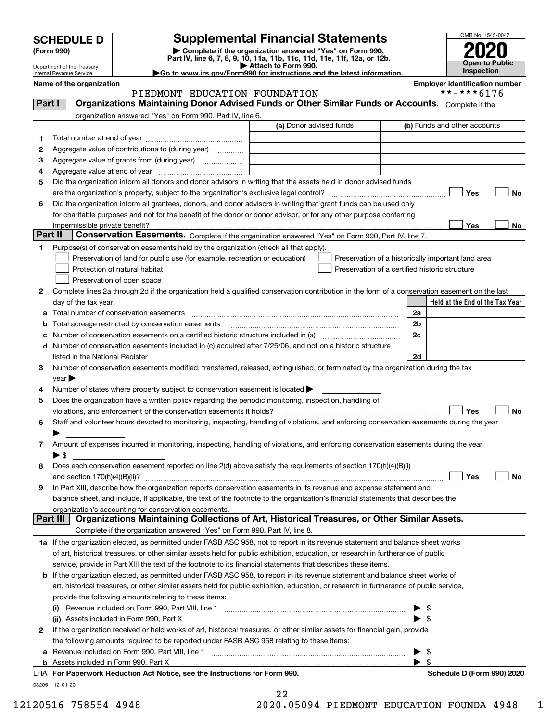| <b>SCHEDULE D</b> |  |
|-------------------|--|
|-------------------|--|

| (Form 990) |  |
|------------|--|
|------------|--|

## **SCHEDULE D Supplemental Financial Statements**

(Form 990)<br>
Pepartment of the Treasury<br>
Department of the Treasury<br>
Department of the Treasury<br>
Department of the Treasury<br> **Co to www.irs.gov/Form990 for instructions and the latest information.**<br> **Co to www.irs.gov/Form9** 



Department of the Treasury Internal Revenue Service

**Name of the organization**<br> **REMONT ENGICATION FOINDATION**<br> **Employer identification number**<br> **Employer identification number**<br> **Employer identification number** 

|         | PIEDMONT EDUCATION FOUNDATION                                                                                                                  |                         | **-***6176                                         |
|---------|------------------------------------------------------------------------------------------------------------------------------------------------|-------------------------|----------------------------------------------------|
| Part I  | Organizations Maintaining Donor Advised Funds or Other Similar Funds or Accounts. Complete if the                                              |                         |                                                    |
|         | organization answered "Yes" on Form 990, Part IV, line 6.                                                                                      |                         |                                                    |
|         |                                                                                                                                                | (a) Donor advised funds | (b) Funds and other accounts                       |
| 1       |                                                                                                                                                |                         |                                                    |
| 2       | Aggregate value of contributions to (during year)                                                                                              |                         |                                                    |
| 3       | Aggregate value of grants from (during year)                                                                                                   |                         |                                                    |
| 4       |                                                                                                                                                |                         |                                                    |
| 5       | Did the organization inform all donors and donor advisors in writing that the assets held in donor advised funds                               |                         |                                                    |
|         |                                                                                                                                                |                         | Yes<br>No                                          |
| 6       | Did the organization inform all grantees, donors, and donor advisors in writing that grant funds can be used only                              |                         |                                                    |
|         | for charitable purposes and not for the benefit of the donor or donor advisor, or for any other purpose conferring                             |                         |                                                    |
|         | impermissible private benefit?                                                                                                                 |                         | Yes<br>No                                          |
| Part II | Conservation Easements. Complete if the organization answered "Yes" on Form 990, Part IV, line 7.                                              |                         |                                                    |
| 1       | Purpose(s) of conservation easements held by the organization (check all that apply).                                                          |                         |                                                    |
|         | Preservation of land for public use (for example, recreation or education)                                                                     |                         | Preservation of a historically important land area |
|         | Protection of natural habitat                                                                                                                  |                         | Preservation of a certified historic structure     |
|         | Preservation of open space                                                                                                                     |                         |                                                    |
| 2       | Complete lines 2a through 2d if the organization held a qualified conservation contribution in the form of a conservation easement on the last |                         |                                                    |
|         | day of the tax year.                                                                                                                           |                         | Held at the End of the Tax Year                    |
|         |                                                                                                                                                |                         | 2a                                                 |
|         | Total acreage restricted by conservation easements                                                                                             |                         | 2 <sub>b</sub>                                     |
|         | Number of conservation easements on a certified historic structure included in (a) manufacture included in (a)                                 |                         | 2 <sub>c</sub>                                     |
| d       | Number of conservation easements included in (c) acquired after 7/25/06, and not on a historic structure                                       |                         |                                                    |
|         | listed in the National Register [111] [12] The Marian Marian Marian Marian Marian Marian Marian Marian Marian M                                |                         | 2d                                                 |
| З       | Number of conservation easements modified, transferred, released, extinguished, or terminated by the organization during the tax               |                         |                                                    |
|         | year                                                                                                                                           |                         |                                                    |
| 4       | Number of states where property subject to conservation easement is located >                                                                  |                         |                                                    |
| 5       | Does the organization have a written policy regarding the periodic monitoring, inspection, handling of                                         |                         |                                                    |
|         | violations, and enforcement of the conservation easements it holds?                                                                            |                         | Yes<br>No                                          |
| 6       | Staff and volunteer hours devoted to monitoring, inspecting, handling of violations, and enforcing conservation easements during the year      |                         |                                                    |
|         |                                                                                                                                                |                         |                                                    |
| 7       | Amount of expenses incurred in monitoring, inspecting, handling of violations, and enforcing conservation easements during the year            |                         |                                                    |
|         | $\blacktriangleright$ S                                                                                                                        |                         |                                                    |
| 8       | Does each conservation easement reported on line 2(d) above satisfy the requirements of section 170(h)(4)(B)(i)                                |                         |                                                    |
|         | and section $170(h)(4)(B)(ii)?$                                                                                                                |                         | Yes<br>No                                          |
| 9       | In Part XIII, describe how the organization reports conservation easements in its revenue and expense statement and                            |                         |                                                    |
|         | balance sheet, and include, if applicable, the text of the footnote to the organization's financial statements that describes the              |                         |                                                    |
|         | organization's accounting for conservation easements.                                                                                          |                         |                                                    |
|         | Organizations Maintaining Collections of Art, Historical Treasures, or Other Similar Assets.<br>Part III                                       |                         |                                                    |
|         | Complete if the organization answered "Yes" on Form 990, Part IV, line 8.                                                                      |                         |                                                    |
|         | 1a If the organization elected, as permitted under FASB ASC 958, not to report in its revenue statement and balance sheet works                |                         |                                                    |
|         | of art, historical treasures, or other similar assets held for public exhibition, education, or research in furtherance of public              |                         |                                                    |
|         | service, provide in Part XIII the text of the footnote to its financial statements that describes these items.                                 |                         |                                                    |
| b       | If the organization elected, as permitted under FASB ASC 958, to report in its revenue statement and balance sheet works of                    |                         |                                                    |
|         | art, historical treasures, or other similar assets held for public exhibition, education, or research in furtherance of public service,        |                         |                                                    |
|         | provide the following amounts relating to these items:                                                                                         |                         |                                                    |
|         |                                                                                                                                                |                         | \$                                                 |
|         | (ii) Assets included in Form 990, Part X                                                                                                       |                         | $\blacktriangleright$ s                            |
| 2       | If the organization received or held works of art, historical treasures, or other similar assets for financial gain, provide                   |                         |                                                    |
|         | the following amounts required to be reported under FASB ASC 958 relating to these items:                                                      |                         |                                                    |
| а       |                                                                                                                                                |                         | \$                                                 |
| b       | Assets included in Form 990, Part X [1, 1, 2, 2000] Marshall Marson and Marshall Marson and Marson and Marson M                                |                         | $\blacktriangleright$ s                            |
|         | LHA For Paperwork Reduction Act Notice, see the Instructions for Form 990.                                                                     |                         | Schedule D (Form 990) 2020                         |
|         | 032051 12-01-20                                                                                                                                |                         |                                                    |
|         |                                                                                                                                                |                         |                                                    |

22 12120516 758554 4948 2020.05094 PIEDMONT EDUCATION FOUNDA 4948\_\_\_1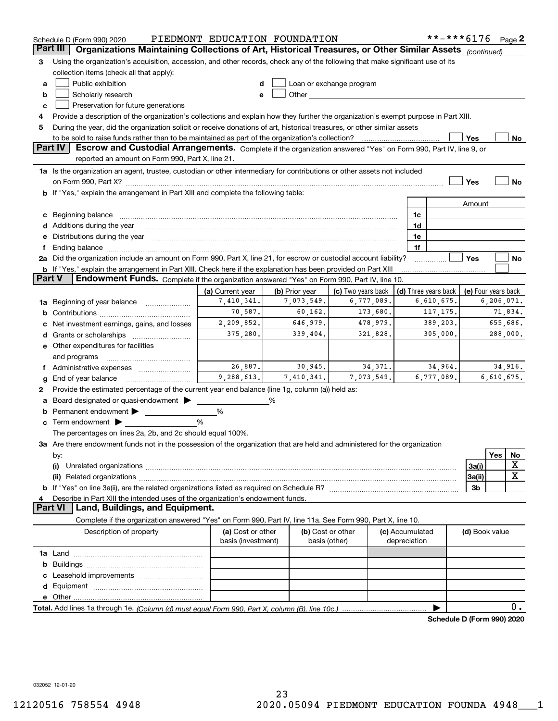| Part III<br>Organizations Maintaining Collections of Art, Historical Treasures, or Other Similar Assets<br>(continued)<br>Using the organization's acquisition, accession, and other records, check any of the following that make significant use of its<br>з<br>collection items (check all that apply):<br>Public exhibition<br>Loan or exchange program<br>a<br>d<br>Scholarly research<br>Other and the contract of the contract of the contract of the contract of the contract of the contract of the contract of the contract of the contract of the contract of the contract of the contract of the contract of the<br>b<br>е<br>Preservation for future generations<br>c<br>Provide a description of the organization's collections and explain how they further the organization's exempt purpose in Part XIII.<br>4<br>During the year, did the organization solicit or receive donations of art, historical treasures, or other similar assets<br>5<br>to be sold to raise funds rather than to be maintained as part of the organization's collection?<br>Yes<br>No<br><b>Part IV</b><br>Escrow and Custodial Arrangements. Complete if the organization answered "Yes" on Form 990, Part IV, line 9, or<br>reported an amount on Form 990, Part X, line 21.<br>1a Is the organization an agent, trustee, custodian or other intermediary for contributions or other assets not included<br>Yes<br>No<br>on Form 990, Part X? [11] matter and the contract of the contract of the contract of the contract of the contract of the contract of the contract of the contract of the contract of the contract of the contract of the contr<br><b>b</b> If "Yes," explain the arrangement in Part XIII and complete the following table:<br>Amount<br>c Beginning balance measurements and the contract of the contract of the contract of the contract of the contract of the contract of the contract of the contract of the contract of the contract of the contract of the contr<br>1c<br>1d<br>e Distributions during the year manufactured and continuum and contained and the year manufactured and contained and the year manufactured and contained and contained and contained and contained and contained and contained<br>1e<br>1f<br>Ending balance manufacture contract contract contract contract contract contract contract contract contract contract contract contract contract contract contract contract contract contract contract contract contract contra<br>Ť.<br>2a Did the organization include an amount on Form 990, Part X, line 21, for escrow or custodial account liability?<br>Yes<br>No<br><b>b</b> If "Yes," explain the arrangement in Part XIII. Check here if the explanation has been provided on Part XIII<br>Part V<br>Endowment Funds. Complete if the organization answered "Yes" on Form 990, Part IV, line 10.<br>(b) Prior year<br>(c) Two years back<br>(d) Three years back<br>(e) Four years back<br>(a) Current year<br>7,410,341.<br>6,777,089.<br>6,206,071.<br>7,073,549.<br>6,610,675.<br>Beginning of year balance<br>1a<br>70,587.<br>60, 162.<br>173,680.<br>117, 175.<br>71,834.<br>655,686.<br>2,209,852.<br>646,979.<br>478,979.<br>389,203.<br>Net investment earnings, gains, and losses<br>375,280.<br>339,404.<br>321,828.<br>305,000.<br>288,000.<br>d<br>e Other expenditures for facilities<br>and programs<br>26,887.<br>30,945.<br>34,964.<br>34,916.<br>34, 371.<br>9,288,613.<br>7,410,341.<br>7,073,549.<br>6,777,089.<br>6,610,675.<br>End of year balance<br>g<br>Provide the estimated percentage of the current year end balance (line 1g, column (a)) held as:<br>2<br>Board designated or quasi-endowment<br>%<br>а<br>Permanent endowment ><br>%<br>Term endowment $\blacktriangleright$<br>%<br>The percentages on lines 2a, 2b, and 2c should equal 100%.<br>3a Are there endowment funds not in the possession of the organization that are held and administered for the organization<br>Yes<br>No<br>by:<br>X<br>3a(i)<br>(i)<br>$\mathbf X$<br>3a(ii)<br>3b<br>Describe in Part XIII the intended uses of the organization's endowment funds.<br>4<br>Land, Buildings, and Equipment.<br>Part VI<br>Complete if the organization answered "Yes" on Form 990, Part IV, line 11a. See Form 990, Part X, line 10.<br>Description of property<br>(a) Cost or other<br>(b) Cost or other<br>(c) Accumulated<br>(d) Book value<br>basis (investment)<br>basis (other)<br>depreciation<br><b>1a</b> Land ………………………………………………<br>b<br>d<br>0. | Schedule D (Form 990) 2020 | PIEDMONT EDUCATION FOUNDATION |  | **-***6176 | Page 2 |
|-------------------------------------------------------------------------------------------------------------------------------------------------------------------------------------------------------------------------------------------------------------------------------------------------------------------------------------------------------------------------------------------------------------------------------------------------------------------------------------------------------------------------------------------------------------------------------------------------------------------------------------------------------------------------------------------------------------------------------------------------------------------------------------------------------------------------------------------------------------------------------------------------------------------------------------------------------------------------------------------------------------------------------------------------------------------------------------------------------------------------------------------------------------------------------------------------------------------------------------------------------------------------------------------------------------------------------------------------------------------------------------------------------------------------------------------------------------------------------------------------------------------------------------------------------------------------------------------------------------------------------------------------------------------------------------------------------------------------------------------------------------------------------------------------------------------------------------------------------------------------------------------------------------------------------------------------------------------------------------------------------------------------------------------------------------------------------------------------------------------------------------------------------------------------------------------------------------------------------------------------------------------------------------------------------------------------------------------------------------------------------------------------------------------------------------------------------------------------------------------------------------------------------------------------------------------------------------------------------------------------------------------------------------------------------------------------------------------------------------------------------------------------------------------------------------------------------------------------------------------------------------------------------------------------------------------------------------------------------------------------------------------------------------------------------------------------------------------------------------------------------------------------------------------------------------------------------------------------------------------------------------------------------------------------------------------------------------------------------------------------------------------------------------------------------------------------------------------------------------------------------------------------------------------------------------------------------------------------------------------------------------------------------------------------------------------------------------------------------------------------------------------------------------------------------------------------------------------------------------------------------------------------------------------------------------------------------------------------------------------------------------------------------------------------------------------------------------------------------------------------------------------------------------------------------------------------------------------------------------------------------------------------------------------------------------------------------------------------------------------------------------------------------------------------------------------------------------------------------------------------------------------------------------|----------------------------|-------------------------------|--|------------|--------|
|                                                                                                                                                                                                                                                                                                                                                                                                                                                                                                                                                                                                                                                                                                                                                                                                                                                                                                                                                                                                                                                                                                                                                                                                                                                                                                                                                                                                                                                                                                                                                                                                                                                                                                                                                                                                                                                                                                                                                                                                                                                                                                                                                                                                                                                                                                                                                                                                                                                                                                                                                                                                                                                                                                                                                                                                                                                                                                                                                                                                                                                                                                                                                                                                                                                                                                                                                                                                                                                                                                                                                                                                                                                                                                                                                                                                                                                                                                                                                                                                                                                                                                                                                                                                                                                                                                                                                                                                                                                                                                                                     |                            |                               |  |            |        |
|                                                                                                                                                                                                                                                                                                                                                                                                                                                                                                                                                                                                                                                                                                                                                                                                                                                                                                                                                                                                                                                                                                                                                                                                                                                                                                                                                                                                                                                                                                                                                                                                                                                                                                                                                                                                                                                                                                                                                                                                                                                                                                                                                                                                                                                                                                                                                                                                                                                                                                                                                                                                                                                                                                                                                                                                                                                                                                                                                                                                                                                                                                                                                                                                                                                                                                                                                                                                                                                                                                                                                                                                                                                                                                                                                                                                                                                                                                                                                                                                                                                                                                                                                                                                                                                                                                                                                                                                                                                                                                                                     |                            |                               |  |            |        |
|                                                                                                                                                                                                                                                                                                                                                                                                                                                                                                                                                                                                                                                                                                                                                                                                                                                                                                                                                                                                                                                                                                                                                                                                                                                                                                                                                                                                                                                                                                                                                                                                                                                                                                                                                                                                                                                                                                                                                                                                                                                                                                                                                                                                                                                                                                                                                                                                                                                                                                                                                                                                                                                                                                                                                                                                                                                                                                                                                                                                                                                                                                                                                                                                                                                                                                                                                                                                                                                                                                                                                                                                                                                                                                                                                                                                                                                                                                                                                                                                                                                                                                                                                                                                                                                                                                                                                                                                                                                                                                                                     |                            |                               |  |            |        |
|                                                                                                                                                                                                                                                                                                                                                                                                                                                                                                                                                                                                                                                                                                                                                                                                                                                                                                                                                                                                                                                                                                                                                                                                                                                                                                                                                                                                                                                                                                                                                                                                                                                                                                                                                                                                                                                                                                                                                                                                                                                                                                                                                                                                                                                                                                                                                                                                                                                                                                                                                                                                                                                                                                                                                                                                                                                                                                                                                                                                                                                                                                                                                                                                                                                                                                                                                                                                                                                                                                                                                                                                                                                                                                                                                                                                                                                                                                                                                                                                                                                                                                                                                                                                                                                                                                                                                                                                                                                                                                                                     |                            |                               |  |            |        |
|                                                                                                                                                                                                                                                                                                                                                                                                                                                                                                                                                                                                                                                                                                                                                                                                                                                                                                                                                                                                                                                                                                                                                                                                                                                                                                                                                                                                                                                                                                                                                                                                                                                                                                                                                                                                                                                                                                                                                                                                                                                                                                                                                                                                                                                                                                                                                                                                                                                                                                                                                                                                                                                                                                                                                                                                                                                                                                                                                                                                                                                                                                                                                                                                                                                                                                                                                                                                                                                                                                                                                                                                                                                                                                                                                                                                                                                                                                                                                                                                                                                                                                                                                                                                                                                                                                                                                                                                                                                                                                                                     |                            |                               |  |            |        |
|                                                                                                                                                                                                                                                                                                                                                                                                                                                                                                                                                                                                                                                                                                                                                                                                                                                                                                                                                                                                                                                                                                                                                                                                                                                                                                                                                                                                                                                                                                                                                                                                                                                                                                                                                                                                                                                                                                                                                                                                                                                                                                                                                                                                                                                                                                                                                                                                                                                                                                                                                                                                                                                                                                                                                                                                                                                                                                                                                                                                                                                                                                                                                                                                                                                                                                                                                                                                                                                                                                                                                                                                                                                                                                                                                                                                                                                                                                                                                                                                                                                                                                                                                                                                                                                                                                                                                                                                                                                                                                                                     |                            |                               |  |            |        |
|                                                                                                                                                                                                                                                                                                                                                                                                                                                                                                                                                                                                                                                                                                                                                                                                                                                                                                                                                                                                                                                                                                                                                                                                                                                                                                                                                                                                                                                                                                                                                                                                                                                                                                                                                                                                                                                                                                                                                                                                                                                                                                                                                                                                                                                                                                                                                                                                                                                                                                                                                                                                                                                                                                                                                                                                                                                                                                                                                                                                                                                                                                                                                                                                                                                                                                                                                                                                                                                                                                                                                                                                                                                                                                                                                                                                                                                                                                                                                                                                                                                                                                                                                                                                                                                                                                                                                                                                                                                                                                                                     |                            |                               |  |            |        |
|                                                                                                                                                                                                                                                                                                                                                                                                                                                                                                                                                                                                                                                                                                                                                                                                                                                                                                                                                                                                                                                                                                                                                                                                                                                                                                                                                                                                                                                                                                                                                                                                                                                                                                                                                                                                                                                                                                                                                                                                                                                                                                                                                                                                                                                                                                                                                                                                                                                                                                                                                                                                                                                                                                                                                                                                                                                                                                                                                                                                                                                                                                                                                                                                                                                                                                                                                                                                                                                                                                                                                                                                                                                                                                                                                                                                                                                                                                                                                                                                                                                                                                                                                                                                                                                                                                                                                                                                                                                                                                                                     |                            |                               |  |            |        |
|                                                                                                                                                                                                                                                                                                                                                                                                                                                                                                                                                                                                                                                                                                                                                                                                                                                                                                                                                                                                                                                                                                                                                                                                                                                                                                                                                                                                                                                                                                                                                                                                                                                                                                                                                                                                                                                                                                                                                                                                                                                                                                                                                                                                                                                                                                                                                                                                                                                                                                                                                                                                                                                                                                                                                                                                                                                                                                                                                                                                                                                                                                                                                                                                                                                                                                                                                                                                                                                                                                                                                                                                                                                                                                                                                                                                                                                                                                                                                                                                                                                                                                                                                                                                                                                                                                                                                                                                                                                                                                                                     |                            |                               |  |            |        |
|                                                                                                                                                                                                                                                                                                                                                                                                                                                                                                                                                                                                                                                                                                                                                                                                                                                                                                                                                                                                                                                                                                                                                                                                                                                                                                                                                                                                                                                                                                                                                                                                                                                                                                                                                                                                                                                                                                                                                                                                                                                                                                                                                                                                                                                                                                                                                                                                                                                                                                                                                                                                                                                                                                                                                                                                                                                                                                                                                                                                                                                                                                                                                                                                                                                                                                                                                                                                                                                                                                                                                                                                                                                                                                                                                                                                                                                                                                                                                                                                                                                                                                                                                                                                                                                                                                                                                                                                                                                                                                                                     |                            |                               |  |            |        |
|                                                                                                                                                                                                                                                                                                                                                                                                                                                                                                                                                                                                                                                                                                                                                                                                                                                                                                                                                                                                                                                                                                                                                                                                                                                                                                                                                                                                                                                                                                                                                                                                                                                                                                                                                                                                                                                                                                                                                                                                                                                                                                                                                                                                                                                                                                                                                                                                                                                                                                                                                                                                                                                                                                                                                                                                                                                                                                                                                                                                                                                                                                                                                                                                                                                                                                                                                                                                                                                                                                                                                                                                                                                                                                                                                                                                                                                                                                                                                                                                                                                                                                                                                                                                                                                                                                                                                                                                                                                                                                                                     |                            |                               |  |            |        |
|                                                                                                                                                                                                                                                                                                                                                                                                                                                                                                                                                                                                                                                                                                                                                                                                                                                                                                                                                                                                                                                                                                                                                                                                                                                                                                                                                                                                                                                                                                                                                                                                                                                                                                                                                                                                                                                                                                                                                                                                                                                                                                                                                                                                                                                                                                                                                                                                                                                                                                                                                                                                                                                                                                                                                                                                                                                                                                                                                                                                                                                                                                                                                                                                                                                                                                                                                                                                                                                                                                                                                                                                                                                                                                                                                                                                                                                                                                                                                                                                                                                                                                                                                                                                                                                                                                                                                                                                                                                                                                                                     |                            |                               |  |            |        |
|                                                                                                                                                                                                                                                                                                                                                                                                                                                                                                                                                                                                                                                                                                                                                                                                                                                                                                                                                                                                                                                                                                                                                                                                                                                                                                                                                                                                                                                                                                                                                                                                                                                                                                                                                                                                                                                                                                                                                                                                                                                                                                                                                                                                                                                                                                                                                                                                                                                                                                                                                                                                                                                                                                                                                                                                                                                                                                                                                                                                                                                                                                                                                                                                                                                                                                                                                                                                                                                                                                                                                                                                                                                                                                                                                                                                                                                                                                                                                                                                                                                                                                                                                                                                                                                                                                                                                                                                                                                                                                                                     |                            |                               |  |            |        |
|                                                                                                                                                                                                                                                                                                                                                                                                                                                                                                                                                                                                                                                                                                                                                                                                                                                                                                                                                                                                                                                                                                                                                                                                                                                                                                                                                                                                                                                                                                                                                                                                                                                                                                                                                                                                                                                                                                                                                                                                                                                                                                                                                                                                                                                                                                                                                                                                                                                                                                                                                                                                                                                                                                                                                                                                                                                                                                                                                                                                                                                                                                                                                                                                                                                                                                                                                                                                                                                                                                                                                                                                                                                                                                                                                                                                                                                                                                                                                                                                                                                                                                                                                                                                                                                                                                                                                                                                                                                                                                                                     |                            |                               |  |            |        |
|                                                                                                                                                                                                                                                                                                                                                                                                                                                                                                                                                                                                                                                                                                                                                                                                                                                                                                                                                                                                                                                                                                                                                                                                                                                                                                                                                                                                                                                                                                                                                                                                                                                                                                                                                                                                                                                                                                                                                                                                                                                                                                                                                                                                                                                                                                                                                                                                                                                                                                                                                                                                                                                                                                                                                                                                                                                                                                                                                                                                                                                                                                                                                                                                                                                                                                                                                                                                                                                                                                                                                                                                                                                                                                                                                                                                                                                                                                                                                                                                                                                                                                                                                                                                                                                                                                                                                                                                                                                                                                                                     |                            |                               |  |            |        |
|                                                                                                                                                                                                                                                                                                                                                                                                                                                                                                                                                                                                                                                                                                                                                                                                                                                                                                                                                                                                                                                                                                                                                                                                                                                                                                                                                                                                                                                                                                                                                                                                                                                                                                                                                                                                                                                                                                                                                                                                                                                                                                                                                                                                                                                                                                                                                                                                                                                                                                                                                                                                                                                                                                                                                                                                                                                                                                                                                                                                                                                                                                                                                                                                                                                                                                                                                                                                                                                                                                                                                                                                                                                                                                                                                                                                                                                                                                                                                                                                                                                                                                                                                                                                                                                                                                                                                                                                                                                                                                                                     |                            |                               |  |            |        |
|                                                                                                                                                                                                                                                                                                                                                                                                                                                                                                                                                                                                                                                                                                                                                                                                                                                                                                                                                                                                                                                                                                                                                                                                                                                                                                                                                                                                                                                                                                                                                                                                                                                                                                                                                                                                                                                                                                                                                                                                                                                                                                                                                                                                                                                                                                                                                                                                                                                                                                                                                                                                                                                                                                                                                                                                                                                                                                                                                                                                                                                                                                                                                                                                                                                                                                                                                                                                                                                                                                                                                                                                                                                                                                                                                                                                                                                                                                                                                                                                                                                                                                                                                                                                                                                                                                                                                                                                                                                                                                                                     |                            |                               |  |            |        |
|                                                                                                                                                                                                                                                                                                                                                                                                                                                                                                                                                                                                                                                                                                                                                                                                                                                                                                                                                                                                                                                                                                                                                                                                                                                                                                                                                                                                                                                                                                                                                                                                                                                                                                                                                                                                                                                                                                                                                                                                                                                                                                                                                                                                                                                                                                                                                                                                                                                                                                                                                                                                                                                                                                                                                                                                                                                                                                                                                                                                                                                                                                                                                                                                                                                                                                                                                                                                                                                                                                                                                                                                                                                                                                                                                                                                                                                                                                                                                                                                                                                                                                                                                                                                                                                                                                                                                                                                                                                                                                                                     |                            |                               |  |            |        |
|                                                                                                                                                                                                                                                                                                                                                                                                                                                                                                                                                                                                                                                                                                                                                                                                                                                                                                                                                                                                                                                                                                                                                                                                                                                                                                                                                                                                                                                                                                                                                                                                                                                                                                                                                                                                                                                                                                                                                                                                                                                                                                                                                                                                                                                                                                                                                                                                                                                                                                                                                                                                                                                                                                                                                                                                                                                                                                                                                                                                                                                                                                                                                                                                                                                                                                                                                                                                                                                                                                                                                                                                                                                                                                                                                                                                                                                                                                                                                                                                                                                                                                                                                                                                                                                                                                                                                                                                                                                                                                                                     |                            |                               |  |            |        |
|                                                                                                                                                                                                                                                                                                                                                                                                                                                                                                                                                                                                                                                                                                                                                                                                                                                                                                                                                                                                                                                                                                                                                                                                                                                                                                                                                                                                                                                                                                                                                                                                                                                                                                                                                                                                                                                                                                                                                                                                                                                                                                                                                                                                                                                                                                                                                                                                                                                                                                                                                                                                                                                                                                                                                                                                                                                                                                                                                                                                                                                                                                                                                                                                                                                                                                                                                                                                                                                                                                                                                                                                                                                                                                                                                                                                                                                                                                                                                                                                                                                                                                                                                                                                                                                                                                                                                                                                                                                                                                                                     |                            |                               |  |            |        |
|                                                                                                                                                                                                                                                                                                                                                                                                                                                                                                                                                                                                                                                                                                                                                                                                                                                                                                                                                                                                                                                                                                                                                                                                                                                                                                                                                                                                                                                                                                                                                                                                                                                                                                                                                                                                                                                                                                                                                                                                                                                                                                                                                                                                                                                                                                                                                                                                                                                                                                                                                                                                                                                                                                                                                                                                                                                                                                                                                                                                                                                                                                                                                                                                                                                                                                                                                                                                                                                                                                                                                                                                                                                                                                                                                                                                                                                                                                                                                                                                                                                                                                                                                                                                                                                                                                                                                                                                                                                                                                                                     |                            |                               |  |            |        |
|                                                                                                                                                                                                                                                                                                                                                                                                                                                                                                                                                                                                                                                                                                                                                                                                                                                                                                                                                                                                                                                                                                                                                                                                                                                                                                                                                                                                                                                                                                                                                                                                                                                                                                                                                                                                                                                                                                                                                                                                                                                                                                                                                                                                                                                                                                                                                                                                                                                                                                                                                                                                                                                                                                                                                                                                                                                                                                                                                                                                                                                                                                                                                                                                                                                                                                                                                                                                                                                                                                                                                                                                                                                                                                                                                                                                                                                                                                                                                                                                                                                                                                                                                                                                                                                                                                                                                                                                                                                                                                                                     |                            |                               |  |            |        |
|                                                                                                                                                                                                                                                                                                                                                                                                                                                                                                                                                                                                                                                                                                                                                                                                                                                                                                                                                                                                                                                                                                                                                                                                                                                                                                                                                                                                                                                                                                                                                                                                                                                                                                                                                                                                                                                                                                                                                                                                                                                                                                                                                                                                                                                                                                                                                                                                                                                                                                                                                                                                                                                                                                                                                                                                                                                                                                                                                                                                                                                                                                                                                                                                                                                                                                                                                                                                                                                                                                                                                                                                                                                                                                                                                                                                                                                                                                                                                                                                                                                                                                                                                                                                                                                                                                                                                                                                                                                                                                                                     |                            |                               |  |            |        |
|                                                                                                                                                                                                                                                                                                                                                                                                                                                                                                                                                                                                                                                                                                                                                                                                                                                                                                                                                                                                                                                                                                                                                                                                                                                                                                                                                                                                                                                                                                                                                                                                                                                                                                                                                                                                                                                                                                                                                                                                                                                                                                                                                                                                                                                                                                                                                                                                                                                                                                                                                                                                                                                                                                                                                                                                                                                                                                                                                                                                                                                                                                                                                                                                                                                                                                                                                                                                                                                                                                                                                                                                                                                                                                                                                                                                                                                                                                                                                                                                                                                                                                                                                                                                                                                                                                                                                                                                                                                                                                                                     |                            |                               |  |            |        |
|                                                                                                                                                                                                                                                                                                                                                                                                                                                                                                                                                                                                                                                                                                                                                                                                                                                                                                                                                                                                                                                                                                                                                                                                                                                                                                                                                                                                                                                                                                                                                                                                                                                                                                                                                                                                                                                                                                                                                                                                                                                                                                                                                                                                                                                                                                                                                                                                                                                                                                                                                                                                                                                                                                                                                                                                                                                                                                                                                                                                                                                                                                                                                                                                                                                                                                                                                                                                                                                                                                                                                                                                                                                                                                                                                                                                                                                                                                                                                                                                                                                                                                                                                                                                                                                                                                                                                                                                                                                                                                                                     |                            |                               |  |            |        |
|                                                                                                                                                                                                                                                                                                                                                                                                                                                                                                                                                                                                                                                                                                                                                                                                                                                                                                                                                                                                                                                                                                                                                                                                                                                                                                                                                                                                                                                                                                                                                                                                                                                                                                                                                                                                                                                                                                                                                                                                                                                                                                                                                                                                                                                                                                                                                                                                                                                                                                                                                                                                                                                                                                                                                                                                                                                                                                                                                                                                                                                                                                                                                                                                                                                                                                                                                                                                                                                                                                                                                                                                                                                                                                                                                                                                                                                                                                                                                                                                                                                                                                                                                                                                                                                                                                                                                                                                                                                                                                                                     |                            |                               |  |            |        |
|                                                                                                                                                                                                                                                                                                                                                                                                                                                                                                                                                                                                                                                                                                                                                                                                                                                                                                                                                                                                                                                                                                                                                                                                                                                                                                                                                                                                                                                                                                                                                                                                                                                                                                                                                                                                                                                                                                                                                                                                                                                                                                                                                                                                                                                                                                                                                                                                                                                                                                                                                                                                                                                                                                                                                                                                                                                                                                                                                                                                                                                                                                                                                                                                                                                                                                                                                                                                                                                                                                                                                                                                                                                                                                                                                                                                                                                                                                                                                                                                                                                                                                                                                                                                                                                                                                                                                                                                                                                                                                                                     |                            |                               |  |            |        |
|                                                                                                                                                                                                                                                                                                                                                                                                                                                                                                                                                                                                                                                                                                                                                                                                                                                                                                                                                                                                                                                                                                                                                                                                                                                                                                                                                                                                                                                                                                                                                                                                                                                                                                                                                                                                                                                                                                                                                                                                                                                                                                                                                                                                                                                                                                                                                                                                                                                                                                                                                                                                                                                                                                                                                                                                                                                                                                                                                                                                                                                                                                                                                                                                                                                                                                                                                                                                                                                                                                                                                                                                                                                                                                                                                                                                                                                                                                                                                                                                                                                                                                                                                                                                                                                                                                                                                                                                                                                                                                                                     |                            |                               |  |            |        |
|                                                                                                                                                                                                                                                                                                                                                                                                                                                                                                                                                                                                                                                                                                                                                                                                                                                                                                                                                                                                                                                                                                                                                                                                                                                                                                                                                                                                                                                                                                                                                                                                                                                                                                                                                                                                                                                                                                                                                                                                                                                                                                                                                                                                                                                                                                                                                                                                                                                                                                                                                                                                                                                                                                                                                                                                                                                                                                                                                                                                                                                                                                                                                                                                                                                                                                                                                                                                                                                                                                                                                                                                                                                                                                                                                                                                                                                                                                                                                                                                                                                                                                                                                                                                                                                                                                                                                                                                                                                                                                                                     |                            |                               |  |            |        |
|                                                                                                                                                                                                                                                                                                                                                                                                                                                                                                                                                                                                                                                                                                                                                                                                                                                                                                                                                                                                                                                                                                                                                                                                                                                                                                                                                                                                                                                                                                                                                                                                                                                                                                                                                                                                                                                                                                                                                                                                                                                                                                                                                                                                                                                                                                                                                                                                                                                                                                                                                                                                                                                                                                                                                                                                                                                                                                                                                                                                                                                                                                                                                                                                                                                                                                                                                                                                                                                                                                                                                                                                                                                                                                                                                                                                                                                                                                                                                                                                                                                                                                                                                                                                                                                                                                                                                                                                                                                                                                                                     |                            |                               |  |            |        |
|                                                                                                                                                                                                                                                                                                                                                                                                                                                                                                                                                                                                                                                                                                                                                                                                                                                                                                                                                                                                                                                                                                                                                                                                                                                                                                                                                                                                                                                                                                                                                                                                                                                                                                                                                                                                                                                                                                                                                                                                                                                                                                                                                                                                                                                                                                                                                                                                                                                                                                                                                                                                                                                                                                                                                                                                                                                                                                                                                                                                                                                                                                                                                                                                                                                                                                                                                                                                                                                                                                                                                                                                                                                                                                                                                                                                                                                                                                                                                                                                                                                                                                                                                                                                                                                                                                                                                                                                                                                                                                                                     |                            |                               |  |            |        |
|                                                                                                                                                                                                                                                                                                                                                                                                                                                                                                                                                                                                                                                                                                                                                                                                                                                                                                                                                                                                                                                                                                                                                                                                                                                                                                                                                                                                                                                                                                                                                                                                                                                                                                                                                                                                                                                                                                                                                                                                                                                                                                                                                                                                                                                                                                                                                                                                                                                                                                                                                                                                                                                                                                                                                                                                                                                                                                                                                                                                                                                                                                                                                                                                                                                                                                                                                                                                                                                                                                                                                                                                                                                                                                                                                                                                                                                                                                                                                                                                                                                                                                                                                                                                                                                                                                                                                                                                                                                                                                                                     |                            |                               |  |            |        |
|                                                                                                                                                                                                                                                                                                                                                                                                                                                                                                                                                                                                                                                                                                                                                                                                                                                                                                                                                                                                                                                                                                                                                                                                                                                                                                                                                                                                                                                                                                                                                                                                                                                                                                                                                                                                                                                                                                                                                                                                                                                                                                                                                                                                                                                                                                                                                                                                                                                                                                                                                                                                                                                                                                                                                                                                                                                                                                                                                                                                                                                                                                                                                                                                                                                                                                                                                                                                                                                                                                                                                                                                                                                                                                                                                                                                                                                                                                                                                                                                                                                                                                                                                                                                                                                                                                                                                                                                                                                                                                                                     |                            |                               |  |            |        |
|                                                                                                                                                                                                                                                                                                                                                                                                                                                                                                                                                                                                                                                                                                                                                                                                                                                                                                                                                                                                                                                                                                                                                                                                                                                                                                                                                                                                                                                                                                                                                                                                                                                                                                                                                                                                                                                                                                                                                                                                                                                                                                                                                                                                                                                                                                                                                                                                                                                                                                                                                                                                                                                                                                                                                                                                                                                                                                                                                                                                                                                                                                                                                                                                                                                                                                                                                                                                                                                                                                                                                                                                                                                                                                                                                                                                                                                                                                                                                                                                                                                                                                                                                                                                                                                                                                                                                                                                                                                                                                                                     |                            |                               |  |            |        |
|                                                                                                                                                                                                                                                                                                                                                                                                                                                                                                                                                                                                                                                                                                                                                                                                                                                                                                                                                                                                                                                                                                                                                                                                                                                                                                                                                                                                                                                                                                                                                                                                                                                                                                                                                                                                                                                                                                                                                                                                                                                                                                                                                                                                                                                                                                                                                                                                                                                                                                                                                                                                                                                                                                                                                                                                                                                                                                                                                                                                                                                                                                                                                                                                                                                                                                                                                                                                                                                                                                                                                                                                                                                                                                                                                                                                                                                                                                                                                                                                                                                                                                                                                                                                                                                                                                                                                                                                                                                                                                                                     |                            |                               |  |            |        |
|                                                                                                                                                                                                                                                                                                                                                                                                                                                                                                                                                                                                                                                                                                                                                                                                                                                                                                                                                                                                                                                                                                                                                                                                                                                                                                                                                                                                                                                                                                                                                                                                                                                                                                                                                                                                                                                                                                                                                                                                                                                                                                                                                                                                                                                                                                                                                                                                                                                                                                                                                                                                                                                                                                                                                                                                                                                                                                                                                                                                                                                                                                                                                                                                                                                                                                                                                                                                                                                                                                                                                                                                                                                                                                                                                                                                                                                                                                                                                                                                                                                                                                                                                                                                                                                                                                                                                                                                                                                                                                                                     |                            |                               |  |            |        |
|                                                                                                                                                                                                                                                                                                                                                                                                                                                                                                                                                                                                                                                                                                                                                                                                                                                                                                                                                                                                                                                                                                                                                                                                                                                                                                                                                                                                                                                                                                                                                                                                                                                                                                                                                                                                                                                                                                                                                                                                                                                                                                                                                                                                                                                                                                                                                                                                                                                                                                                                                                                                                                                                                                                                                                                                                                                                                                                                                                                                                                                                                                                                                                                                                                                                                                                                                                                                                                                                                                                                                                                                                                                                                                                                                                                                                                                                                                                                                                                                                                                                                                                                                                                                                                                                                                                                                                                                                                                                                                                                     |                            |                               |  |            |        |
|                                                                                                                                                                                                                                                                                                                                                                                                                                                                                                                                                                                                                                                                                                                                                                                                                                                                                                                                                                                                                                                                                                                                                                                                                                                                                                                                                                                                                                                                                                                                                                                                                                                                                                                                                                                                                                                                                                                                                                                                                                                                                                                                                                                                                                                                                                                                                                                                                                                                                                                                                                                                                                                                                                                                                                                                                                                                                                                                                                                                                                                                                                                                                                                                                                                                                                                                                                                                                                                                                                                                                                                                                                                                                                                                                                                                                                                                                                                                                                                                                                                                                                                                                                                                                                                                                                                                                                                                                                                                                                                                     |                            |                               |  |            |        |
|                                                                                                                                                                                                                                                                                                                                                                                                                                                                                                                                                                                                                                                                                                                                                                                                                                                                                                                                                                                                                                                                                                                                                                                                                                                                                                                                                                                                                                                                                                                                                                                                                                                                                                                                                                                                                                                                                                                                                                                                                                                                                                                                                                                                                                                                                                                                                                                                                                                                                                                                                                                                                                                                                                                                                                                                                                                                                                                                                                                                                                                                                                                                                                                                                                                                                                                                                                                                                                                                                                                                                                                                                                                                                                                                                                                                                                                                                                                                                                                                                                                                                                                                                                                                                                                                                                                                                                                                                                                                                                                                     |                            |                               |  |            |        |
|                                                                                                                                                                                                                                                                                                                                                                                                                                                                                                                                                                                                                                                                                                                                                                                                                                                                                                                                                                                                                                                                                                                                                                                                                                                                                                                                                                                                                                                                                                                                                                                                                                                                                                                                                                                                                                                                                                                                                                                                                                                                                                                                                                                                                                                                                                                                                                                                                                                                                                                                                                                                                                                                                                                                                                                                                                                                                                                                                                                                                                                                                                                                                                                                                                                                                                                                                                                                                                                                                                                                                                                                                                                                                                                                                                                                                                                                                                                                                                                                                                                                                                                                                                                                                                                                                                                                                                                                                                                                                                                                     |                            |                               |  |            |        |
|                                                                                                                                                                                                                                                                                                                                                                                                                                                                                                                                                                                                                                                                                                                                                                                                                                                                                                                                                                                                                                                                                                                                                                                                                                                                                                                                                                                                                                                                                                                                                                                                                                                                                                                                                                                                                                                                                                                                                                                                                                                                                                                                                                                                                                                                                                                                                                                                                                                                                                                                                                                                                                                                                                                                                                                                                                                                                                                                                                                                                                                                                                                                                                                                                                                                                                                                                                                                                                                                                                                                                                                                                                                                                                                                                                                                                                                                                                                                                                                                                                                                                                                                                                                                                                                                                                                                                                                                                                                                                                                                     |                            |                               |  |            |        |
|                                                                                                                                                                                                                                                                                                                                                                                                                                                                                                                                                                                                                                                                                                                                                                                                                                                                                                                                                                                                                                                                                                                                                                                                                                                                                                                                                                                                                                                                                                                                                                                                                                                                                                                                                                                                                                                                                                                                                                                                                                                                                                                                                                                                                                                                                                                                                                                                                                                                                                                                                                                                                                                                                                                                                                                                                                                                                                                                                                                                                                                                                                                                                                                                                                                                                                                                                                                                                                                                                                                                                                                                                                                                                                                                                                                                                                                                                                                                                                                                                                                                                                                                                                                                                                                                                                                                                                                                                                                                                                                                     |                            |                               |  |            |        |
|                                                                                                                                                                                                                                                                                                                                                                                                                                                                                                                                                                                                                                                                                                                                                                                                                                                                                                                                                                                                                                                                                                                                                                                                                                                                                                                                                                                                                                                                                                                                                                                                                                                                                                                                                                                                                                                                                                                                                                                                                                                                                                                                                                                                                                                                                                                                                                                                                                                                                                                                                                                                                                                                                                                                                                                                                                                                                                                                                                                                                                                                                                                                                                                                                                                                                                                                                                                                                                                                                                                                                                                                                                                                                                                                                                                                                                                                                                                                                                                                                                                                                                                                                                                                                                                                                                                                                                                                                                                                                                                                     |                            |                               |  |            |        |
|                                                                                                                                                                                                                                                                                                                                                                                                                                                                                                                                                                                                                                                                                                                                                                                                                                                                                                                                                                                                                                                                                                                                                                                                                                                                                                                                                                                                                                                                                                                                                                                                                                                                                                                                                                                                                                                                                                                                                                                                                                                                                                                                                                                                                                                                                                                                                                                                                                                                                                                                                                                                                                                                                                                                                                                                                                                                                                                                                                                                                                                                                                                                                                                                                                                                                                                                                                                                                                                                                                                                                                                                                                                                                                                                                                                                                                                                                                                                                                                                                                                                                                                                                                                                                                                                                                                                                                                                                                                                                                                                     |                            |                               |  |            |        |
|                                                                                                                                                                                                                                                                                                                                                                                                                                                                                                                                                                                                                                                                                                                                                                                                                                                                                                                                                                                                                                                                                                                                                                                                                                                                                                                                                                                                                                                                                                                                                                                                                                                                                                                                                                                                                                                                                                                                                                                                                                                                                                                                                                                                                                                                                                                                                                                                                                                                                                                                                                                                                                                                                                                                                                                                                                                                                                                                                                                                                                                                                                                                                                                                                                                                                                                                                                                                                                                                                                                                                                                                                                                                                                                                                                                                                                                                                                                                                                                                                                                                                                                                                                                                                                                                                                                                                                                                                                                                                                                                     |                            |                               |  |            |        |
|                                                                                                                                                                                                                                                                                                                                                                                                                                                                                                                                                                                                                                                                                                                                                                                                                                                                                                                                                                                                                                                                                                                                                                                                                                                                                                                                                                                                                                                                                                                                                                                                                                                                                                                                                                                                                                                                                                                                                                                                                                                                                                                                                                                                                                                                                                                                                                                                                                                                                                                                                                                                                                                                                                                                                                                                                                                                                                                                                                                                                                                                                                                                                                                                                                                                                                                                                                                                                                                                                                                                                                                                                                                                                                                                                                                                                                                                                                                                                                                                                                                                                                                                                                                                                                                                                                                                                                                                                                                                                                                                     |                            |                               |  |            |        |
|                                                                                                                                                                                                                                                                                                                                                                                                                                                                                                                                                                                                                                                                                                                                                                                                                                                                                                                                                                                                                                                                                                                                                                                                                                                                                                                                                                                                                                                                                                                                                                                                                                                                                                                                                                                                                                                                                                                                                                                                                                                                                                                                                                                                                                                                                                                                                                                                                                                                                                                                                                                                                                                                                                                                                                                                                                                                                                                                                                                                                                                                                                                                                                                                                                                                                                                                                                                                                                                                                                                                                                                                                                                                                                                                                                                                                                                                                                                                                                                                                                                                                                                                                                                                                                                                                                                                                                                                                                                                                                                                     |                            |                               |  |            |        |
|                                                                                                                                                                                                                                                                                                                                                                                                                                                                                                                                                                                                                                                                                                                                                                                                                                                                                                                                                                                                                                                                                                                                                                                                                                                                                                                                                                                                                                                                                                                                                                                                                                                                                                                                                                                                                                                                                                                                                                                                                                                                                                                                                                                                                                                                                                                                                                                                                                                                                                                                                                                                                                                                                                                                                                                                                                                                                                                                                                                                                                                                                                                                                                                                                                                                                                                                                                                                                                                                                                                                                                                                                                                                                                                                                                                                                                                                                                                                                                                                                                                                                                                                                                                                                                                                                                                                                                                                                                                                                                                                     |                            |                               |  |            |        |
|                                                                                                                                                                                                                                                                                                                                                                                                                                                                                                                                                                                                                                                                                                                                                                                                                                                                                                                                                                                                                                                                                                                                                                                                                                                                                                                                                                                                                                                                                                                                                                                                                                                                                                                                                                                                                                                                                                                                                                                                                                                                                                                                                                                                                                                                                                                                                                                                                                                                                                                                                                                                                                                                                                                                                                                                                                                                                                                                                                                                                                                                                                                                                                                                                                                                                                                                                                                                                                                                                                                                                                                                                                                                                                                                                                                                                                                                                                                                                                                                                                                                                                                                                                                                                                                                                                                                                                                                                                                                                                                                     |                            |                               |  |            |        |

**Schedule D (Form 990) 2020**

032052 12-01-20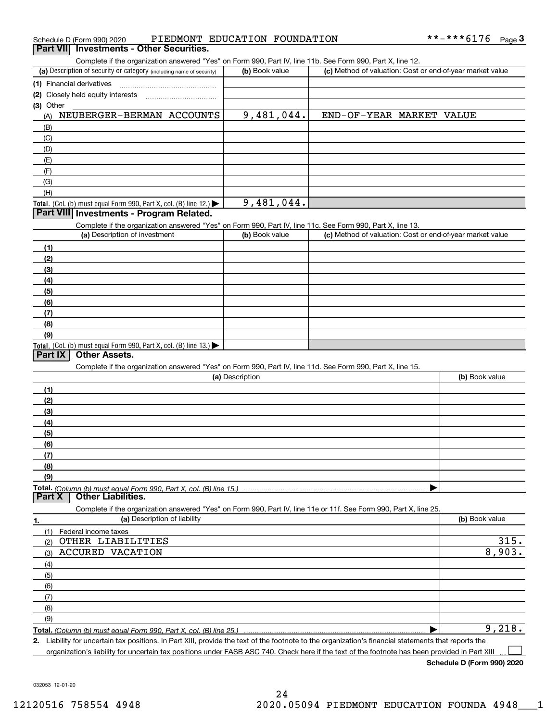|                  | PIEDMONT EDUCATION FOUNDATION<br>Schedule D (Form 990) 2020                                                                                 |                 |            |                                                           | **-***6176     | Page $3$       |
|------------------|---------------------------------------------------------------------------------------------------------------------------------------------|-----------------|------------|-----------------------------------------------------------|----------------|----------------|
| <b>Part VIII</b> | <b>Investments - Other Securities.</b>                                                                                                      |                 |            |                                                           |                |                |
|                  | Complete if the organization answered "Yes" on Form 990, Part IV, line 11b. See Form 990, Part X, line 12.                                  |                 |            |                                                           |                |                |
|                  | (a) Description of security or category (including name of security)                                                                        | (b) Book value  |            | (c) Method of valuation: Cost or end-of-year market value |                |                |
|                  | (1) Financial derivatives                                                                                                                   |                 |            |                                                           |                |                |
|                  | (2) Closely held equity interests                                                                                                           |                 |            |                                                           |                |                |
| (3) Other        |                                                                                                                                             |                 |            |                                                           |                |                |
| (A)              | NEUBERGER-BERMAN ACCOUNTS                                                                                                                   |                 | 9,481,044. | END-OF-YEAR MARKET VALUE                                  |                |                |
| (B)              |                                                                                                                                             |                 |            |                                                           |                |                |
| (C)              |                                                                                                                                             |                 |            |                                                           |                |                |
| (D)              |                                                                                                                                             |                 |            |                                                           |                |                |
| (E)              |                                                                                                                                             |                 |            |                                                           |                |                |
| (F)              |                                                                                                                                             |                 |            |                                                           |                |                |
| (G)              |                                                                                                                                             |                 |            |                                                           |                |                |
| (H)              |                                                                                                                                             |                 | 9,481,044. |                                                           |                |                |
|                  | Total. (Col. (b) must equal Form 990, Part X, col. (B) line $12$ .)<br>Part VIII Investments - Program Related.                             |                 |            |                                                           |                |                |
|                  | Complete if the organization answered "Yes" on Form 990, Part IV, line 11c. See Form 990, Part X, line 13.                                  |                 |            |                                                           |                |                |
|                  | (a) Description of investment                                                                                                               | (b) Book value  |            | (c) Method of valuation: Cost or end-of-year market value |                |                |
| (1)              |                                                                                                                                             |                 |            |                                                           |                |                |
| (2)              |                                                                                                                                             |                 |            |                                                           |                |                |
| (3)              |                                                                                                                                             |                 |            |                                                           |                |                |
| (4)              |                                                                                                                                             |                 |            |                                                           |                |                |
| (5)              |                                                                                                                                             |                 |            |                                                           |                |                |
| (6)              |                                                                                                                                             |                 |            |                                                           |                |                |
| (7)              |                                                                                                                                             |                 |            |                                                           |                |                |
| (8)              |                                                                                                                                             |                 |            |                                                           |                |                |
| (9)              |                                                                                                                                             |                 |            |                                                           |                |                |
|                  | <b>Total.</b> (Col. (b) must equal Form 990, Part X, col. (B) line $13.$                                                                    |                 |            |                                                           |                |                |
| Part IX          | <b>Other Assets.</b>                                                                                                                        |                 |            |                                                           |                |                |
|                  | Complete if the organization answered "Yes" on Form 990, Part IV, line 11d. See Form 990, Part X, line 15.                                  |                 |            |                                                           |                |                |
|                  |                                                                                                                                             | (a) Description |            |                                                           | (b) Book value |                |
| (1)              |                                                                                                                                             |                 |            |                                                           |                |                |
| (2)              |                                                                                                                                             |                 |            |                                                           |                |                |
| (3)              |                                                                                                                                             |                 |            |                                                           |                |                |
| (4)              |                                                                                                                                             |                 |            |                                                           |                |                |
| (5)              |                                                                                                                                             |                 |            |                                                           |                |                |
| (6)              |                                                                                                                                             |                 |            |                                                           |                |                |
| (7)              |                                                                                                                                             |                 |            |                                                           |                |                |
| (8)<br>(9)       |                                                                                                                                             |                 |            |                                                           |                |                |
|                  | Total. (Column (b) must equal Form 990. Part X. col. (B) line 15.)                                                                          |                 |            |                                                           |                |                |
| Part X           | <b>Other Liabilities.</b>                                                                                                                   |                 |            |                                                           |                |                |
|                  | Complete if the organization answered "Yes" on Form 990, Part IV, line 11e or 11f. See Form 990, Part X, line 25.                           |                 |            |                                                           |                |                |
| 1.               | (a) Description of liability                                                                                                                |                 |            |                                                           | (b) Book value |                |
|                  | (1) Federal income taxes                                                                                                                    |                 |            |                                                           |                |                |
| (2)              | OTHER LIABILITIES                                                                                                                           |                 |            |                                                           |                | 315.<br>8,903. |
| (3)              | ACCURED VACATION                                                                                                                            |                 |            |                                                           |                |                |
| (4)              |                                                                                                                                             |                 |            |                                                           |                |                |
| (5)              |                                                                                                                                             |                 |            |                                                           |                |                |
| (6)              |                                                                                                                                             |                 |            |                                                           |                |                |
| (7)<br>(8)       |                                                                                                                                             |                 |            |                                                           |                |                |
| (9)              |                                                                                                                                             |                 |            |                                                           |                |                |
|                  |                                                                                                                                             |                 |            |                                                           |                | 9,218.         |
|                  | Total. (Column (b) must equal Form 990. Part X, col. (B) line 25.)<br>Lightlity for upportain tax positions, in Dart VIII, provide the taxt |                 |            |                                                           |                |                |

**2.** Liability for uncertain tax positions. In Part XIII, provide the text of the footnote to the organization's financial statements that reports the organization's liability for uncertain tax positions under FASB ASC 740. Check here if the text of the footnote has been provided in Part XIII

**Schedule D (Form 990) 2020**

 $\mathcal{L}^{\text{max}}$ 

032053 12-01-20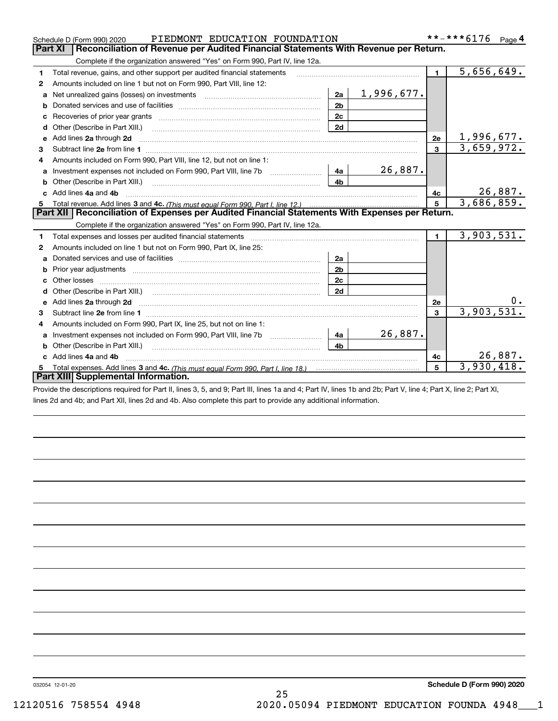|    | PIEDMONT EDUCATION FOUNDATION<br>Schedule D (Form 990) 2020                                                                                                                                                                         |                |            |                | **-***6176<br>Page $4$  |
|----|-------------------------------------------------------------------------------------------------------------------------------------------------------------------------------------------------------------------------------------|----------------|------------|----------------|-------------------------|
|    | Reconciliation of Revenue per Audited Financial Statements With Revenue per Return.<br>Part XI                                                                                                                                      |                |            |                |                         |
|    | Complete if the organization answered "Yes" on Form 990, Part IV, line 12a.                                                                                                                                                         |                |            |                |                         |
| 1  | Total revenue, gains, and other support per audited financial statements                                                                                                                                                            |                |            | $\blacksquare$ | 5,656,649.              |
| 2  | Amounts included on line 1 but not on Form 990, Part VIII, line 12:                                                                                                                                                                 |                |            |                |                         |
| a  | Net unrealized gains (losses) on investments [11] matter contracts and the unrealized gains (losses) on investments                                                                                                                 | 2a             | 1,996,677. |                |                         |
| b  |                                                                                                                                                                                                                                     | 2 <sub>b</sub> |            |                |                         |
|    |                                                                                                                                                                                                                                     | 2 <sub>c</sub> |            |                |                         |
| d  | Other (Describe in Part XIII.) <b>Construction Construction</b> Chern Construction Chern Chern Chern Chern Chern Chern                                                                                                              | 2d             |            |                |                         |
| е  | Add lines 2a through 2d                                                                                                                                                                                                             |                |            | 2e             | 1,996,677.              |
| 3  |                                                                                                                                                                                                                                     |                |            | $\mathbf{3}$   | 3,659,972.              |
| 4  | Amounts included on Form 990, Part VIII, line 12, but not on line 1:                                                                                                                                                                |                |            |                |                         |
| a  | Investment expenses not included on Form 990, Part VIII, line 7b [1000000000000000000000000000000000                                                                                                                                | 4a             | 26,887.    |                |                         |
|    | Other (Describe in Part XIII.) <b>Construction Construction</b> Chern Construction Chern Chern Chern Chern Chern Chern                                                                                                              | 4h             |            |                |                         |
| c. | Add lines 4a and 4b                                                                                                                                                                                                                 |                |            | 4с             | 26,887.                 |
|    |                                                                                                                                                                                                                                     |                |            | 5              | 3,686,859.              |
|    | Part XII   Reconciliation of Expenses per Audited Financial Statements With Expenses per Return.                                                                                                                                    |                |            |                |                         |
|    | Complete if the organization answered "Yes" on Form 990, Part IV, line 12a.                                                                                                                                                         |                |            |                |                         |
| 1  | Total expenses and losses per audited financial statements                                                                                                                                                                          |                |            | $\mathbf 1$    | 3,903,531.              |
| 2  | Amounts included on line 1 but not on Form 990, Part IX, line 25:                                                                                                                                                                   |                |            |                |                         |
| a  |                                                                                                                                                                                                                                     | 2a             |            |                |                         |
| b  | Prior year adjustments material contracts and all prior year adjustments material contracts and all prior year                                                                                                                      | 2 <sub>b</sub> |            |                |                         |
|    | Other losses                                                                                                                                                                                                                        | 2c             |            |                |                         |
| d  |                                                                                                                                                                                                                                     | 2d             |            |                |                         |
| е  | Add lines 2a through 2d <b>contained a contained a contained a contained a</b> contained a contact the state of the state of the state of the state of the state of the state of the state of the state of the state of the state o |                |            | 2e             |                         |
| 3  |                                                                                                                                                                                                                                     |                |            | 3              | 3,903,531.              |
| 4  | Amounts included on Form 990, Part IX, line 25, but not on line 1:                                                                                                                                                                  |                |            |                |                         |
| a  | Investment expenses not included on Form 990, Part VIII, line 7b [1000000000000000000000000000000000                                                                                                                                | 4a             | 26,887.    |                |                         |
| b  | Other (Describe in Part XIII.)                                                                                                                                                                                                      | 4 <sub>b</sub> |            |                |                         |
|    | Add lines 4a and 4b                                                                                                                                                                                                                 |                |            | 4с             | 26,887.                 |
| 5  |                                                                                                                                                                                                                                     |                |            | 5              | $\overline{3,930},418.$ |
|    | Part XIII Supplemental Information.                                                                                                                                                                                                 |                |            |                |                         |
|    |                                                                                                                                                                                                                                     |                |            |                |                         |

Provide the descriptions required for Part II, lines 3, 5, and 9; Part III, lines 1a and 4; Part IV, lines 1b and 2b; Part V, line 4; Part X, line 2; Part XI, lines 2d and 4b; and Part XII, lines 2d and 4b. Also complete this part to provide any additional information.

032054 12-01-20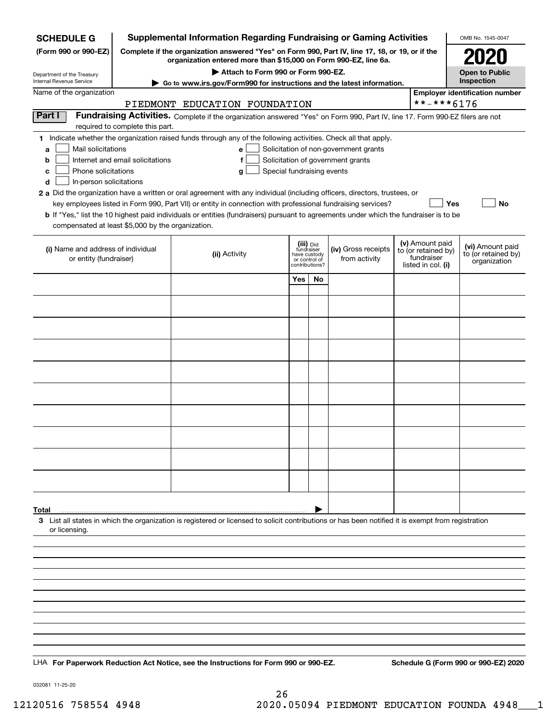| <b>Supplemental Information Regarding Fundraising or Gaming Activities</b><br><b>SCHEDULE G</b>                                               |                                                                                                                                                                     |                                                                                                                                                                                                                                                                                                                                                                                                                                                                                                                                                           |                                                                            |    |                                                                            |  | OMB No. 1545-0047                                                          |                                                         |
|-----------------------------------------------------------------------------------------------------------------------------------------------|---------------------------------------------------------------------------------------------------------------------------------------------------------------------|-----------------------------------------------------------------------------------------------------------------------------------------------------------------------------------------------------------------------------------------------------------------------------------------------------------------------------------------------------------------------------------------------------------------------------------------------------------------------------------------------------------------------------------------------------------|----------------------------------------------------------------------------|----|----------------------------------------------------------------------------|--|----------------------------------------------------------------------------|---------------------------------------------------------|
| (Form 990 or 990-EZ)                                                                                                                          | Complete if the organization answered "Yes" on Form 990, Part IV, line 17, 18, or 19, or if the<br>organization entered more than \$15,000 on Form 990-EZ, line 6a. |                                                                                                                                                                                                                                                                                                                                                                                                                                                                                                                                                           |                                                                            |    |                                                                            |  |                                                                            | 2021                                                    |
| Department of the Treasury<br>Internal Revenue Service                                                                                        |                                                                                                                                                                     | Attach to Form 990 or Form 990-EZ.                                                                                                                                                                                                                                                                                                                                                                                                                                                                                                                        |                                                                            |    |                                                                            |  |                                                                            | <b>Open to Public</b><br>Inspection                     |
| Name of the organization                                                                                                                      |                                                                                                                                                                     | ► Go to www.irs.gov/Form990 for instructions and the latest information.                                                                                                                                                                                                                                                                                                                                                                                                                                                                                  |                                                                            |    |                                                                            |  |                                                                            | <b>Employer identification number</b>                   |
|                                                                                                                                               |                                                                                                                                                                     | PIEDMONT EDUCATION FOUNDATION                                                                                                                                                                                                                                                                                                                                                                                                                                                                                                                             |                                                                            |    |                                                                            |  | **-***6176                                                                 |                                                         |
| Part I                                                                                                                                        |                                                                                                                                                                     | Fundraising Activities. Complete if the organization answered "Yes" on Form 990, Part IV, line 17. Form 990-EZ filers are not                                                                                                                                                                                                                                                                                                                                                                                                                             |                                                                            |    |                                                                            |  |                                                                            |                                                         |
|                                                                                                                                               | required to complete this part.                                                                                                                                     |                                                                                                                                                                                                                                                                                                                                                                                                                                                                                                                                                           |                                                                            |    |                                                                            |  |                                                                            |                                                         |
| Mail solicitations<br>a<br>b<br>Phone solicitations<br>c<br>In-person solicitations<br>d<br>compensated at least \$5,000 by the organization. | Internet and email solicitations                                                                                                                                    | 1 Indicate whether the organization raised funds through any of the following activities. Check all that apply.<br>e<br>f<br>Special fundraising events<br>g<br>2 a Did the organization have a written or oral agreement with any individual (including officers, directors, trustees, or<br>key employees listed in Form 990, Part VII) or entity in connection with professional fundraising services?<br><b>b</b> If "Yes," list the 10 highest paid individuals or entities (fundraisers) pursuant to agreements under which the fundraiser is to be |                                                                            |    | Solicitation of non-government grants<br>Solicitation of government grants |  | Yes                                                                        | No                                                      |
| (i) Name and address of individual<br>or entity (fundraiser)                                                                                  |                                                                                                                                                                     | (ii) Activity                                                                                                                                                                                                                                                                                                                                                                                                                                                                                                                                             | (iii) Did<br>fundraiser<br>have custody<br>or control of<br>contributions? |    | (iv) Gross receipts<br>from activity                                       |  | (v) Amount paid<br>to (or retained by)<br>fundraiser<br>listed in col. (i) | (vi) Amount paid<br>to (or retained by)<br>organization |
|                                                                                                                                               |                                                                                                                                                                     |                                                                                                                                                                                                                                                                                                                                                                                                                                                                                                                                                           | Yes                                                                        | No |                                                                            |  |                                                                            |                                                         |
|                                                                                                                                               |                                                                                                                                                                     |                                                                                                                                                                                                                                                                                                                                                                                                                                                                                                                                                           |                                                                            |    |                                                                            |  |                                                                            |                                                         |
|                                                                                                                                               |                                                                                                                                                                     |                                                                                                                                                                                                                                                                                                                                                                                                                                                                                                                                                           |                                                                            |    |                                                                            |  |                                                                            |                                                         |
|                                                                                                                                               |                                                                                                                                                                     |                                                                                                                                                                                                                                                                                                                                                                                                                                                                                                                                                           |                                                                            |    |                                                                            |  |                                                                            |                                                         |
|                                                                                                                                               |                                                                                                                                                                     |                                                                                                                                                                                                                                                                                                                                                                                                                                                                                                                                                           |                                                                            |    |                                                                            |  |                                                                            |                                                         |
|                                                                                                                                               |                                                                                                                                                                     |                                                                                                                                                                                                                                                                                                                                                                                                                                                                                                                                                           |                                                                            |    |                                                                            |  |                                                                            |                                                         |
|                                                                                                                                               |                                                                                                                                                                     |                                                                                                                                                                                                                                                                                                                                                                                                                                                                                                                                                           |                                                                            |    |                                                                            |  |                                                                            |                                                         |
|                                                                                                                                               |                                                                                                                                                                     |                                                                                                                                                                                                                                                                                                                                                                                                                                                                                                                                                           |                                                                            |    |                                                                            |  |                                                                            |                                                         |
|                                                                                                                                               |                                                                                                                                                                     |                                                                                                                                                                                                                                                                                                                                                                                                                                                                                                                                                           |                                                                            |    |                                                                            |  |                                                                            |                                                         |
|                                                                                                                                               |                                                                                                                                                                     |                                                                                                                                                                                                                                                                                                                                                                                                                                                                                                                                                           |                                                                            |    |                                                                            |  |                                                                            |                                                         |
|                                                                                                                                               |                                                                                                                                                                     |                                                                                                                                                                                                                                                                                                                                                                                                                                                                                                                                                           |                                                                            |    |                                                                            |  |                                                                            |                                                         |
|                                                                                                                                               |                                                                                                                                                                     |                                                                                                                                                                                                                                                                                                                                                                                                                                                                                                                                                           |                                                                            |    |                                                                            |  |                                                                            |                                                         |
|                                                                                                                                               |                                                                                                                                                                     |                                                                                                                                                                                                                                                                                                                                                                                                                                                                                                                                                           |                                                                            |    |                                                                            |  |                                                                            |                                                         |
| Total                                                                                                                                         |                                                                                                                                                                     |                                                                                                                                                                                                                                                                                                                                                                                                                                                                                                                                                           |                                                                            |    |                                                                            |  |                                                                            |                                                         |
| or licensing.                                                                                                                                 |                                                                                                                                                                     | 3 List all states in which the organization is registered or licensed to solicit contributions or has been notified it is exempt from registration                                                                                                                                                                                                                                                                                                                                                                                                        |                                                                            |    |                                                                            |  |                                                                            |                                                         |
|                                                                                                                                               |                                                                                                                                                                     |                                                                                                                                                                                                                                                                                                                                                                                                                                                                                                                                                           |                                                                            |    |                                                                            |  |                                                                            |                                                         |
|                                                                                                                                               |                                                                                                                                                                     |                                                                                                                                                                                                                                                                                                                                                                                                                                                                                                                                                           |                                                                            |    |                                                                            |  |                                                                            |                                                         |
|                                                                                                                                               |                                                                                                                                                                     |                                                                                                                                                                                                                                                                                                                                                                                                                                                                                                                                                           |                                                                            |    |                                                                            |  |                                                                            |                                                         |
|                                                                                                                                               |                                                                                                                                                                     |                                                                                                                                                                                                                                                                                                                                                                                                                                                                                                                                                           |                                                                            |    |                                                                            |  |                                                                            |                                                         |
|                                                                                                                                               |                                                                                                                                                                     |                                                                                                                                                                                                                                                                                                                                                                                                                                                                                                                                                           |                                                                            |    |                                                                            |  |                                                                            |                                                         |
|                                                                                                                                               |                                                                                                                                                                     |                                                                                                                                                                                                                                                                                                                                                                                                                                                                                                                                                           |                                                                            |    |                                                                            |  |                                                                            |                                                         |
|                                                                                                                                               |                                                                                                                                                                     |                                                                                                                                                                                                                                                                                                                                                                                                                                                                                                                                                           |                                                                            |    |                                                                            |  |                                                                            |                                                         |
|                                                                                                                                               |                                                                                                                                                                     | LHA For Paperwork Reduction Act Notice, see the Instructions for Form 990 or 990-EZ.                                                                                                                                                                                                                                                                                                                                                                                                                                                                      |                                                                            |    |                                                                            |  |                                                                            | Schedule G (Form 990 or 990-EZ) 2020                    |

032081 11-25-20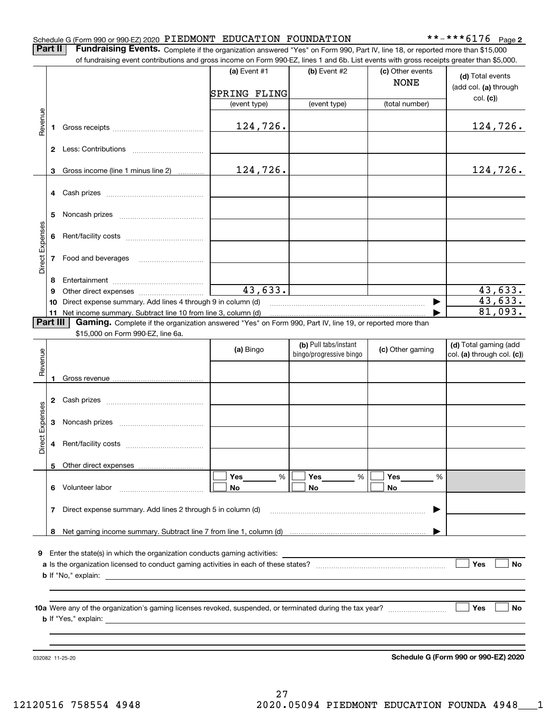#### Schedule G (Form 990 or 990-EZ) 2020 PIEDMONT EDUCATION FOUNDATION Network Network Network Network Page 2 PIEDMONT EDUCATION FOUNDATION \*\*-\*\*\*6176

**Part II** | Fundraising Events. Complete if the organization answered "Yes" on Form 990, Part IV, line 18, or reported more than \$15,000 of fundraising event contributions and gross income on Form 990-EZ, lines 1 and 6b. List events with gross receipts greater than \$5,000.

|                 |                                                                  | .000 of fundraising event contributions and gross income on Form 990-EZ, lines 1 and 6D. List events with gross receipts greater than \$5,000. |                |                         |                                 |                                           |  |  |
|-----------------|------------------------------------------------------------------|------------------------------------------------------------------------------------------------------------------------------------------------|----------------|-------------------------|---------------------------------|-------------------------------------------|--|--|
|                 |                                                                  |                                                                                                                                                | (a) Event $#1$ | $(b)$ Event #2          | (c) Other events<br><b>NONE</b> | (d) Total events<br>(add col. (a) through |  |  |
|                 |                                                                  |                                                                                                                                                | SPRING FLING   |                         |                                 | col. (c)                                  |  |  |
|                 |                                                                  |                                                                                                                                                | (event type)   | (event type)            | (total number)                  |                                           |  |  |
| Revenue         |                                                                  |                                                                                                                                                | 124,726.       |                         |                                 | 124,726.                                  |  |  |
|                 |                                                                  |                                                                                                                                                |                |                         |                                 |                                           |  |  |
|                 |                                                                  | 3 Gross income (line 1 minus line 2)                                                                                                           | 124,726.       |                         |                                 | 124,726.                                  |  |  |
|                 |                                                                  |                                                                                                                                                |                |                         |                                 |                                           |  |  |
|                 |                                                                  |                                                                                                                                                |                |                         |                                 |                                           |  |  |
|                 |                                                                  |                                                                                                                                                |                |                         |                                 |                                           |  |  |
| Direct Expenses |                                                                  | 7 Food and beverages                                                                                                                           |                |                         |                                 |                                           |  |  |
|                 | 8                                                                |                                                                                                                                                |                |                         |                                 |                                           |  |  |
|                 | 9                                                                |                                                                                                                                                | 43,633.        |                         |                                 | 43,633.                                   |  |  |
|                 |                                                                  | 10 Direct expense summary. Add lines 4 through 9 in column (d)                                                                                 |                |                         |                                 | 43,633.                                   |  |  |
|                 |                                                                  | 11 Net income summary. Subtract line 10 from line 3, column (d)                                                                                |                |                         |                                 | 81,093.                                   |  |  |
|                 | Part III                                                         | Gaming. Complete if the organization answered "Yes" on Form 990, Part IV, line 19, or reported more than                                       |                |                         |                                 |                                           |  |  |
|                 |                                                                  | \$15,000 on Form 990-EZ, line 6a.                                                                                                              |                |                         |                                 |                                           |  |  |
|                 |                                                                  |                                                                                                                                                | (a) Bingo      | (b) Pull tabs/instant   | (c) Other gaming                | (d) Total gaming (add                     |  |  |
| Revenue         |                                                                  |                                                                                                                                                |                | bingo/progressive bingo |                                 | col. (a) through col. (c))                |  |  |
|                 | 1                                                                |                                                                                                                                                |                |                         |                                 |                                           |  |  |
|                 |                                                                  |                                                                                                                                                |                |                         |                                 |                                           |  |  |
| Direct Expenses |                                                                  |                                                                                                                                                |                |                         |                                 |                                           |  |  |
|                 |                                                                  |                                                                                                                                                |                |                         |                                 |                                           |  |  |
|                 |                                                                  | 5 Other direct expenses                                                                                                                        |                |                         |                                 |                                           |  |  |
|                 | 6                                                                | Volunteer labor                                                                                                                                | %<br>Yes<br>No | Yes<br>%<br>No          | Yes<br>%<br>No                  |                                           |  |  |
|                 | Direct expense summary. Add lines 2 through 5 in column (d)<br>7 |                                                                                                                                                |                |                         |                                 |                                           |  |  |
|                 | 8                                                                |                                                                                                                                                |                |                         |                                 |                                           |  |  |
|                 |                                                                  | <b>9</b> Enter the state(s) in which the organization conducts gaming activities:                                                              |                |                         |                                 |                                           |  |  |
|                 |                                                                  |                                                                                                                                                |                |                         |                                 | Yes<br><b>No</b>                          |  |  |
|                 |                                                                  |                                                                                                                                                |                |                         |                                 |                                           |  |  |
|                 |                                                                  |                                                                                                                                                |                |                         |                                 |                                           |  |  |
|                 |                                                                  |                                                                                                                                                |                |                         |                                 |                                           |  |  |
|                 |                                                                  | <b>b</b> If "Yes," explain: <b>b</b> If "Yes," explain:                                                                                        |                |                         |                                 | Yes<br>No                                 |  |  |
|                 |                                                                  |                                                                                                                                                |                |                         |                                 |                                           |  |  |
|                 |                                                                  |                                                                                                                                                |                |                         |                                 |                                           |  |  |

**Schedule G (Form 990 or 990-EZ) 2020**

032082 11-25-20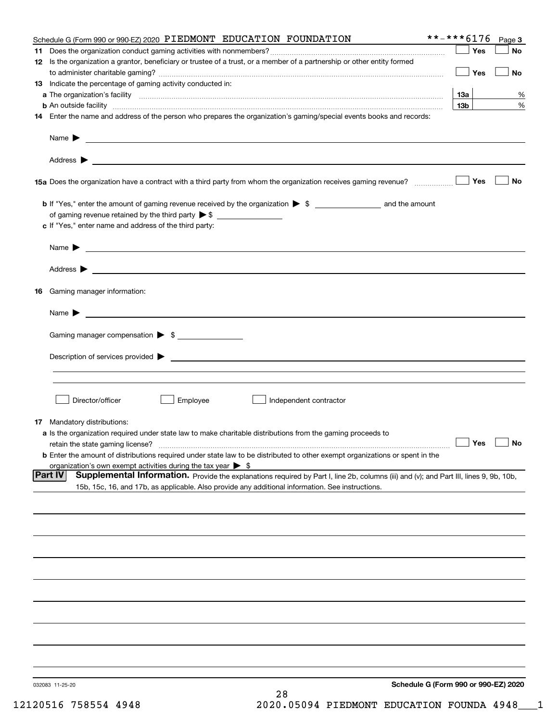|    | Schedule G (Form 990 or 990-EZ) 2020 PIEDMONT EDUCATION FOUNDATION                                                                                                                                                                                           | **-***6176      | Page 3 |
|----|--------------------------------------------------------------------------------------------------------------------------------------------------------------------------------------------------------------------------------------------------------------|-----------------|--------|
|    |                                                                                                                                                                                                                                                              | Yes             | No     |
|    | 12 Is the organization a grantor, beneficiary or trustee of a trust, or a member of a partnership or other entity formed                                                                                                                                     | Yes             | No     |
|    | 13 Indicate the percentage of gaming activity conducted in:                                                                                                                                                                                                  |                 |        |
|    |                                                                                                                                                                                                                                                              | 13а             | %      |
|    | <b>b</b> An outside facility <b>contract and the contract of the contract of the contract of the contract of the contract of the contract of the contract of the contract of the contract of the contract of the contract of the cont</b>                    | 13 <sub>b</sub> | %      |
|    | 14 Enter the name and address of the person who prepares the organization's gaming/special events books and records:                                                                                                                                         |                 |        |
|    | Name $\blacktriangleright$                                                                                                                                                                                                                                   |                 |        |
|    |                                                                                                                                                                                                                                                              |                 |        |
|    | 15a Does the organization have a contract with a third party from whom the organization receives gaming revenue?                                                                                                                                             | Yes             | No     |
|    |                                                                                                                                                                                                                                                              |                 |        |
|    | c If "Yes," enter name and address of the third party:                                                                                                                                                                                                       |                 |        |
|    | Name $\blacktriangleright$<br><u> 1989 - Johann Barbara, martin amerikan basar dan berasal dan berasal dalam basar dalam basar dalam basar dala</u>                                                                                                          |                 |        |
|    | Address $\blacktriangleright$                                                                                                                                                                                                                                |                 |        |
| 16 | Gaming manager information:                                                                                                                                                                                                                                  |                 |        |
|    | Name $\blacktriangleright$                                                                                                                                                                                                                                   |                 |        |
|    | Gaming manager compensation > \$                                                                                                                                                                                                                             |                 |        |
|    |                                                                                                                                                                                                                                                              |                 |        |
|    | Description of services provided $\blacktriangleright$                                                                                                                                                                                                       |                 |        |
|    |                                                                                                                                                                                                                                                              |                 |        |
|    | Director/officer<br>Employee<br>Independent contractor                                                                                                                                                                                                       |                 |        |
|    | <b>17</b> Mandatory distributions:                                                                                                                                                                                                                           |                 |        |
|    | a Is the organization required under state law to make charitable distributions from the gaming proceeds to                                                                                                                                                  |                 |        |
|    | retain the state gaming license?                                                                                                                                                                                                                             | $\Box$ Yes      |        |
|    | <b>b</b> Enter the amount of distributions required under state law to be distributed to other exempt organizations or spent in the<br>organization's own exempt activities during the tax year $\triangleright$ \$                                          |                 |        |
|    | <b>Part IV</b><br>Supplemental Information. Provide the explanations required by Part I, line 2b, columns (iii) and (v); and Part III, lines 9, 9b, 10b,<br>15b, 15c, 16, and 17b, as applicable. Also provide any additional information. See instructions. |                 |        |
|    |                                                                                                                                                                                                                                                              |                 |        |
|    |                                                                                                                                                                                                                                                              |                 |        |
|    |                                                                                                                                                                                                                                                              |                 |        |
|    |                                                                                                                                                                                                                                                              |                 |        |
|    |                                                                                                                                                                                                                                                              |                 |        |
|    |                                                                                                                                                                                                                                                              |                 |        |
|    |                                                                                                                                                                                                                                                              |                 |        |
|    |                                                                                                                                                                                                                                                              |                 |        |
|    |                                                                                                                                                                                                                                                              |                 |        |
|    | Schedule G (Form 990 or 990-EZ) 2020<br>032083 11-25-20<br>າ ໐                                                                                                                                                                                               |                 |        |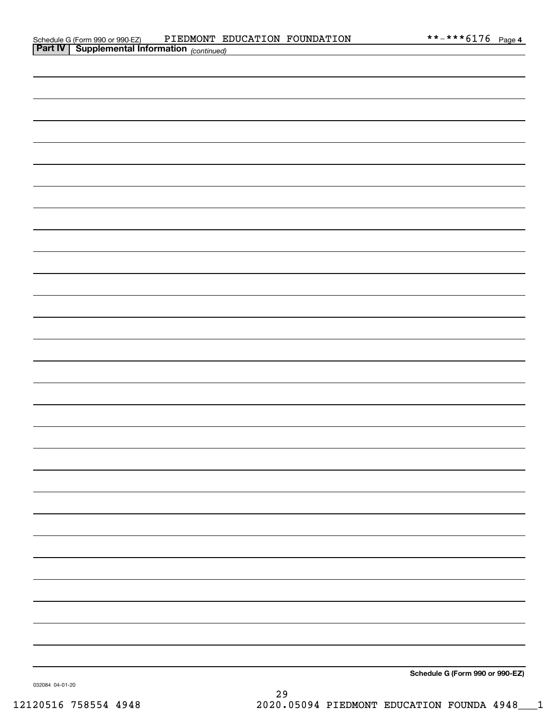|                | Schedule G (Form 990 or 990-EZ) | EDUCATION<br><b>TEDMONT</b><br>FOUNDATION | Page 4 |
|----------------|---------------------------------|-------------------------------------------|--------|
| <b>Part IV</b> | Supplemental Information        | (continued)                               |        |

|  |  | - |
|--|--|---|
|  |  |   |
|  |  |   |
|  |  |   |
|  |  |   |
|  |  |   |
|  |  |   |
|  |  |   |
|  |  |   |

**Schedule G (Form 990 or 990-EZ)**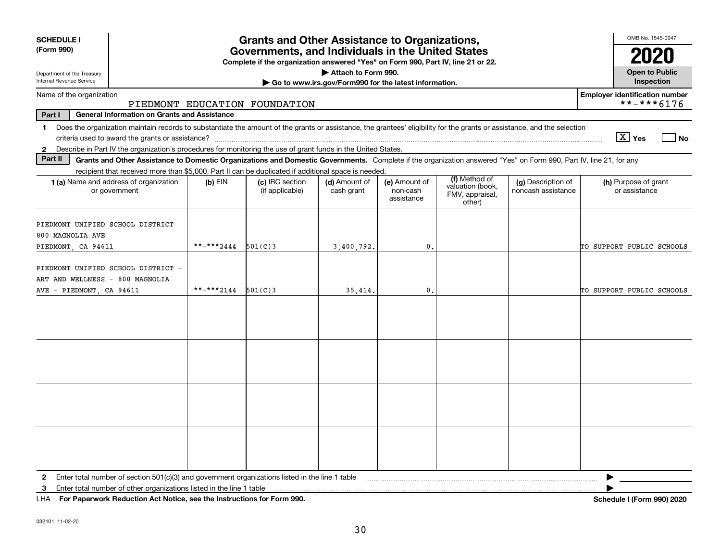| <b>SCHEDULE I</b><br>(Form 990)                                                                                                                                                                                                                                                               |                                      | <b>Grants and Other Assistance to Organizations,</b><br>Governments, and Individuals in the United States<br>Complete if the organization answered "Yes" on Form 990, Part IV, line 21 or 22. |                                                       |                                         |                                                                |                                          | OMB No. 1545-0047<br>2020                           |
|-----------------------------------------------------------------------------------------------------------------------------------------------------------------------------------------------------------------------------------------------------------------------------------------------|--------------------------------------|-----------------------------------------------------------------------------------------------------------------------------------------------------------------------------------------------|-------------------------------------------------------|-----------------------------------------|----------------------------------------------------------------|------------------------------------------|-----------------------------------------------------|
| Department of the Treasury                                                                                                                                                                                                                                                                    |                                      |                                                                                                                                                                                               | Attach to Form 990.                                   |                                         |                                                                |                                          | <b>Open to Public</b>                               |
| Internal Revenue Service                                                                                                                                                                                                                                                                      |                                      |                                                                                                                                                                                               | Go to www.irs.gov/Form990 for the latest information. |                                         |                                                                |                                          | Inspection                                          |
| Name of the organization                                                                                                                                                                                                                                                                      |                                      | PIEDMONT EDUCATION FOUNDATION                                                                                                                                                                 |                                                       |                                         |                                                                |                                          | <b>Employer identification number</b><br>**-***6176 |
| Part I<br><b>General Information on Grants and Assistance</b>                                                                                                                                                                                                                                 |                                      |                                                                                                                                                                                               |                                                       |                                         |                                                                |                                          |                                                     |
| 1 Does the organization maintain records to substantiate the amount of the grants or assistance, the grantees' eligibility for the grants or assistance, and the selection<br>2 Describe in Part IV the organization's procedures for monitoring the use of grant funds in the United States. |                                      |                                                                                                                                                                                               |                                                       |                                         |                                                                |                                          | $\boxed{\text{X}}$ Yes<br>  No                      |
| Part II<br>Grants and Other Assistance to Domestic Organizations and Domestic Governments. Complete if the organization answered "Yes" on Form 990, Part IV, line 21, for any                                                                                                                 |                                      |                                                                                                                                                                                               |                                                       |                                         |                                                                |                                          |                                                     |
| recipient that received more than \$5,000. Part II can be duplicated if additional space is needed.<br>1 (a) Name and address of organization<br>or government                                                                                                                                | $(b)$ EIN                            | (c) IRC section<br>(if applicable)                                                                                                                                                            | (d) Amount of<br>cash grant                           | (e) Amount of<br>non-cash<br>assistance | (f) Method of<br>valuation (book,<br>FMV, appraisal,<br>other) | (g) Description of<br>noncash assistance | (h) Purpose of grant<br>or assistance               |
| PIEDMONT UNIFIED SCHOOL DISTRICT<br>800 MAGNOLIA AVE<br>PIEDMONT, CA 94611                                                                                                                                                                                                                    | **-***2444                           | 501(C)3                                                                                                                                                                                       | 3,400,792.                                            | 0.                                      |                                                                |                                          | TO SUPPORT PUBLIC SCHOOLS                           |
| PIEDMONT UNIFIED SCHOOL DISTRICT -<br>ART AND WELLNESS - 800 MAGNOLIA<br>AVE - PIEDMONT, CA 94611                                                                                                                                                                                             | **-***2144                           | 501(C)3                                                                                                                                                                                       | 35,414.                                               | 0.                                      |                                                                |                                          | TO SUPPORT PUBLIC SCHOOLS                           |
|                                                                                                                                                                                                                                                                                               |                                      |                                                                                                                                                                                               |                                                       |                                         |                                                                |                                          |                                                     |
|                                                                                                                                                                                                                                                                                               |                                      |                                                                                                                                                                                               |                                                       |                                         |                                                                |                                          |                                                     |
|                                                                                                                                                                                                                                                                                               |                                      |                                                                                                                                                                                               |                                                       |                                         |                                                                |                                          |                                                     |
|                                                                                                                                                                                                                                                                                               |                                      |                                                                                                                                                                                               |                                                       |                                         |                                                                |                                          |                                                     |
| Enter total number of section 501(c)(3) and government organizations listed in the line 1 table<br>$\mathbf{2}$<br>3<br>.                                                                                                                                                                     | and the second control of the second |                                                                                                                                                                                               |                                                       |                                         |                                                                |                                          |                                                     |

**For Paperwork Reduction Act Notice, see the Instructions for Form 990. Schedule I (Form 990) 2020** LHA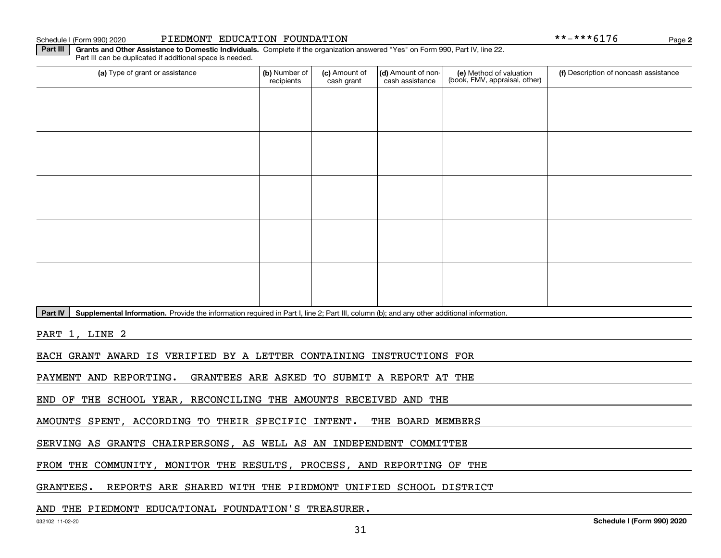Schedule I (Form 990) 2020

| PIEDMONT EDUCATION FOUNDATION |
|-------------------------------|
|                               |

 $***-***6176$ 

**2**

**Part III** | Grants and Other Assistance to Domestic Individuals. Complete if the organization answered "Yes" on Form 990, Part IV, line 22. Part III can be duplicated if additional space is needed.

| (a) Type of grant or assistance                                                                                                               | (b) Number of<br>recipients | (c) Amount of<br>cash grant | (d) Amount of non-<br>cash assistance | (e) Method of valuation<br>(book, FMV, appraisal, other) | (f) Description of noncash assistance |
|-----------------------------------------------------------------------------------------------------------------------------------------------|-----------------------------|-----------------------------|---------------------------------------|----------------------------------------------------------|---------------------------------------|
|                                                                                                                                               |                             |                             |                                       |                                                          |                                       |
|                                                                                                                                               |                             |                             |                                       |                                                          |                                       |
|                                                                                                                                               |                             |                             |                                       |                                                          |                                       |
|                                                                                                                                               |                             |                             |                                       |                                                          |                                       |
|                                                                                                                                               |                             |                             |                                       |                                                          |                                       |
|                                                                                                                                               |                             |                             |                                       |                                                          |                                       |
|                                                                                                                                               |                             |                             |                                       |                                                          |                                       |
|                                                                                                                                               |                             |                             |                                       |                                                          |                                       |
|                                                                                                                                               |                             |                             |                                       |                                                          |                                       |
|                                                                                                                                               |                             |                             |                                       |                                                          |                                       |
| <b>Death Inc.</b> Our also see the first of the information of which is Death line O. Death as been above the second considium of information |                             |                             |                                       |                                                          |                                       |

Part IV | Supplemental Information. Provide the information required in Part I, line 2; Part III, column (b); and any other additional information.

PART 1, LINE 2

EACH GRANT AWARD IS VERIFIED BY A LETTER CONTAINING INSTRUCTIONS FOR

PAYMENT AND REPORTING. GRANTEES ARE ASKED TO SUBMIT A REPORT AT THE

END OF THE SCHOOL YEAR, RECONCILING THE AMOUNTS RECEIVED AND THE

AMOUNTS SPENT, ACCORDING TO THEIR SPECIFIC INTENT. THE BOARD MEMBERS

SERVING AS GRANTS CHAIRPERSONS, AS WELL AS AN INDEPENDENT COMMITTEE

FROM THE COMMUNITY, MONITOR THE RESULTS, PROCESS, AND REPORTING OF THE

GRANTEES. REPORTS ARE SHARED WITH THE PIEDMONT UNIFIED SCHOOL DISTRICT

AND THE PIEDMONT EDUCATIONAL FOUNDATION'S TREASURER.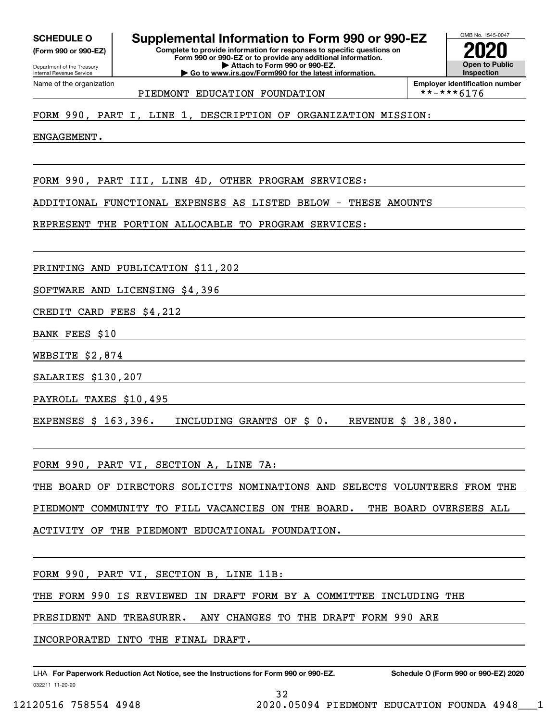**(Form 990 or 990-EZ)**

Department of the Treasury Internal Revenue Service Name of the organization

## **SCHEDULE O Supplemental Information to Form 990 or 990-EZ**

**Complete to provide information for responses to specific questions on Form 990 or 990-EZ or to provide any additional information. | Attach to Form 990 or 990-EZ. | Go to www.irs.gov/Form990 for the latest information.**



PIEDMONT EDUCATION FOUNDATION  $* * - * * * 6176$ 

**Employer identification number**

### FORM 990, PART I, LINE 1, DESCRIPTION OF ORGANIZATION MISSION:

ENGAGEMENT.

FORM 990, PART III, LINE 4D, OTHER PROGRAM SERVICES:

ADDITIONAL FUNCTIONAL EXPENSES AS LISTED BELOW - THESE AMOUNTS

REPRESENT THE PORTION ALLOCABLE TO PROGRAM SERVICES:

PRINTING AND PUBLICATION \$11,202

SOFTWARE AND LICENSING \$4,396

CREDIT CARD FEES \$4,212

BANK FEES \$10

WEBSITE \$2,874

SALARIES \$130,207

PAYROLL TAXES \$10,495

EXPENSES \$ 163,396. INCLUDING GRANTS OF \$ 0. REVENUE \$ 38,380.

FORM 990, PART VI, SECTION A, LINE 7A:

THE BOARD OF DIRECTORS SOLICITS NOMINATIONS AND SELECTS VOLUNTEERS FROM THE

PIEDMONT COMMUNITY TO FILL VACANCIES ON THE BOARD. THE BOARD OVERSEES ALL

ACTIVITY OF THE PIEDMONT EDUCATIONAL FOUNDATION.

FORM 990, PART VI, SECTION B, LINE 11B:

THE FORM 990 IS REVIEWED IN DRAFT FORM BY A COMMITTEE INCLUDING THE

PRESIDENT AND TREASURER. ANY CHANGES TO THE DRAFT FORM 990 ARE

INCORPORATED INTO THE FINAL DRAFT.

032211 11-20-20 LHA For Paperwork Reduction Act Notice, see the Instructions for Form 990 or 990-EZ. Schedule O (Form 990 or 990-EZ) 2020

32